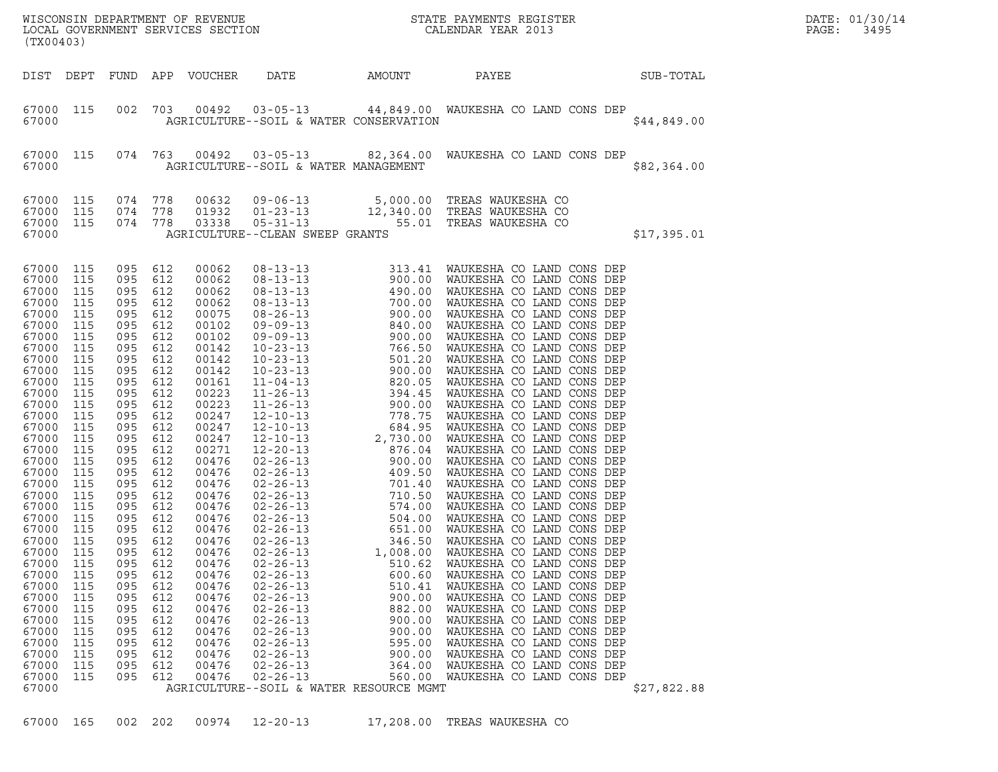| (TX00403)                                                                                                                                                                                                                                                                                                                                                                                                                                                                                                                                                                                                          |                                                                                                                                                                                                                                                                                                 |                                                                                                                                                                                                         |                                                                                                                                                                                                                                                                                                                                           |                                                                                                                                                                                                                      |                                                                                                                                                                   | WISCONSIN DEPARTMENT OF REVENUE<br>LOCAL GOVERNMENT SERVICES SECTION<br>CALENDAR YEAR 2013                                                                                                                                                                                                                                                               |             | DATE: 01/30/14<br>PAGE:<br>3495 |
|--------------------------------------------------------------------------------------------------------------------------------------------------------------------------------------------------------------------------------------------------------------------------------------------------------------------------------------------------------------------------------------------------------------------------------------------------------------------------------------------------------------------------------------------------------------------------------------------------------------------|-------------------------------------------------------------------------------------------------------------------------------------------------------------------------------------------------------------------------------------------------------------------------------------------------|---------------------------------------------------------------------------------------------------------------------------------------------------------------------------------------------------------|-------------------------------------------------------------------------------------------------------------------------------------------------------------------------------------------------------------------------------------------------------------------------------------------------------------------------------------------|----------------------------------------------------------------------------------------------------------------------------------------------------------------------------------------------------------------------|-------------------------------------------------------------------------------------------------------------------------------------------------------------------|----------------------------------------------------------------------------------------------------------------------------------------------------------------------------------------------------------------------------------------------------------------------------------------------------------------------------------------------------------|-------------|---------------------------------|
| DIST DEPT FUND APP VOUCHER                                                                                                                                                                                                                                                                                                                                                                                                                                                                                                                                                                                         |                                                                                                                                                                                                                                                                                                 |                                                                                                                                                                                                         |                                                                                                                                                                                                                                                                                                                                           | DATE                                                                                                                                                                                                                 | AMOUNT                                                                                                                                                            | SUB-TOTAL<br>PAYEE                                                                                                                                                                                                                                                                                                                                       |             |                                 |
| 67000 115<br>67000                                                                                                                                                                                                                                                                                                                                                                                                                                                                                                                                                                                                 |                                                                                                                                                                                                                                                                                                 |                                                                                                                                                                                                         |                                                                                                                                                                                                                                                                                                                                           |                                                                                                                                                                                                                      | AGRICULTURE--SOIL & WATER CONSERVATION                                                                                                                            | 002 703 00492 03-05-13 44,849.00 WAUKESHA CO LAND CONS DEP                                                                                                                                                                                                                                                                                               | \$44,849.00 |                                 |
| 67000 115<br>67000                                                                                                                                                                                                                                                                                                                                                                                                                                                                                                                                                                                                 |                                                                                                                                                                                                                                                                                                 |                                                                                                                                                                                                         |                                                                                                                                                                                                                                                                                                                                           | AGRICULTURE--SOIL & WATER MANAGEMENT                                                                                                                                                                                 |                                                                                                                                                                   | 074 763 00492 03-05-13 82,364.00 WAUKESHA CO LAND CONS DEP                                                                                                                                                                                                                                                                                               | \$82,364.00 |                                 |
| 67000 115<br>67000 115<br>67000 115 074 778<br>67000                                                                                                                                                                                                                                                                                                                                                                                                                                                                                                                                                               | 074 778<br>074 778                                                                                                                                                                                                                                                                              |                                                                                                                                                                                                         | 00632<br>01932<br>03338                                                                                                                                                                                                                                                                                                                   | AGRICULTURE--CLEAN SWEEP GRANTS                                                                                                                                                                                      |                                                                                                                                                                   | 09-06-13 5,000.00 TREAS WAUKESHA CO<br>01-23-13 12,340.00 TREAS WAUKESHA CO<br>05-31-13 55.01 TREAS WAUKESHA CO                                                                                                                                                                                                                                          | \$17,395.01 |                                 |
| 67000 115<br>67000<br>115<br>67000<br>115<br>67000<br>115<br>67000<br>115<br>67000<br>115<br>67000<br>115<br>67000<br>115<br>67000<br>115<br>67000<br>115<br>67000<br>115<br>67000<br>115<br>67000<br>115<br>67000<br>115<br>67000<br>115<br>67000<br>115<br>67000<br>115<br>67000<br>115<br>67000<br>115<br>67000<br>115<br>67000<br>115<br>67000<br>115<br>67000<br>115<br>67000<br>115<br>67000<br>115<br>67000<br>115<br>115<br>67000<br>67000<br>115<br>67000<br>115<br>67000<br>115<br>67000<br>115<br>67000<br>115<br>67000<br>115<br>67000<br>115<br>67000<br>115<br>67000<br>115<br>67000<br>115<br>67000 | 095 612<br>095<br>095 612<br>095<br>095<br>095<br>095 612<br>095<br>095<br>095<br>095 612<br>095<br>095 612<br>095<br>095 612<br>095<br>095<br>095<br>095<br>095<br>095<br>095<br>095 612<br>095<br>095 612<br>095<br>095<br>095<br>095<br>095<br>095<br>095<br>095<br>095<br>095<br>095<br>095 | 612<br>612<br>612<br>612<br>612<br>612<br>612<br>612<br>612<br>612<br>612<br>612<br>612<br>612<br>612<br>612<br>612<br>612<br>612<br>612<br>612<br>612<br>612<br>612<br>612<br>612<br>612<br>612<br>612 | 00062<br>00062<br>00062<br>00062<br>00075<br>00102<br>00102<br>00142<br>00142<br>00142<br>00161<br>00223<br>00223<br>00247<br>00247<br>00247<br>00271<br>00476<br>00476<br>00476<br>00476<br>00476<br>00476<br>00476<br>00476<br>00476<br>00476<br>00476<br>00476<br>00476<br>00476<br>00476<br>00476<br>00476<br>00476<br>00476<br>00476 | $02 - 26 - 13$<br>$02 - 26 - 13$<br>$02 - 26 - 13$<br>$02 - 26 - 13$<br>$02 - 26 - 13$<br>$02 - 26 - 13$<br>$02 - 26 - 13$<br>$02 - 26 - 13$<br>$02 - 26 - 13$<br>$02 - 26 - 13$<br>$02 - 26 - 13$<br>$02 - 26 - 13$ | 1,008.00<br>510.62<br>600.60<br>510.41<br>900.00<br>882.00<br>900.00<br>900.00<br>595.00<br>900.00<br>364.00<br>560.00<br>AGRICULTURE--SOIL & WATER RESOURCE MGMT | WAUKESHA CO LAND CONS DEP<br>WAUKESHA CO LAND CONS DEP<br>WAUKESHA CO LAND CONS DEP<br>WAUKESHA CO LAND CONS DEP<br>WAUKESHA CO LAND CONS DEP<br>WAUKESHA CO LAND CONS DEP<br>WAUKESHA CO LAND CONS DEP<br>WAUKESHA CO LAND CONS DEP<br>WAUKESHA CO LAND CONS DEP<br>WAUKESHA CO LAND CONS DEP<br>WAUKESHA CO LAND CONS DEP<br>WAUKESHA CO LAND CONS DEP | \$27,822.88 |                                 |

67000 165 002 202 00974 12-20-13 17,208.00 TREAS WAUKESHA CO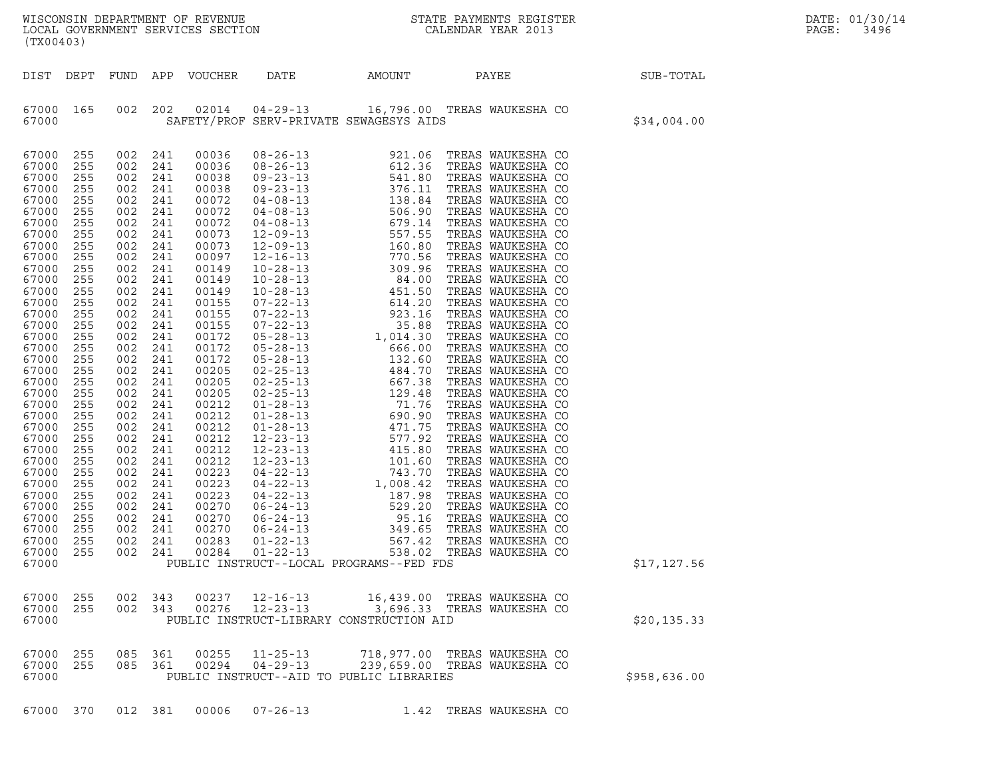| WISCONSIN DEPARTMENT OF REVENUE<br>LOCAL GOVERNMENT SERVICES SECTION<br>(TX00403) | STATE PAYMENTS REGISTER<br>CALENDAR YEAR 2013 | DATE: 01/30/14<br>PAGE:<br>3496 |
|-----------------------------------------------------------------------------------|-----------------------------------------------|---------------------------------|

| (TX00403)                                                                                                                                                                                                                                                                                                                                 |                                                                                                                                                                                                                                                                                                                                                                                                                                                                                          |                                                                                                                                                                                                                                                                          |                                                                                                                                                                                                                                                                                                                                  |                |                                          |                                                                                                                                                                                                                                                                                                                                                              |              |
|-------------------------------------------------------------------------------------------------------------------------------------------------------------------------------------------------------------------------------------------------------------------------------------------------------------------------------------------|------------------------------------------------------------------------------------------------------------------------------------------------------------------------------------------------------------------------------------------------------------------------------------------------------------------------------------------------------------------------------------------------------------------------------------------------------------------------------------------|--------------------------------------------------------------------------------------------------------------------------------------------------------------------------------------------------------------------------------------------------------------------------|----------------------------------------------------------------------------------------------------------------------------------------------------------------------------------------------------------------------------------------------------------------------------------------------------------------------------------|----------------|------------------------------------------|--------------------------------------------------------------------------------------------------------------------------------------------------------------------------------------------------------------------------------------------------------------------------------------------------------------------------------------------------------------|--------------|
| DEPT<br>DIST                                                                                                                                                                                                                                                                                                                              | FUND                                                                                                                                                                                                                                                                                                                                                                                                                                                                                     | APP                                                                                                                                                                                                                                                                      | VOUCHER                                                                                                                                                                                                                                                                                                                          | DATE           | AMOUNT                                   | <b>PAYEE</b>                                                                                                                                                                                                                                                                                                                                                 | SUB-TOTAL    |
| 67000<br>67000                                                                                                                                                                                                                                                                                                                            | 165                                                                                                                                                                                                                                                                                                                                                                                                                                                                                      | 002 202                                                                                                                                                                                                                                                                  |                                                                                                                                                                                                                                                                                                                                  |                | SAFETY/PROF SERV-PRIVATE SEWAGESYS AIDS  | 02014  04-29-13  16,796.00 TREAS WAUKESHA CO                                                                                                                                                                                                                                                                                                                 | \$34,004.00  |
| 67000<br>67000<br>67000<br>67000<br>67000<br>67000<br>67000<br>67000<br>67000<br>67000<br>67000<br>67000<br>67000<br>67000<br>67000<br>67000<br>67000<br>67000<br>67000<br>67000<br>67000<br>67000<br>67000<br>67000<br>67000<br>67000<br>67000<br>67000<br>67000<br>67000<br>67000<br>67000<br>67000<br>67000<br>67000<br>67000<br>67000 | 255<br>255<br>002<br>255<br>002<br>255<br>002<br>255<br>002<br>255<br>002<br>255<br>002<br>255<br>002<br>255<br>002<br>255<br>002<br>255<br>002<br>255<br>002<br>255<br>002<br>255<br>002<br>255<br>002<br>255<br>002<br>255<br>002<br>255<br>002<br>255<br>002<br>255<br>002<br>255<br>002<br>255<br>002<br>255<br>002<br>255<br>002<br>255<br>002<br>255<br>002<br>255<br>002<br>255<br>002<br>255<br>002<br>255<br>002<br>255<br>002<br>255<br>002<br>255<br>002<br>255<br>255<br>255 | 002 241<br>241<br>241<br>241<br>241<br>241<br>241<br>241<br>241<br>241<br>241<br>241<br>241<br>241<br>241<br>241<br>241<br>241<br>241<br>241<br>241<br>241<br>241<br>241<br>241<br>241<br>241<br>241<br>241<br>241<br>241<br>241<br>241<br>002 241<br>002 241<br>002 241 | 00036<br>00036<br>00038<br>00038<br>00072<br>00072<br>00072<br>00073<br>00073<br>00097<br>00149<br>00149<br>00149<br>00155<br>00155<br>00155<br>00172<br>00172<br>00172<br>00205<br>00205<br>00205<br>00212<br>00212<br>00212<br>00212<br>00212<br>00212<br>00223<br>00223<br>00223<br>00270<br>00270<br>00270<br>00283<br>00284 |                | PUBLIC INSTRUCT--LOCAL PROGRAMS--FED FDS | $\begin{tabular}{l c c c} \multicolumn{1}{c}{\textbf{0.8-3.1}} \multicolumn{1}{c}{\textbf{0.8-2.6-13}} & 921.06 & \text{TREAs WAUKESHA CO}\\ 0.9-23-13 & 612.36 & \text{TREAS WAUKESHA CO}\\ 0.9-23-13 & 376.11 & \text{TREAS WAUKESHA CO}\\ 0.9-23-13 & 376.11 & \text{TREAS WAUKESHA CO}\\ 0.4-08-13 & 506.90 & \text{TREAS WAUKESHA CO}\\ 0.4-08-13 & 57$ | \$17,127.56  |
|                                                                                                                                                                                                                                                                                                                                           |                                                                                                                                                                                                                                                                                                                                                                                                                                                                                          |                                                                                                                                                                                                                                                                          |                                                                                                                                                                                                                                                                                                                                  |                |                                          |                                                                                                                                                                                                                                                                                                                                                              |              |
| 67000<br>67000<br>67000                                                                                                                                                                                                                                                                                                                   | 255<br>002<br>255<br>002                                                                                                                                                                                                                                                                                                                                                                                                                                                                 | 343<br>343                                                                                                                                                                                                                                                               | 00237<br>00276                                                                                                                                                                                                                                                                                                                   | $12 - 16 - 13$ | PUBLIC INSTRUCT-LIBRARY CONSTRUCTION AID | 16,439.00 TREAS WAUKESHA CO<br>12-23-13 3,696.33 TREAS WAUKESHA CO                                                                                                                                                                                                                                                                                           | \$20,135.33  |
| 67000<br>67000<br>67000                                                                                                                                                                                                                                                                                                                   | 255<br>085<br>255<br>085                                                                                                                                                                                                                                                                                                                                                                                                                                                                 | 361<br>361                                                                                                                                                                                                                                                               |                                                                                                                                                                                                                                                                                                                                  |                | PUBLIC INSTRUCT--AID TO PUBLIC LIBRARIES | 00255   11-25-13   718,977.00   TREAS   WAUKESHA   CO   00294   04-29-13   239,659.00   TREAS   WAUKESHA   CO                                                                                                                                                                                                                                                | \$958,636.00 |

67000 370 012 381 00006 07-26-13 1.42 TREAS WAUKESHA CO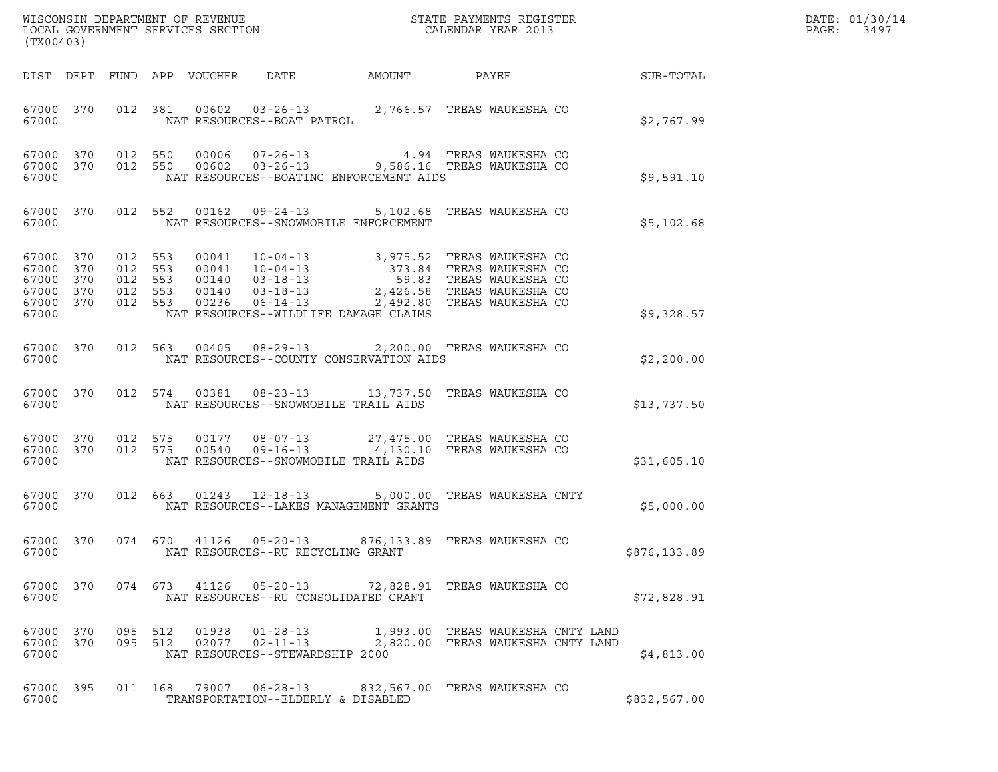| (TX00403)                                                      |            |  |                                      |                                                                                                                                                                                                                                                                                                                                                                         |  |              | DATE: 01/30/14<br>PAGE:<br>3497 |
|----------------------------------------------------------------|------------|--|--------------------------------------|-------------------------------------------------------------------------------------------------------------------------------------------------------------------------------------------------------------------------------------------------------------------------------------------------------------------------------------------------------------------------|--|--------------|---------------------------------|
|                                                                |            |  |                                      |                                                                                                                                                                                                                                                                                                                                                                         |  |              |                                 |
|                                                                |            |  |                                      | $\begin{array}{cccc} 67000& 370& 012& 381& 00602& 03-26-13& 2,766.57 & \text{TREAS WAUKESHA CO} \\ 67000 & & \text{NAT RESOURCES--BOAT PATROL} & & \end{array}$                                                                                                                                                                                                         |  | \$2,767.99   |                                 |
| 67000 370<br>67000 370<br>67000                                |            |  |                                      | 012 550 00006 07-26-13 4.94 TREAS WAUKESHA CO<br>012 550 00602 03-26-13 9,586.16 TREAS WAUKESHA CO<br>NAT RESOURCES--BOATING ENFORCEMENT AIDS                                                                                                                                                                                                                           |  | \$9,591.10   |                                 |
| 67000 370<br>67000                                             |            |  |                                      | 012 552 00162 09-24-13 5,102.68 TREAS WAUKESHA CO<br>NAT RESOURCES--SNOWMOBILE ENFORCEMENT                                                                                                                                                                                                                                                                              |  | \$5,102.68   |                                 |
| 67000 370<br>67000<br>67000<br>67000 370<br>67000 370<br>67000 | 370<br>370 |  |                                      | $\begin{tabular}{cccccc} 012 & 553 & 00041 & 10-04-13 & & 3,975.52 & TREAS WAUKESHA CO \\ 012 & 553 & 00041 & 10-04-13 & & 373.84 & TREAS WAUKESHA CO \\ 012 & 553 & 00140 & 03-18-13 & & 59.83 & TREAS WAUKESHA CO \\ 012 & 553 & 00140 & 03-18-13 & & 2,426.58 & TREAS WAUKESHA CO \\ 012 & 553 & 00236 & 06-14-13 & & & 2,$<br>NAT RESOURCES--WILDLIFE DAMAGE CLAIMS |  | \$9,328.57   |                                 |
| 67000                                                          | 67000 370  |  |                                      | 012 563 00405 08-29-13 2,200.00 TREAS WAUKESHA CO<br>NAT RESOURCES--COUNTY CONSERVATION AIDS                                                                                                                                                                                                                                                                            |  | \$2,200.00   |                                 |
| 67000                                                          | 67000 370  |  | NAT RESOURCES--SNOWMOBILE TRAIL AIDS | 012 574 00381 08-23-13 13,737.50 TREAS WAUKESHA CO                                                                                                                                                                                                                                                                                                                      |  | \$13,737.50  |                                 |
| 67000 370<br>67000 370<br>67000                                |            |  | NAT RESOURCES--SNOWMOBILE TRAIL AIDS | 012 575 00177 08-07-13 27,475.00 TREASWAUKESHACO<br>012 575 00540 09-16-13 4,130.10 TREASWAUKESHACO                                                                                                                                                                                                                                                                     |  | \$31,605.10  |                                 |
| 67000                                                          |            |  |                                      | 67000 370 012 663 01243 12-18-13 5,000.00 TREAS WAUKESHA CNTY<br>NAT RESOURCES--LAKES MANAGEMENT GRANTS                                                                                                                                                                                                                                                                 |  | \$5,000.00   |                                 |
| 67000                                                          |            |  | NAT RESOURCES--RU RECYCLING GRANT    | 67000 370 074 670 41126 05-20-13 876,133.89 TREAS WAUKESHA CO                                                                                                                                                                                                                                                                                                           |  | \$876,133.89 |                                 |
| 67000 370<br>67000                                             |            |  | NAT RESOURCES--RU CONSOLIDATED GRANT | 074 673 41126 05-20-13 72,828.91 TREAS WAUKESHA CO                                                                                                                                                                                                                                                                                                                      |  | \$72,828.91  |                                 |
| 67000 370<br>67000 370<br>67000                                |            |  | NAT RESOURCES--STEWARDSHIP 2000      | 095 512 01938 01-28-13 1,993.00 TREAS WAUKESHA CNTY LAND<br>095 512 02077 02-11-13 2,820.00 TREAS WAUKESHA CNTY LAND                                                                                                                                                                                                                                                    |  | \$4,813.00   |                                 |
| 67000 395<br>67000                                             |            |  | TRANSPORTATION--ELDERLY & DISABLED   | 011  168  79007  06-28-13  832,567.00  TREAS WAUKESHA CO                                                                                                                                                                                                                                                                                                                |  | \$832,567.00 |                                 |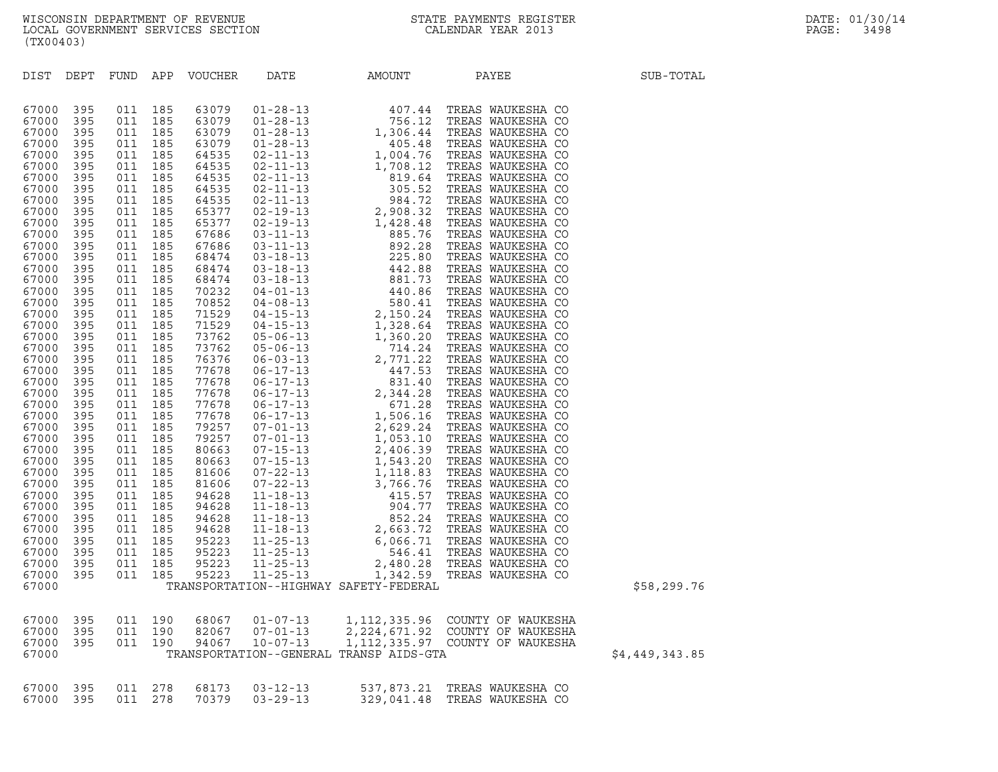| (TX00403)      |            |            |            |                       |                |                                         |                                                                                                                                                                                                                                                                                                                                           |                |
|----------------|------------|------------|------------|-----------------------|----------------|-----------------------------------------|-------------------------------------------------------------------------------------------------------------------------------------------------------------------------------------------------------------------------------------------------------------------------------------------------------------------------------------------|----------------|
| DIST           | DEPT       |            |            | FUND APP VOUCHER DATE |                | AMOUNT                                  | PAYEE                                                                                                                                                                                                                                                                                                                                     | SUB-TOTAL      |
| 67000          | 395        | 011        | 185        |                       |                |                                         | $\begin{tabular}{@{}c cccc} \multicolumn{1}{c}{\textbf{5.6 3079} } & 01-28-13 & 40-0.041 & 71-129\\ \hline 1 & 0.21 & 28-13 & 756.12 & \textbf{TREAS WALWESHA CO} \\ 2 & 0.3079 & 01-28-13 & 756.12 & \textbf{TRAS WALWESHA CO} \\ 2 & 0.3079 & 01-28-13 & 1,004.44 & \textbf{TRAS WALWESHA CO} \\ 2 & 0.41 & 104.76 & \textbf{TRAS WALW$ |                |
| 67000          | 395        | 011        | 185        |                       |                |                                         |                                                                                                                                                                                                                                                                                                                                           |                |
| 67000          | 395        | 011        | 185        |                       |                |                                         |                                                                                                                                                                                                                                                                                                                                           |                |
| 67000          | 395        | 011        | 185        |                       |                |                                         |                                                                                                                                                                                                                                                                                                                                           |                |
| 67000          | 395        | 011        | 185        |                       |                |                                         |                                                                                                                                                                                                                                                                                                                                           |                |
| 67000          | 395        | 011        | 185        |                       |                |                                         |                                                                                                                                                                                                                                                                                                                                           |                |
| 67000          | 395        | 011        | 185        |                       |                |                                         |                                                                                                                                                                                                                                                                                                                                           |                |
| 67000          | 395        | 011        | 185        |                       |                |                                         |                                                                                                                                                                                                                                                                                                                                           |                |
| 67000          | 395        | 011        | 185        |                       |                |                                         |                                                                                                                                                                                                                                                                                                                                           |                |
| 67000          | 395        | 011        | 185        |                       |                |                                         |                                                                                                                                                                                                                                                                                                                                           |                |
| 67000<br>67000 | 395<br>395 | 011<br>011 | 185<br>185 |                       |                |                                         |                                                                                                                                                                                                                                                                                                                                           |                |
| 67000          | 395        | 011        | 185        |                       |                |                                         |                                                                                                                                                                                                                                                                                                                                           |                |
| 67000          | 395        | 011        | 185        |                       |                |                                         |                                                                                                                                                                                                                                                                                                                                           |                |
| 67000          | 395        | 011        | 185        |                       |                |                                         |                                                                                                                                                                                                                                                                                                                                           |                |
| 67000          | 395        | 011        | 185        |                       |                |                                         |                                                                                                                                                                                                                                                                                                                                           |                |
| 67000          | 395        | 011        | 185        |                       |                |                                         |                                                                                                                                                                                                                                                                                                                                           |                |
| 67000          | 395        | 011        | 185        |                       |                |                                         |                                                                                                                                                                                                                                                                                                                                           |                |
| 67000          | 395        | 011        | 185        |                       |                |                                         |                                                                                                                                                                                                                                                                                                                                           |                |
| 67000          | 395        | 011        | 185        |                       |                |                                         |                                                                                                                                                                                                                                                                                                                                           |                |
| 67000          | 395        | 011        | 185        |                       |                |                                         |                                                                                                                                                                                                                                                                                                                                           |                |
| 67000          | 395        | 011        | 185        |                       |                |                                         |                                                                                                                                                                                                                                                                                                                                           |                |
| 67000          | 395        | 011        | 185        |                       |                |                                         |                                                                                                                                                                                                                                                                                                                                           |                |
| 67000          | 395        | 011        | 185        |                       |                |                                         |                                                                                                                                                                                                                                                                                                                                           |                |
| 67000          | 395        | 011        | 185        |                       |                |                                         |                                                                                                                                                                                                                                                                                                                                           |                |
| 67000          | 395        | 011        | 185        |                       |                |                                         |                                                                                                                                                                                                                                                                                                                                           |                |
| 67000          | 395        | 011        | 185        |                       |                |                                         |                                                                                                                                                                                                                                                                                                                                           |                |
| 67000          | 395        | 011<br>011 | 185<br>185 |                       |                |                                         |                                                                                                                                                                                                                                                                                                                                           |                |
| 67000<br>67000 | 395<br>395 | 011        | 185        |                       |                |                                         |                                                                                                                                                                                                                                                                                                                                           |                |
| 67000          | 395        | 011        | 185        |                       |                |                                         |                                                                                                                                                                                                                                                                                                                                           |                |
| 67000          | 395        | 011        | 185        |                       |                |                                         |                                                                                                                                                                                                                                                                                                                                           |                |
| 67000          | 395        | 011        | 185        |                       |                |                                         |                                                                                                                                                                                                                                                                                                                                           |                |
| 67000          | 395        | 011        | 185        |                       |                |                                         |                                                                                                                                                                                                                                                                                                                                           |                |
| 67000          | 395        | 011        | 185        |                       |                |                                         |                                                                                                                                                                                                                                                                                                                                           |                |
| 67000          | 395        | 011        | 185        |                       |                |                                         |                                                                                                                                                                                                                                                                                                                                           |                |
| 67000          | 395        | 011        | 185        |                       |                |                                         |                                                                                                                                                                                                                                                                                                                                           |                |
| 67000          | 395        | 011        | 185        |                       |                |                                         |                                                                                                                                                                                                                                                                                                                                           |                |
| 67000          | 395        | 011        | 185        |                       |                |                                         |                                                                                                                                                                                                                                                                                                                                           |                |
| 67000          | 395        | 011        | 185        |                       |                |                                         |                                                                                                                                                                                                                                                                                                                                           |                |
| 67000          | 395        | 011        | 185        |                       |                |                                         |                                                                                                                                                                                                                                                                                                                                           |                |
| 67000          | 395        | 011        |            | 185 95223             |                |                                         |                                                                                                                                                                                                                                                                                                                                           |                |
| 67000          |            |            |            |                       |                | TRANSPORTATION--HIGHWAY SAFETY-FEDERAL  |                                                                                                                                                                                                                                                                                                                                           | \$58,299.76    |
| 67000          | 395        | 011        | 190        | 68067                 | $01 - 07 - 13$ | 1, 112, 335.96                          | COUNTY OF WAUKESHA                                                                                                                                                                                                                                                                                                                        |                |
| 67000          | 395        | 011        | 190        | 82067                 | $07 - 01 - 13$ | 2, 224, 671.92                          | COUNTY OF WAUKESHA                                                                                                                                                                                                                                                                                                                        |                |
| 67000          | 395        | 011        | 190        | 94067                 | $10 - 07 - 13$ | 1, 112, 335.97                          | COUNTY OF WAUKESHA                                                                                                                                                                                                                                                                                                                        |                |
| 67000          |            |            |            |                       |                | TRANSPORTATION--GENERAL TRANSP AIDS-GTA |                                                                                                                                                                                                                                                                                                                                           | \$4,449,343.85 |
| 67000          | 395        | 011        | 278        | 68173                 | $03 - 12 - 13$ | 537,873.21                              | TREAS WAUKESHA CO                                                                                                                                                                                                                                                                                                                         |                |
| 67000          | 395        | 011        | 278        | 70379                 | $03 - 29 - 13$ | 329.041.48                              | TREAS WAUKESHA CO                                                                                                                                                                                                                                                                                                                         |                |

|  | 77, II <i>I, J</i> |  |  |
|--|--------------------|--|--|
|  |                    |  |  |
|  |                    |  |  |
|  |                    |  |  |

| 537,873.21 TREAS WAUKESHA CO<br>67000 395 011 278 68173 03-12-13<br>329,041.48 TREAS WAUKESHA CO<br>67000 395 011 278 70379 03-29-13 |  |  |  |  |
|--------------------------------------------------------------------------------------------------------------------------------------|--|--|--|--|
|                                                                                                                                      |  |  |  |  |
|                                                                                                                                      |  |  |  |  |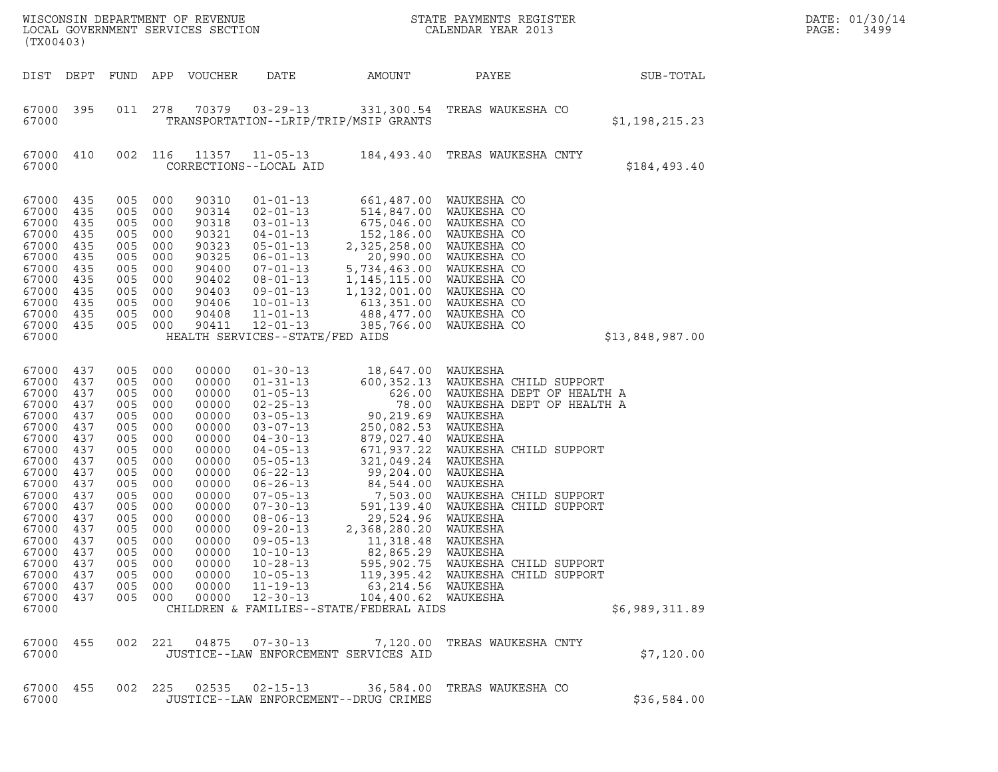| (TX00403)                                                                                                                                                                                          |                                                                                                                                                 |                                                                                                                                                     |                                                                                                                                          | WISCONSIN DEPARTMENT OF REVENUE<br>LOCAL GOVERNMENT SERVICES SECTION                                                                                                                      |                                                                                                                                                                                                                                                                                                                                                                                        |                                                                                                                                                                                                                                                                                                                    | STATE PAYMENTS REGISTER<br>CALENDAR YEAR 2013                                                                                                                                                                                                                                                                                                                          |                 | DATE: 01/30/14<br>PAGE:<br>3499 |
|----------------------------------------------------------------------------------------------------------------------------------------------------------------------------------------------------|-------------------------------------------------------------------------------------------------------------------------------------------------|-----------------------------------------------------------------------------------------------------------------------------------------------------|------------------------------------------------------------------------------------------------------------------------------------------|-------------------------------------------------------------------------------------------------------------------------------------------------------------------------------------------|----------------------------------------------------------------------------------------------------------------------------------------------------------------------------------------------------------------------------------------------------------------------------------------------------------------------------------------------------------------------------------------|--------------------------------------------------------------------------------------------------------------------------------------------------------------------------------------------------------------------------------------------------------------------------------------------------------------------|------------------------------------------------------------------------------------------------------------------------------------------------------------------------------------------------------------------------------------------------------------------------------------------------------------------------------------------------------------------------|-----------------|---------------------------------|
| DIST DEPT                                                                                                                                                                                          |                                                                                                                                                 | FUND                                                                                                                                                |                                                                                                                                          | APP VOUCHER                                                                                                                                                                               | DATE                                                                                                                                                                                                                                                                                                                                                                                   | AMOUNT                                                                                                                                                                                                                                                                                                             | PAYEE                                                                                                                                                                                                                                                                                                                                                                  | SUB-TOTAL       |                                 |
| 67000 395<br>67000                                                                                                                                                                                 |                                                                                                                                                 | 011                                                                                                                                                 | 278                                                                                                                                      | 70379                                                                                                                                                                                     | $03 - 29 - 13$                                                                                                                                                                                                                                                                                                                                                                         | TRANSPORTATION--LRIP/TRIP/MSIP GRANTS                                                                                                                                                                                                                                                                              | 331,300.54 TREAS WAUKESHA CO                                                                                                                                                                                                                                                                                                                                           | \$1,198,215.23  |                                 |
| 67000 410<br>67000                                                                                                                                                                                 |                                                                                                                                                 | 002                                                                                                                                                 | 116                                                                                                                                      | 11357                                                                                                                                                                                     | $11 - 05 - 13$<br>CORRECTIONS--LOCAL AID                                                                                                                                                                                                                                                                                                                                               |                                                                                                                                                                                                                                                                                                                    | 184,493.40 TREAS WAUKESHA CNTY                                                                                                                                                                                                                                                                                                                                         | \$184,493.40    |                                 |
| 67000<br>67000<br>67000<br>67000<br>67000<br>67000<br>67000<br>67000<br>67000<br>67000<br>67000<br>67000<br>67000                                                                                  | 435<br>435<br>435<br>435<br>435<br>435<br>435<br>435<br>435<br>435<br>435<br>435                                                                | 005<br>005<br>005<br>005<br>005<br>005<br>005<br>005<br>005<br>005<br>005<br>005                                                                    | 000<br>000<br>000<br>000<br>000<br>000<br>000<br>000<br>000<br>000<br>000<br>000                                                         | 90310<br>90314<br>90318<br>90321<br>90323<br>90325<br>90400<br>90402<br>90403<br>90406<br>90408<br>90411                                                                                  | $01 - 01 - 13$<br>$02 - 01 - 13$<br>$03 - 01 - 13$<br>$04 - 01 - 13$<br>$05 - 01 - 13$<br>$06 - 01 - 13$<br>$07 - 01 - 13$<br>$08 - 01 - 13$<br>$09 - 01 - 13$<br>$10 - 01 - 13$<br>$11 - 01 - 13$<br>$12 - 01 - 13$<br>HEALTH SERVICES--STATE/FED AIDS                                                                                                                                | 661,487.00<br>514,847.00<br>675,046.00<br>152,186.00<br>2,325,258.00<br>20,990.00<br>5,734,463.00<br>1, 145, 115.00<br>1,132,001.00<br>613,351.00<br>488,477.00<br>385,766.00                                                                                                                                      | WAUKESHA CO<br>WAUKESHA CO<br>WAUKESHA CO<br>WAUKESHA CO<br>WAUKESHA CO<br>WAUKESHA CO<br>WAUKESHA CO<br>WAUKESHA CO<br>WAUKESHA CO<br>WAUKESHA CO<br>WAUKESHA CO<br>WAUKESHA CO                                                                                                                                                                                       | \$13,848,987.00 |                                 |
| 67000<br>67000<br>67000<br>67000<br>67000<br>67000<br>67000<br>67000<br>67000<br>67000<br>67000<br>67000<br>67000<br>67000<br>67000<br>67000<br>67000<br>67000<br>67000<br>67000<br>67000<br>67000 | 437<br>437<br>437<br>437<br>437<br>437<br>437<br>437<br>437<br>437<br>437<br>437<br>437<br>437<br>437<br>437<br>437<br>437<br>437<br>437<br>437 | 005<br>005<br>005<br>005<br>005<br>005<br>005<br>005<br>005<br>005<br>005<br>005<br>005<br>005<br>005<br>005<br>005<br>005<br>005<br>005<br>005 000 | 000<br>000<br>000<br>000<br>000<br>000<br>000<br>000<br>000<br>000<br>000<br>000<br>000<br>000<br>000<br>000<br>000<br>000<br>000<br>000 | 00000<br>00000<br>00000<br>00000<br>00000<br>00000<br>00000<br>00000<br>00000<br>00000<br>00000<br>00000<br>00000<br>00000<br>00000<br>00000<br>00000<br>00000<br>00000<br>00000<br>00000 | $01 - 30 - 13$<br>$01 - 31 - 13$<br>$01 - 05 - 13$<br>$02 - 25 - 13$<br>$03 - 05 - 13$<br>$03 - 07 - 13$<br>$04 - 30 - 13$<br>$04 - 05 - 13$<br>$05 - 05 - 13$<br>$06 - 22 - 13$<br>$06 - 26 - 13$<br>$07 - 05 - 13$<br>$07 - 30 - 13$<br>$08 - 06 - 13$<br>$09 - 20 - 13$<br>$09 - 05 - 13$<br>$10 - 10 - 13$<br>$10 - 28 - 13$<br>$10 - 05 - 13$<br>$11 - 19 - 13$<br>$12 - 30 - 13$ | 18,647.00 WAUKESHA<br>626.00<br>90,219.69<br>250,082.53<br>879,027.40<br>671,937.22<br>321,049.24<br>99,204.00<br>84,544.00<br>7,503.00<br>591,139.40<br>29,524.96<br>2,368,280.20<br>11,318.48<br>82,865.29<br>595,902.75<br>63,214.56 WAUKESHA<br>104,400.62 WAUKESHA<br>CHILDREN & FAMILIES--STATE/FEDERAL AIDS | 600,352.13 WAUKESHA CHILD SUPPORT<br>WAUKESHA DEPT OF HEALTH A<br>78.00 WAUKESHA DEPT OF HEALTH A<br>WAUKESHA<br>WAUKESHA<br>WAUKESHA<br>WAUKESHA CHILD SUPPORT<br>WAUKESHA<br>WAUKESHA<br>WAUKESHA<br>WAUKESHA CHILD SUPPORT<br>WAUKESHA CHILD SUPPORT<br>WAUKESHA<br>WAUKESHA<br>WAUKESHA<br>WAUKESHA<br>WAUKESHA CHILD SUPPORT<br>119,395.42 WAUKESHA CHILD SUPPORT | \$6,989,311.89  |                                 |
| 67000 455<br>67000                                                                                                                                                                                 |                                                                                                                                                 |                                                                                                                                                     | 002 221                                                                                                                                  | 04875                                                                                                                                                                                     | $07 - 30 - 13$                                                                                                                                                                                                                                                                                                                                                                         | 7,120.00<br>JUSTICE--LAW ENFORCEMENT SERVICES AID                                                                                                                                                                                                                                                                  | TREAS WAUKESHA CNTY                                                                                                                                                                                                                                                                                                                                                    | \$7,120.00      |                                 |
| 67000 455<br>67000                                                                                                                                                                                 |                                                                                                                                                 | 002 225                                                                                                                                             |                                                                                                                                          | 02535                                                                                                                                                                                     | $02 - 15 - 13$                                                                                                                                                                                                                                                                                                                                                                         | 36,584.00<br>JUSTICE--LAW ENFORCEMENT--DRUG CRIMES                                                                                                                                                                                                                                                                 | TREAS WAUKESHA CO                                                                                                                                                                                                                                                                                                                                                      | \$36,584.00     |                                 |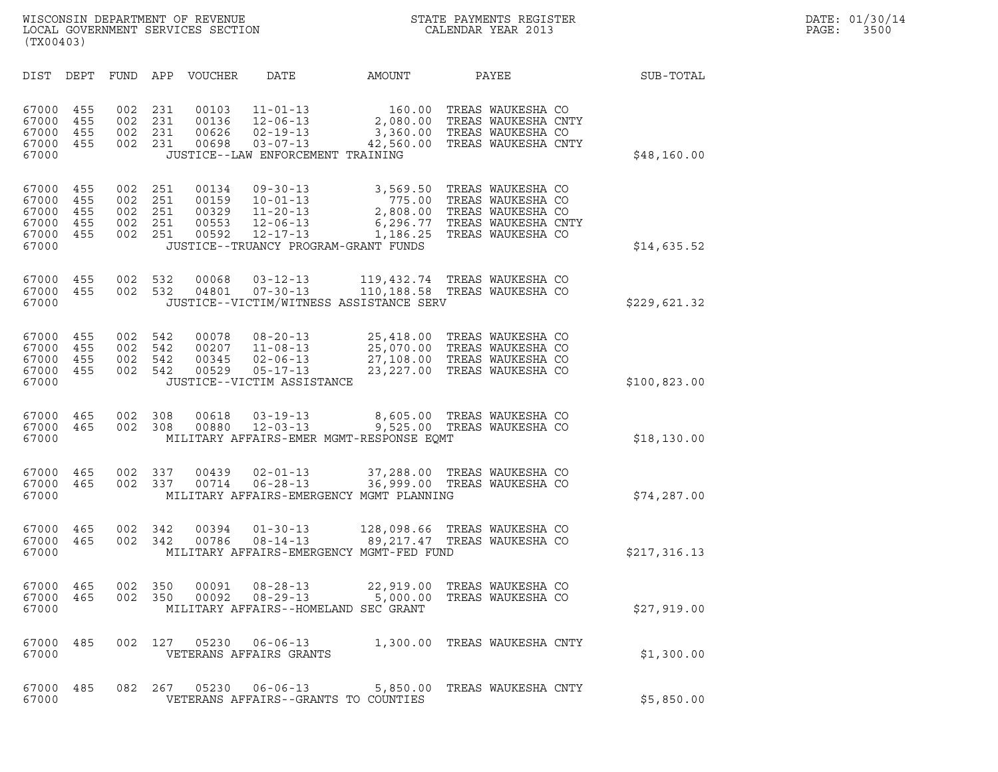| (TX00403)                                          |                                 |                                 |                                 |                                           |                                                                                                           |                                                                                                |                                                                                                         |              |
|----------------------------------------------------|---------------------------------|---------------------------------|---------------------------------|-------------------------------------------|-----------------------------------------------------------------------------------------------------------|------------------------------------------------------------------------------------------------|---------------------------------------------------------------------------------------------------------|--------------|
| DIST                                               | DEPT                            | FUND                            | APP                             | <b>VOUCHER</b>                            | DATE                                                                                                      | AMOUNT                                                                                         | PAYEE                                                                                                   | SUB-TOTAL    |
| 67000<br>67000<br>67000<br>67000<br>67000          | 455<br>455<br>455<br>455        | 002<br>002<br>002<br>002        | 231<br>231<br>231<br>231        | 00103<br>00136<br>00626<br>00698          | $11 - 01 - 13$<br>$12 - 06 - 13$<br>$02 - 19 - 13$<br>$03 - 07 - 13$<br>JUSTICE--LAW ENFORCEMENT TRAINING | 160.00<br>2,080.00<br>3,360.00<br>42,560.00                                                    | TREAS WAUKESHA CO<br>TREAS WAUKESHA CNTY<br>TREAS WAUKESHA CO<br>TREAS WAUKESHA CNTY                    | \$48,160.00  |
| 67000<br>67000<br>67000<br>67000<br>67000<br>67000 | 455<br>455<br>455<br>455<br>455 | 002<br>002<br>002<br>002<br>002 | 251<br>251<br>251<br>251<br>251 | 00134<br>00159<br>00329<br>00553<br>00592 | $09 - 30 - 13$<br>$10 - 01 - 13$<br>$11 - 20 - 13$<br>$12 - 06 - 13$<br>$12 - 17 - 13$                    | 3,569.50<br>775.00<br>2,808.00<br>6,296.77<br>1,186.25<br>JUSTICE--TRUANCY PROGRAM-GRANT FUNDS | TREAS WAUKESHA CO<br>TREAS WAUKESHA CO<br>TREAS WAUKESHA CO<br>TREAS WAUKESHA CNTY<br>TREAS WAUKESHA CO | \$14,635.52  |
| 67000<br>67000<br>67000                            | 455<br>455                      | 002<br>002                      | 532<br>532                      | 00068<br>04801                            | $03 - 12 - 13$<br>$07 - 30 - 13$                                                                          | JUSTICE--VICTIM/WITNESS ASSISTANCE SERV                                                        | 119,432.74 TREAS WAUKESHA CO<br>110,188.58 TREAS WAUKESHA CO                                            | \$229,621.32 |
| 67000<br>67000<br>67000<br>67000<br>67000          | 455<br>455<br>455<br>455        | 002<br>002<br>002<br>002        | 542<br>542<br>542<br>542        | 00078<br>00207<br>00345<br>00529          | $08 - 20 - 13$<br>$11 - 08 - 13$<br>$02 - 06 - 13$<br>$05 - 17 - 13$<br>JUSTICE--VICTIM ASSISTANCE        | 25,418.00<br>25,070.00<br>23,227.00                                                            | TREAS WAUKESHA CO<br>TREAS WAUKESHA CO<br>27,108.00 TREAS WAUKESHA CO<br>TREAS WAUKESHA CO              | \$100,823.00 |
| 67000<br>67000<br>67000                            | 465<br>465                      | 002<br>002                      | 308<br>308                      | 00618<br>00880                            | $03 - 19 - 13$<br>$12 - 03 - 13$                                                                          | 8,605.00<br>9,525.00<br>MILITARY AFFAIRS-EMER MGMT-RESPONSE EQMT                               | TREAS WAUKESHA CO<br>TREAS WAUKESHA CO                                                                  | \$18,130.00  |
| 67000<br>67000<br>67000                            | 465<br>465                      | 002<br>002                      | 337<br>337                      | 00439<br>00714                            | $02 - 01 - 13$<br>$06 - 28 - 13$                                                                          | 37,288.00<br>36,999.00<br>MILITARY AFFAIRS-EMERGENCY MGMT PLANNING                             | TREAS WAUKESHA CO<br>TREAS WAUKESHA CO                                                                  | \$74, 287.00 |
| 67000<br>67000<br>67000                            | 465<br>465                      | 002<br>002                      | 342<br>342                      | 00394<br>00786                            | $01 - 30 - 13$<br>$08 - 14 - 13$                                                                          | 128,098.66<br>89,217.47<br>MILITARY AFFAIRS-EMERGENCY MGMT-FED FUND                            | TREAS WAUKESHA CO<br>TREAS WAUKESHA CO                                                                  | \$217,316.13 |
| 67000<br>67000<br>67000                            | 465<br>465                      | 002<br>002                      | 350<br>350                      | 00091<br>00092                            | $08 - 28 - 13$<br>$08 - 29 - 13$                                                                          | 22,919.00<br>5,000.00<br>MILITARY AFFAIRS--HOMELAND SEC GRANT                                  | TREAS WAUKESHA CO<br>TREAS WAUKESHA CO                                                                  | \$27,919.00  |
| 67000<br>67000                                     | 485                             | 002                             | 127                             |                                           | 05230 06-06-13<br>VETERANS AFFAIRS GRANTS                                                                 |                                                                                                | 1,300.00 TREAS WAUKESHA CNTY                                                                            | \$1,300.00   |
| 67000<br>67000                                     | 485                             | 082                             | 267                             | 05230                                     |                                                                                                           | VETERANS AFFAIRS--GRANTS TO COUNTIES                                                           | 06-06-13 5,850.00 TREAS WAUKESHA CNTY                                                                   | \$5,850.00   |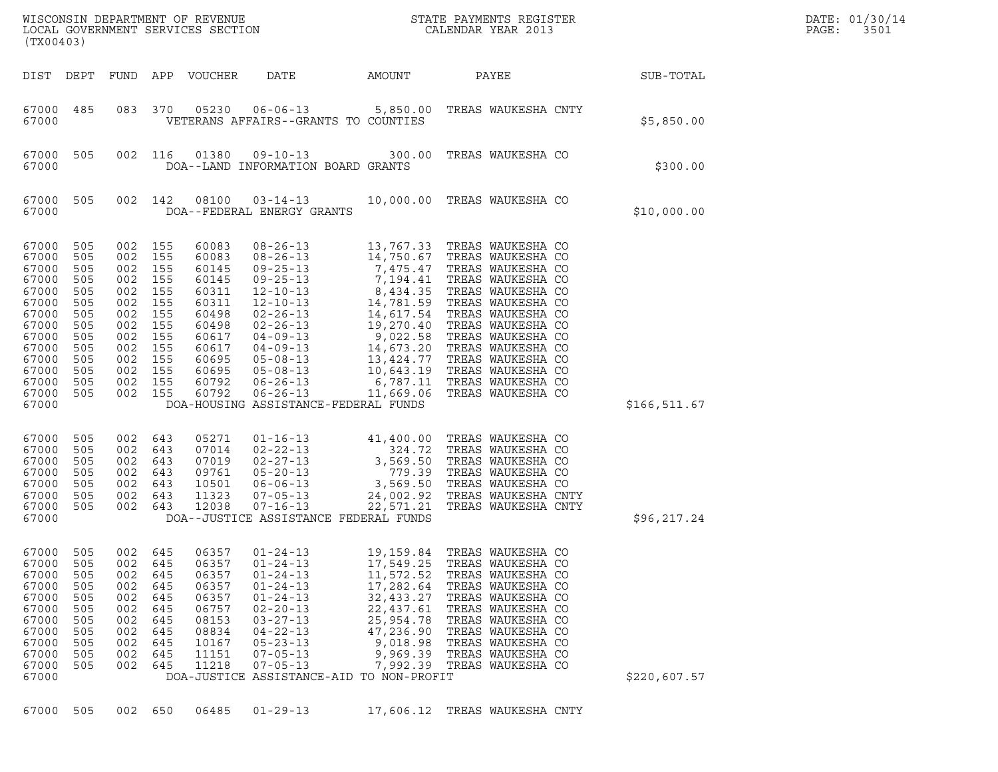| (TX00403)                                                                                                                           |                                                                                                |                                                                                          |                                                                                          |                                                                                                                            |                                                                                                                                                                                                                                                |                                                                                                                              | $\tt WISCONSIM DEPARTMENT OF REVENUE$ $\tt WISCONSIM EN THE BAYMENTS REGISTERLOCAL GOVERNMENT SERVICES SECTION CALENDAR YEAR 2013$                                                                                                                                                                     |               | DATE: 01/30/14<br>PAGE:<br>3501 |
|-------------------------------------------------------------------------------------------------------------------------------------|------------------------------------------------------------------------------------------------|------------------------------------------------------------------------------------------|------------------------------------------------------------------------------------------|----------------------------------------------------------------------------------------------------------------------------|------------------------------------------------------------------------------------------------------------------------------------------------------------------------------------------------------------------------------------------------|------------------------------------------------------------------------------------------------------------------------------|--------------------------------------------------------------------------------------------------------------------------------------------------------------------------------------------------------------------------------------------------------------------------------------------------------|---------------|---------------------------------|
|                                                                                                                                     | DIST DEPT                                                                                      |                                                                                          |                                                                                          | FUND APP VOUCHER                                                                                                           | DATE<br>AMOUNT                                                                                                                                                                                                                                 |                                                                                                                              | PAYEE                                                                                                                                                                                                                                                                                                  | SUB-TOTAL     |                                 |
| 67000                                                                                                                               | 67000 485                                                                                      |                                                                                          | 083 370                                                                                  |                                                                                                                            | VETERANS AFFAIRS--GRANTS TO COUNTIES                                                                                                                                                                                                           |                                                                                                                              | 05230  06-06-13  5,850.00  TREAS WAUKESHA CNTY                                                                                                                                                                                                                                                         | \$5,850.00    |                                 |
| 67000<br>67000                                                                                                                      | 505                                                                                            |                                                                                          | 002 116                                                                                  | 01380                                                                                                                      | DOA--LAND INFORMATION BOARD GRANTS                                                                                                                                                                                                             |                                                                                                                              | 09-10-13 300.00 TREAS WAUKESHA CO                                                                                                                                                                                                                                                                      | \$300.00      |                                 |
| 67000<br>67000                                                                                                                      | 505                                                                                            |                                                                                          | 002 142                                                                                  |                                                                                                                            | DOA--FEDERAL ENERGY GRANTS                                                                                                                                                                                                                     |                                                                                                                              | 08100  03-14-13  10,000.00  TREAS WAUKESHA CO                                                                                                                                                                                                                                                          | \$10,000.00   |                                 |
| 67000<br>67000<br>67000<br>67000<br>67000<br>67000<br>67000<br>67000<br>67000<br>67000<br>67000<br>67000<br>67000<br>67000<br>67000 | 505<br>505<br>505<br>505<br>505<br>505<br>505<br>505<br>505<br>505<br>505<br>505<br>505<br>505 | 002<br>002<br>002<br>002<br>002<br>002<br>002<br>002<br>002<br>002<br>002 155<br>002 155 | 002 155<br>155<br>002 155<br>155<br>155<br>155<br>155<br>155<br>155<br>155<br>155<br>155 | 60083<br>60083<br>60145<br>60145<br>60311<br>60311<br>60498<br>60498<br>60617<br>60617<br>60695<br>60695<br>60792<br>60792 | $08 - 26 - 13$<br>DOA-HOUSING ASSISTANCE-FEDERAL FUNDS                                                                                                                                                                                         |                                                                                                                              | 13,767.33 TREAS WAUKESHA CO                                                                                                                                                                                                                                                                            | \$166, 511.67 |                                 |
| 67000<br>67000<br>67000<br>67000<br>67000<br>67000<br>67000<br>67000                                                                | 505<br>505<br>505<br>505<br>505<br>505<br>505                                                  | 002<br>002<br>002<br>002<br>002<br>002                                                   | 643<br>643<br>643<br>643<br>643<br>643<br>002 643                                        | 05271<br>07014<br>07019<br>09761<br>10501<br>11323<br>12038                                                                | DOA--JUSTICE ASSISTANCE FEDERAL FUNDS                                                                                                                                                                                                          |                                                                                                                              | 01-16-13<br>02-22-13<br>02-27-13<br>324.72 TREAS WAUKESHA CO<br>02-27-13<br>3,569.50 TREAS WAUKESHA CO<br>06-06-13<br>3,569.50 TREAS WAUKESHA CO<br>07-05-13<br>24,002.92 TREAS WAUKESHA CNT<br>07-16-13<br>22,571.21 TREAS WAUKESHA CNT<br>07-16-13<br><br>TREAS WAUKESHA CNTY<br>TREAS WAUKESHA CNTY | \$96,217.24   |                                 |
| 67000<br>67000<br>67000<br>67000<br>67000<br>67000<br>67000<br>67000<br>67000<br>67000<br>67000<br>67000                            | 505<br>505<br>505<br>505<br>505<br>505<br>505<br>505<br>505<br>505<br>505                      | 002<br>002<br>002<br>002<br>002<br>002<br>002<br>002<br>002<br>002<br>002                | 645<br>645<br>645<br>645<br>645<br>645<br>645<br>645<br>645<br>645<br>645                | 06357<br>06357<br>06357<br>06357<br>06357<br>06757<br>08153<br>08834<br>10167<br>11151<br>11218                            | $01 - 24 - 13$<br>$01 - 24 - 13$<br>$01 - 24 - 13$<br>$01 - 24 - 13$<br>$01 - 24 - 13$<br>$02 - 20 - 13$<br>$03 - 27 - 13$<br>$04 - 22 - 13$<br>$05 - 23 - 13$<br>$07 - 05 - 13$<br>$07 - 05 - 13$<br>DOA-JUSTICE ASSISTANCE-AID TO NON-PROFIT | 19,159.84<br>17,549.25<br>11,572.52<br>17,282.64<br>32,433.27<br>22,437.61<br>25,954.78<br>47,236.90<br>9,018.98<br>9,969.39 | TREAS WAUKESHA CO<br>TREAS WAUKESHA CO<br>TREAS WAUKESHA CO<br>TREAS WAUKESHA CO<br>TREAS WAUKESHA CO<br>TREAS WAUKESHA CO<br>TREAS WAUKESHA CO<br>TREAS WAUKESHA CO<br>TREAS WAUKESHA CO<br>TREAS WAUKESHA CO<br>7,992.39 TREAS WAUKESHA CO                                                           | \$220,607.57  |                                 |
|                                                                                                                                     | 67000 505                                                                                      |                                                                                          | 002 650                                                                                  | 06485                                                                                                                      | $01 - 29 - 13$                                                                                                                                                                                                                                 |                                                                                                                              | 17,606.12 TREAS WAUKESHA CNTY                                                                                                                                                                                                                                                                          |               |                                 |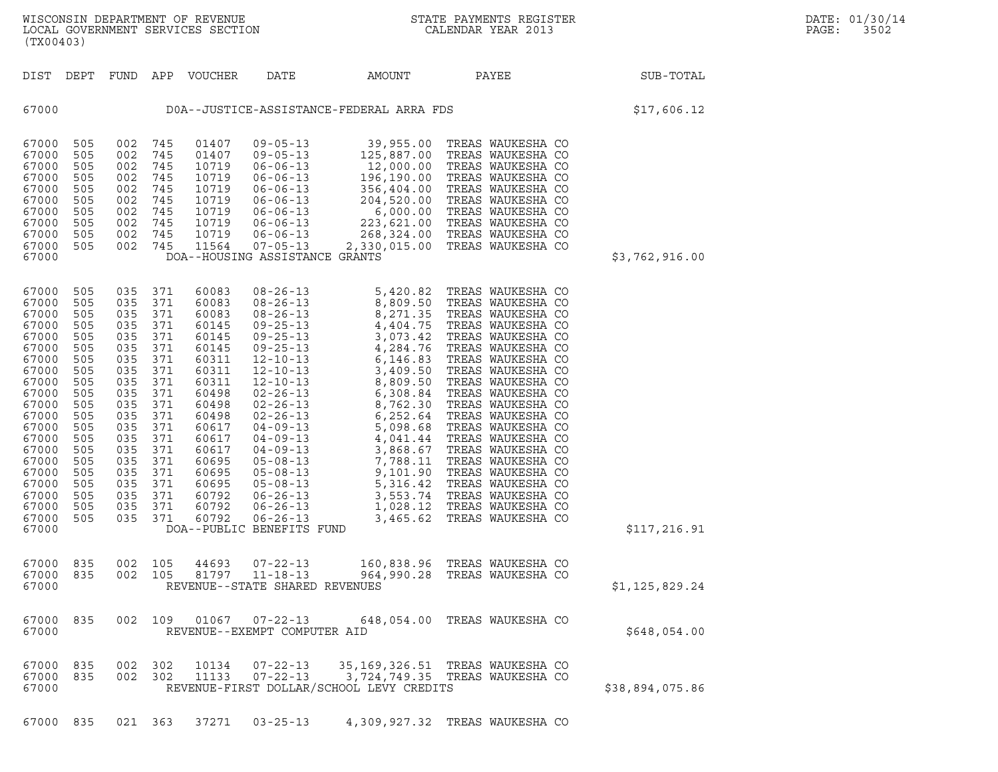| (TX00403)                                                                                                                                                                                                                                                                                                                                             |                                                                                                                                                 |                                                                                                                                                 |                                                                                                                                                                                           |                                                                                                                                                                                                                                                                                                                                                                                                                     |                                                                                              |                                                                                                                                                                                                                                                                                                                                                                                                                                                                                                                                                                            |                 |
|-------------------------------------------------------------------------------------------------------------------------------------------------------------------------------------------------------------------------------------------------------------------------------------------------------------------------------------------------------|-------------------------------------------------------------------------------------------------------------------------------------------------|-------------------------------------------------------------------------------------------------------------------------------------------------|-------------------------------------------------------------------------------------------------------------------------------------------------------------------------------------------|---------------------------------------------------------------------------------------------------------------------------------------------------------------------------------------------------------------------------------------------------------------------------------------------------------------------------------------------------------------------------------------------------------------------|----------------------------------------------------------------------------------------------|----------------------------------------------------------------------------------------------------------------------------------------------------------------------------------------------------------------------------------------------------------------------------------------------------------------------------------------------------------------------------------------------------------------------------------------------------------------------------------------------------------------------------------------------------------------------------|-----------------|
| DIST<br>DEPT                                                                                                                                                                                                                                                                                                                                          | FUND                                                                                                                                            | APP                                                                                                                                             | VOUCHER                                                                                                                                                                                   | DATE                                                                                                                                                                                                                                                                                                                                                                                                                | AMOUNT                                                                                       | PAYEE                                                                                                                                                                                                                                                                                                                                                                                                                                                                                                                                                                      | SUB-TOTAL       |
| 67000                                                                                                                                                                                                                                                                                                                                                 |                                                                                                                                                 |                                                                                                                                                 |                                                                                                                                                                                           |                                                                                                                                                                                                                                                                                                                                                                                                                     | DOA--JUSTICE-ASSISTANCE-FEDERAL ARRA FDS                                                     |                                                                                                                                                                                                                                                                                                                                                                                                                                                                                                                                                                            | \$17,606.12     |
| 505<br>67000<br>505<br>67000<br>67000<br>505<br>67000<br>505<br>67000<br>505<br>67000<br>505<br>67000<br>505<br>67000<br>505<br>505<br>67000<br>67000<br>505<br>67000                                                                                                                                                                                 | 002<br>002<br>002<br>002<br>002<br>002<br>002<br>002<br>002<br>002                                                                              | 745<br>745<br>745<br>745<br>745<br>745<br>745<br>745<br>745<br>745                                                                              | 01407<br>01407<br>10719<br>10719<br>10719<br>10719<br>10719<br>10719<br>10719<br>11564                                                                                                    | $09 - 05 - 13$<br>$09 - 05 - 13$<br>$06 - 06 - 13$<br>$06 - 06 - 13$<br>$06 - 06 - 13$<br>$06 - 06 - 13$<br>$06 - 06 - 13$<br>$06 - 06 - 13$<br>$06 - 06 - 13$<br>$07 - 05 - 13$                                                                                                                                                                                                                                    | 39,955.00<br>125,887.00<br>12,000.00<br>196,190.00<br>DOA--HOUSING ASSISTANCE GRANTS         | TREAS WAUKESHA CO<br>TREAS WAUKESHA CO<br>TREAS WAUKESHA CO<br>TREAS WAUKESHA CO                                                                                                                                                                                                                                                                                                                                                                                                                                                                                           | \$3,762,916.00  |
| 505<br>67000<br>505<br>67000<br>67000<br>505<br>505<br>67000<br>67000<br>505<br>67000<br>505<br>67000<br>505<br>67000<br>505<br>67000<br>505<br>67000<br>505<br>67000<br>505<br>67000<br>505<br>67000<br>505<br>67000<br>505<br>67000<br>505<br>67000<br>505<br>67000<br>505<br>67000<br>505<br>67000<br>505<br>505<br>67000<br>67000<br>505<br>67000 | 035<br>035<br>035<br>035<br>035<br>035<br>035<br>035<br>035<br>035<br>035<br>035<br>035<br>035<br>035<br>035<br>035<br>035<br>035<br>035<br>035 | 371<br>371<br>371<br>371<br>371<br>371<br>371<br>371<br>371<br>371<br>371<br>371<br>371<br>371<br>371<br>371<br>371<br>371<br>371<br>371<br>371 | 60083<br>60083<br>60083<br>60145<br>60145<br>60145<br>60311<br>60311<br>60311<br>60498<br>60498<br>60498<br>60617<br>60617<br>60617<br>60695<br>60695<br>60695<br>60792<br>60792<br>60792 | $08 - 26 - 13$<br>$08 - 26 - 13$<br>$08 - 26 - 13$<br>$09 - 25 - 13$<br>$09 - 25 - 13$<br>$09 - 25 - 13$<br>$12 - 10 - 13$<br>$12 - 10 - 13$<br>$12 - 10 - 13$<br>$02 - 26 - 13$<br>$02 - 26 - 13$<br>$02 - 26 - 13$<br>$04 - 09 - 13$<br>$04 - 09 - 13$<br>$04 - 09 - 13$<br>$05 - 08 - 13$<br>$05 - 08 - 13$<br>$05 - 08 - 13$<br>$06 - 26 - 13$<br>$06 - 26 - 13$<br>$06 - 26 - 13$<br>DOA--PUBLIC BENEFITS FUND | 8,809.50<br>8,271.35<br>4,404.75<br>3,073.42<br>4,284.76<br>6,146.83<br>3,409.50<br>5,316.42 | 5,420.82 TREAS WAUKESHA CO<br>TREAS WAUKESHA CO<br>TREAS WAUKESHA CO<br>TREAS WAUKESHA CO<br>TREAS WAUKESHA CO<br>TREAS WAUKESHA CO<br>TREAS WAUKESHA CO<br>TREAS WAUKESHA CO<br>8,809.50 TREAS WAUALSHA CO<br>6,308.84 TREAS WAUKESHA CO<br>8,762.30 TREAS WAUKESHA CO<br>6,252.64 TREAS WAUKESHA CO<br>5,098.68 TREAS WAUKESHA CO<br>4,041.44 TREAS WAUKESHA CO<br>3,868.67 TREAS WAUKESHA CO<br>7,788.11 TREAS WAUKESHA CO<br>9,101.90 TREAS WAUKESHA CO<br>TREAS WAUKESHA CO<br>3,553.74 TREAS WAUKESHA CO<br>1,028.12 TREAS WAUKESHA CO<br>3,465.62 TREAS WAUKESHA CO | \$117,216.91    |
| 67000<br>835<br>67000<br>835<br>67000                                                                                                                                                                                                                                                                                                                 | 002<br>002                                                                                                                                      | 105<br>105                                                                                                                                      | 44693<br>81797                                                                                                                                                                            | $07 - 22 - 13$<br>$11 - 18 - 13$                                                                                                                                                                                                                                                                                                                                                                                    | REVENUE--STATE SHARED REVENUES                                                               | 160,838.96 TREAS WAUKESHA CO<br>964,990.28 TREAS WAUKESHA CO                                                                                                                                                                                                                                                                                                                                                                                                                                                                                                               | \$1,125,829.24  |
| 67000<br>835<br>67000                                                                                                                                                                                                                                                                                                                                 | 002                                                                                                                                             | 109                                                                                                                                             | 01067                                                                                                                                                                                     | $07 - 22 - 13$<br>REVENUE--EXEMPT COMPUTER AID                                                                                                                                                                                                                                                                                                                                                                      |                                                                                              | 648,054.00 TREAS WAUKESHA CO                                                                                                                                                                                                                                                                                                                                                                                                                                                                                                                                               | \$648,054.00    |
| 835<br>67000<br>67000<br>835<br>67000                                                                                                                                                                                                                                                                                                                 | 002<br>002                                                                                                                                      | 302<br>302                                                                                                                                      | 10134<br>11133                                                                                                                                                                            | $07 - 22 - 13$<br>$07 - 22 - 13$                                                                                                                                                                                                                                                                                                                                                                                    | 35, 169, 326.51<br>3,724,749.35<br>REVENUE-FIRST DOLLAR/SCHOOL LEVY CREDITS                  | TREAS WAUKESHA CO<br>TREAS WAUKESHA CO                                                                                                                                                                                                                                                                                                                                                                                                                                                                                                                                     | \$38,894,075.86 |

67000 835 021 363 37271 03-25-13 4,309,927.32 TREAS WAUKESHA CO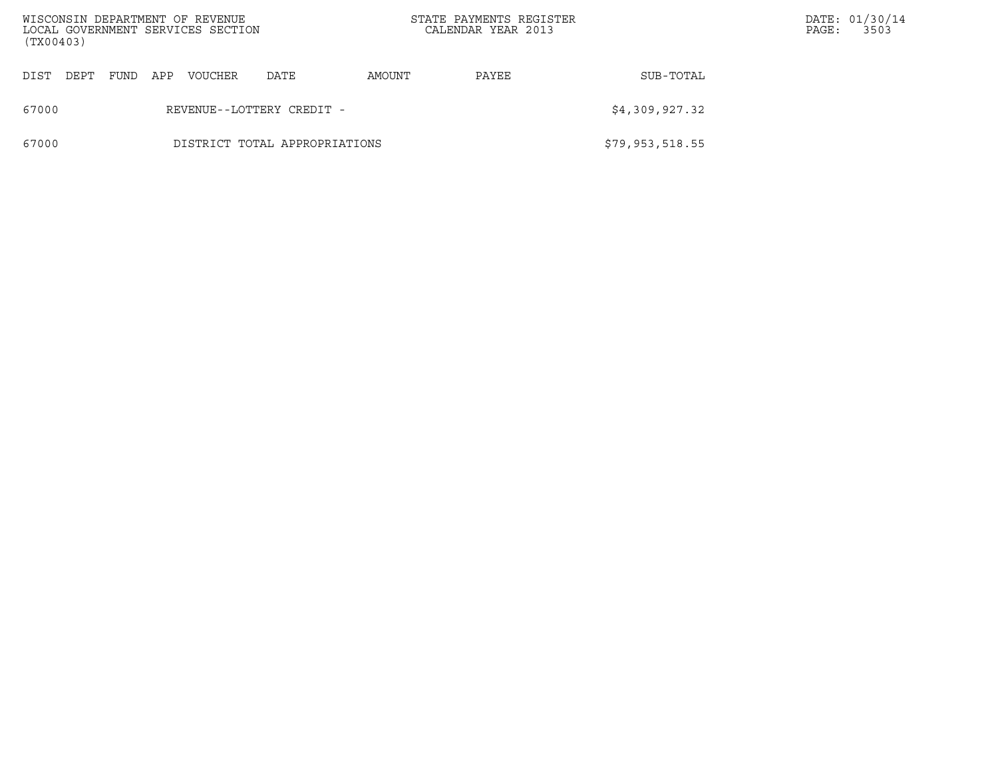| (TX00403) |                               |      |     | WISCONSIN DEPARTMENT OF REVENUE<br>LOCAL GOVERNMENT SERVICES SECTION |                           |                              | STATE PAYMENTS REGISTER<br>CALENDAR YEAR 2013 |                 | PAGE: | DATE: 01/30/14<br>3503 |
|-----------|-------------------------------|------|-----|----------------------------------------------------------------------|---------------------------|------------------------------|-----------------------------------------------|-----------------|-------|------------------------|
| DIST      | DEPT                          | FUND | APP | VOUCHER                                                              | DATE                      | SUB-TOTAL<br>AMOUNT<br>PAYEE |                                               |                 |       |                        |
| 67000     |                               |      |     |                                                                      | REVENUE--LOTTERY CREDIT - |                              |                                               | \$4,309,927.32  |       |                        |
| 67000     | DISTRICT TOTAL APPROPRIATIONS |      |     |                                                                      |                           |                              |                                               | \$79,953,518.55 |       |                        |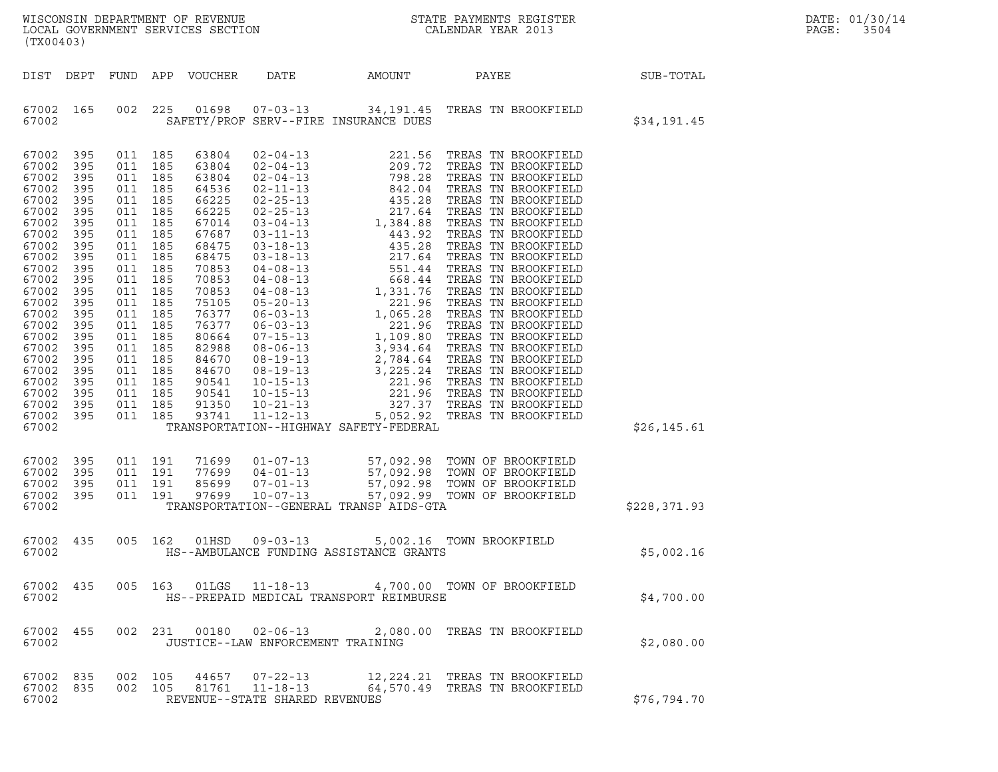| WISCONSIN DEPARTMENT OF REVENUE   | STATE PAYMENTS REGISTER | DATE: 01/30/14 |
|-----------------------------------|-------------------------|----------------|
| LOCAL GOVERNMENT SERVICES SECTION | CALENDAR YEAR 2013      | PAGE:<br>3504  |

| (TX00403)                                                                                                                                                                                                                         |                                                                                                                                                               |                                                                                                                                                                                                               |                                                     |                                                                                                                                                                                                                      |                                                                    |                                         | WISCONSIN DEPARTMENT OF REVENUE<br>LOCAL GOVERNMENT SERVICES SECTION<br>(TY00403)                                                                                | $\mathbb{R}^n$ | DATE: 01/30/14<br>PAGE:<br>3504 |
|-----------------------------------------------------------------------------------------------------------------------------------------------------------------------------------------------------------------------------------|---------------------------------------------------------------------------------------------------------------------------------------------------------------|---------------------------------------------------------------------------------------------------------------------------------------------------------------------------------------------------------------|-----------------------------------------------------|----------------------------------------------------------------------------------------------------------------------------------------------------------------------------------------------------------------------|--------------------------------------------------------------------|-----------------------------------------|------------------------------------------------------------------------------------------------------------------------------------------------------------------|----------------|---------------------------------|
| DIST                                                                                                                                                                                                                              | DEPT                                                                                                                                                          |                                                                                                                                                                                                               |                                                     | FUND APP VOUCHER                                                                                                                                                                                                     |                                                                    |                                         | DATE AMOUNT PAYEE SUB-TOTAL                                                                                                                                      |                |                                 |
| 67002 165<br>67002                                                                                                                                                                                                                |                                                                                                                                                               |                                                                                                                                                                                                               | 002 225                                             | 01698                                                                                                                                                                                                                |                                                                    | SAFETY/PROF SERV--FIRE INSURANCE DUES   | 07-03-13 34,191.45 TREAS TN BROOKFIELD                                                                                                                           | \$34,191.45    |                                 |
| 67002<br>67002<br>67002<br>67002<br>67002<br>67002<br>67002<br>67002<br>67002<br>67002<br>67002<br>67002<br>67002<br>67002<br>67002<br>67002<br>67002<br>67002<br>67002<br>67002<br>67002<br>67002<br>67002<br>67002 395<br>67002 | 395<br>395<br>395<br>395<br>395<br>395<br>395<br>395<br>395<br>395<br>395<br>395<br>395<br>395<br>395<br>395<br>395<br>395<br>395<br>395<br>395<br>395<br>395 | 011 185<br>011 185<br>011 185<br>011 185<br>011 185<br>011 185<br>011 185<br>011 185<br>011 185<br>011 185<br>011 185<br>011 185<br>011 185<br>011 185<br>011 185<br>011 185<br>011 185<br>011 185<br>011 185 | 011 185<br>011 185<br>011 185<br>011 185<br>011 185 | 63804<br>63804<br>63804<br>64536<br>66225<br>66225<br>67014<br>67687<br>68475<br>68475<br>70853<br>70853<br>70853<br>75105<br>76377<br>76377<br>80664<br>82988<br>84670<br>84670<br>90541<br>90541<br>91350<br>93741 |                                                                    | TRANSPORTATION--HIGHWAY SAFETY-FEDERAL  |                                                                                                                                                                  | \$26, 145.61   |                                 |
| 67002<br>67002<br>67002<br>67002<br>67002                                                                                                                                                                                         | 395<br>395<br>395<br>395                                                                                                                                      |                                                                                                                                                                                                               | 011 191<br>011 191<br>011 191<br>011 191            | 71699<br>77699<br>85699<br>97699                                                                                                                                                                                     |                                                                    | TRANSPORTATION--GENERAL TRANSP AIDS-GTA | 01-07-13 57,092.98 TOWN OF BROOKFIELD<br>04-01-13 57,092.98 TOWN OF BROOKFIELD<br>07-01-13 57,092.98 TOWN OF BROOKFIELD<br>10-07-13 57,092.99 TOWN OF BROOKFIELD | \$228,371.93   |                                 |
| 67002<br>67002                                                                                                                                                                                                                    | 435                                                                                                                                                           |                                                                                                                                                                                                               | 005 162                                             | 01HSD                                                                                                                                                                                                                |                                                                    | HS--AMBULANCE FUNDING ASSISTANCE GRANTS | 09-03-13 5,002.16 TOWN BROOKFIELD                                                                                                                                | \$5,002.16     |                                 |
| 67002 435<br>67002                                                                                                                                                                                                                |                                                                                                                                                               |                                                                                                                                                                                                               |                                                     |                                                                                                                                                                                                                      |                                                                    | HS--PREPAID MEDICAL TRANSPORT REIMBURSE | 005  163  01LGS  11-18-13  4,700.00  TOWN OF BROOKFIELD                                                                                                          | \$4,700.00     |                                 |
| 67002<br>67002                                                                                                                                                                                                                    | 455                                                                                                                                                           |                                                                                                                                                                                                               |                                                     |                                                                                                                                                                                                                      | 002 231 00180 02-06-13<br>JUSTICE--LAW ENFORCEMENT TRAINING        |                                         | 2,080.00 TREAS TN BROOKFIELD                                                                                                                                     | \$2,080.00     |                                 |
| 67002 835<br>67002 835<br>67002                                                                                                                                                                                                   |                                                                                                                                                               |                                                                                                                                                                                                               | 002 105<br>002 105                                  | 44657<br>81761                                                                                                                                                                                                       | $07 - 22 - 13$<br>$11 - 18 - 13$<br>REVENUE--STATE SHARED REVENUES |                                         | 12,224.21 TREAS TN BROOKFIELD<br>64,570.49 TREAS TN BROOKFIELD                                                                                                   | \$76, 794.70   |                                 |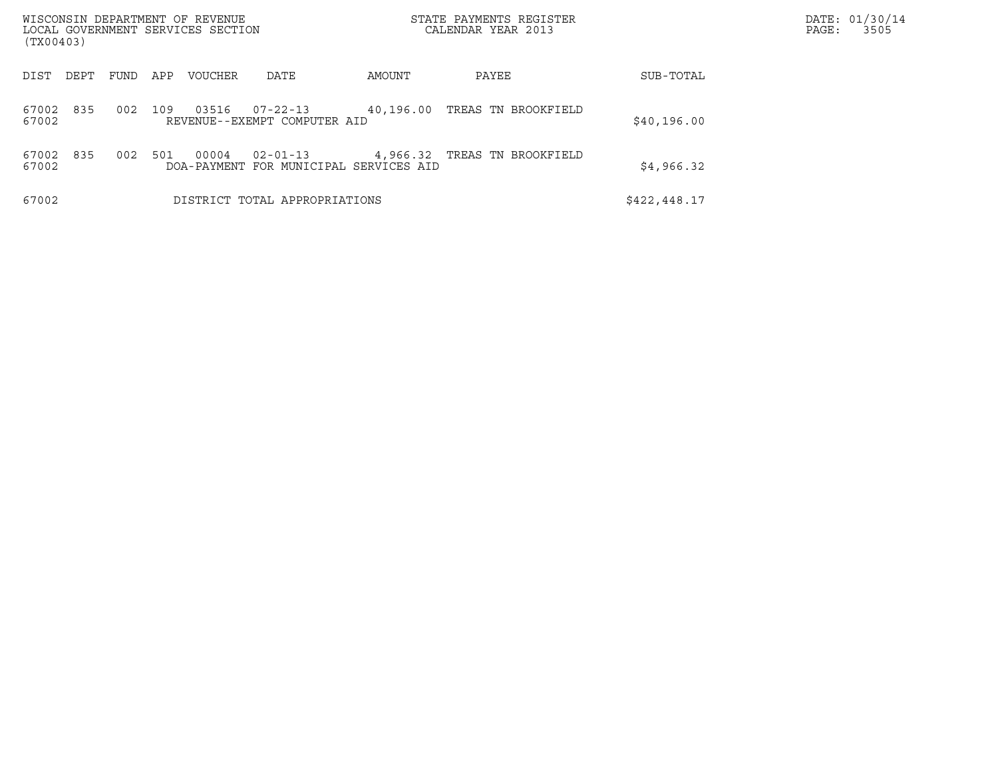| WISCONSIN DEPARTMENT OF REVENUE<br>LOCAL GOVERNMENT SERVICES SECTION<br>(TX00403) |      |     |                |                                                    |        | STATE PAYMENTS REGISTER<br>CALENDAR YEAR 2013 |              | DATE: 01/30/14<br>PAGE:<br>3505 |
|-----------------------------------------------------------------------------------|------|-----|----------------|----------------------------------------------------|--------|-----------------------------------------------|--------------|---------------------------------|
| DIST<br>DEPT                                                                      | FUND | APP | <b>VOUCHER</b> | DATE                                               | AMOUNT | PAYEE                                         | SUB-TOTAL    |                                 |
| 835<br>67002<br>67002                                                             | 002  | 109 | 03516          | $07 - 22 - 13$<br>REVENUE--EXEMPT COMPUTER AID     |        | 40,196.00 TREAS TN BROOKFIELD                 | \$40,196.00  |                                 |
| 835<br>67002<br>67002                                                             | 002  | 501 | 00004          | 02-01-13<br>DOA-PAYMENT FOR MUNICIPAL SERVICES AID |        | 4,966.32 TREAS TN BROOKFIELD                  | \$4,966.32   |                                 |
| 67002                                                                             |      |     |                | DISTRICT TOTAL APPROPRIATIONS                      |        |                                               | \$422,448.17 |                                 |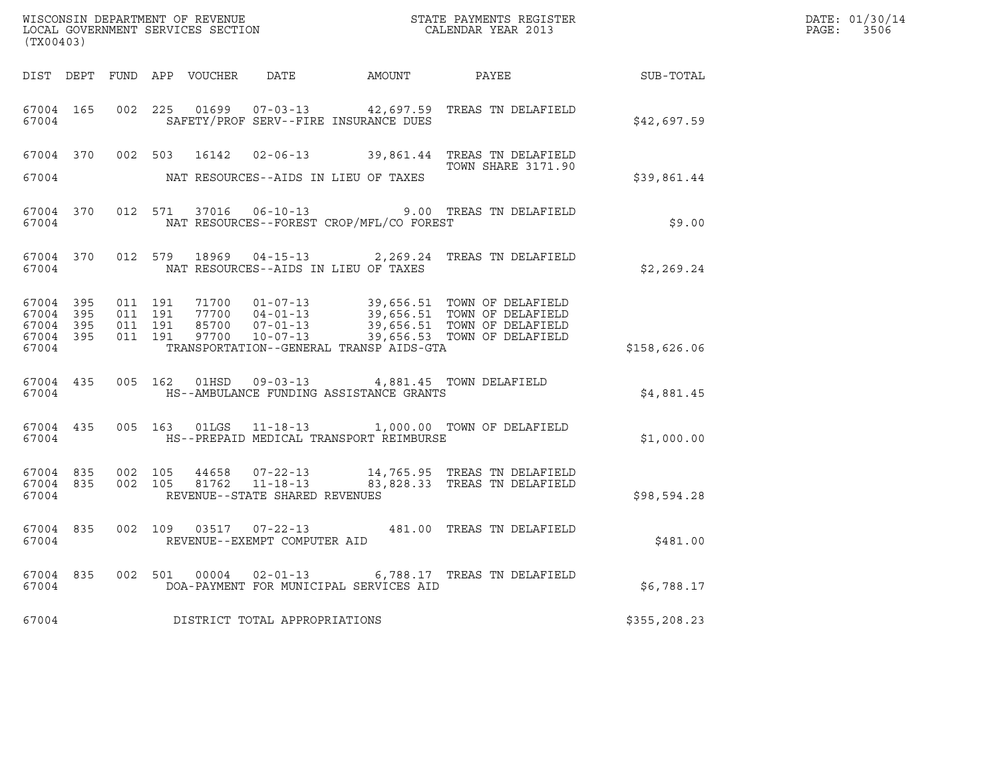| (TX00403) |           |  | WISCONSIN DEPARTMENT OF REVENUE<br>LOCAL GOVERNMENT SERVICES SECTION |                                                                                                     | STATE PAYMENTS REGISTER<br>CALENDAR YEAR 2013                                                                                                                                                                                           |              | DATE: 01/30/14<br>PAGE: 3506 |
|-----------|-----------|--|----------------------------------------------------------------------|-----------------------------------------------------------------------------------------------------|-----------------------------------------------------------------------------------------------------------------------------------------------------------------------------------------------------------------------------------------|--------------|------------------------------|
|           |           |  |                                                                      |                                                                                                     | DIST DEPT FUND APP VOUCHER DATE AMOUNT PAYEE                                                                                                                                                                                            | SUB-TOTAL    |                              |
| 67004     |           |  |                                                                      | SAFETY/PROF SERV--FIRE INSURANCE DUES                                                               | 67004 165 002 225 01699 07-03-13 42,697.59 TREAS TN DELAFIELD                                                                                                                                                                           | \$42,697.59  |                              |
|           |           |  |                                                                      |                                                                                                     | 67004 370 002 503 16142 02-06-13 39,861.44 TREAS TN DELAFIELD<br><b>TOWN SHARE 3171.90</b>                                                                                                                                              |              |                              |
| 67004     |           |  |                                                                      | NAT RESOURCES--AIDS IN LIEU OF TAXES                                                                |                                                                                                                                                                                                                                         | \$39,861.44  |                              |
| 67004     |           |  |                                                                      | NAT RESOURCES--FOREST CROP/MFL/CO FOREST                                                            | 67004 370 012 571 37016 06-10-13 9.00 TREAS TN DELAFIELD                                                                                                                                                                                | \$9.00       |                              |
| 67004     |           |  |                                                                      | NAT RESOURCES--AIDS IN LIEU OF TAXES                                                                | 67004 370 012 579 18969 04-15-13 2,269.24 TREAS TN DELAFIELD                                                                                                                                                                            | \$2,269.24   |                              |
| 67004     |           |  |                                                                      | TRANSPORTATION--GENERAL TRANSP AIDS-GTA                                                             | 67004 395 011 191 71700 01-07-13 39,656.51 TOWN OF DELAFIELD<br>67004 395 011 191 77700 04-01-13 39,656.51 TOWN OF DELAFIELD<br>67004 395 011 191 85700 07-01-13 39,656.51 TOWN OF DELAFIELD<br>67004 395 011 191 97700 10-07-13 39,656 | \$158,626.06 |                              |
| 67004     |           |  |                                                                      | 67004 435 005 162 01HSD 09-03-13 4,881.45 TOWN DELAFIELD<br>HS--AMBULANCE FUNDING ASSISTANCE GRANTS |                                                                                                                                                                                                                                         | \$4,881.45   |                              |
| 67004     |           |  |                                                                      | HS--PREPAID MEDICAL TRANSPORT REIMBURSE                                                             | 67004 435 005 163 01LGS 11-18-13 1,000.00 TOWN OF DELAFIELD                                                                                                                                                                             | \$1,000.00   |                              |
| 67004     |           |  |                                                                      | REVENUE--STATE SHARED REVENUES                                                                      | $67004$ 835 002 105 44658 07-22-13 14,765.95 TREAS TN DELAFIELD<br>67004 835 002 105 81762 11-18-13 83,828.33 TREAS TN DELAFIELD                                                                                                        | \$98,594.28  |                              |
| 67004     | 67004 835 |  |                                                                      | REVENUE--EXEMPT COMPUTER AID                                                                        | 002 109 03517 07-22-13 481.00 TREAS TN DELAFIELD                                                                                                                                                                                        | \$481.00     |                              |
| 67004     |           |  |                                                                      | DOA-PAYMENT FOR MUNICIPAL SERVICES AID                                                              | 67004 835 002 501 00004 02-01-13 6,788.17 TREAS TN DELAFIELD                                                                                                                                                                            | \$6,788.17   |                              |
| 67004     |           |  |                                                                      | DISTRICT TOTAL APPROPRIATIONS                                                                       |                                                                                                                                                                                                                                         | \$355,208.23 |                              |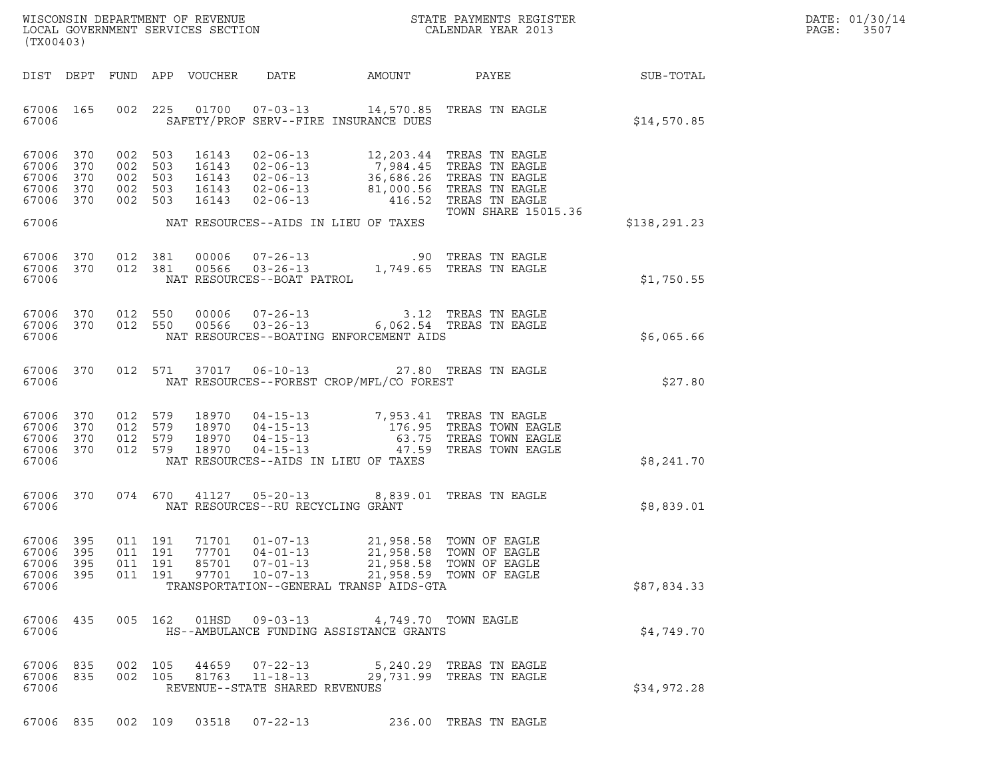|       | DATE: 01/30/14 |
|-------|----------------|
| PAGE: | 3507           |

| (TX00403)                                     |                          |     |                                                 |                         |                                                                                                                                                                                                             |               |                                                                                                                                                                             |              | DATE: 01/30/14<br>PAGE:<br>3507 |
|-----------------------------------------------|--------------------------|-----|-------------------------------------------------|-------------------------|-------------------------------------------------------------------------------------------------------------------------------------------------------------------------------------------------------------|---------------|-----------------------------------------------------------------------------------------------------------------------------------------------------------------------------|--------------|---------------------------------|
| DIST DEPT                                     |                          |     |                                                 | FUND APP VOUCHER        | DATE                                                                                                                                                                                                        | <b>AMOUNT</b> | PAYEE SUB-TOTAL                                                                                                                                                             |              |                                 |
| 67006 165<br>67006                            |                          |     | 002 225                                         |                         | 01700  07-03-13  14,570.85  TREAS TN EAGLE<br>SAFETY/PROF SERV--FIRE INSURANCE DUES                                                                                                                         |               |                                                                                                                                                                             | \$14,570.85  |                                 |
| 67006<br>67006<br>67006<br>67006<br>67006 370 | 370<br>370<br>370<br>370 | 002 | 002 503<br>002 503<br>002 503<br>503<br>002 503 | 16143<br>16143          | 02-06-13 12,203.44 TREAS TN EAGLE<br>16143 02-06-13 7,984.45 TREAS TN EAGLE<br>16143 02-06-13 36,686.26 TREAS TN EAGLE<br>16143 02-06-13 81,000.56 TREAS TN EAGLE<br>$02 - 06 - 13$ $416.52$ TREAS TN EAGLE |               | <b>TOWN SHARE 15015.36</b>                                                                                                                                                  |              |                                 |
| 67006                                         |                          |     |                                                 |                         | NAT RESOURCES--AIDS IN LIEU OF TAXES                                                                                                                                                                        |               |                                                                                                                                                                             | \$138,291.23 |                                 |
| 67006<br>67006 370<br>67006                   | 370                      |     | 012 381<br>012 381                              |                         |                                                                                                                                                                                                             |               |                                                                                                                                                                             | \$1,750.55   |                                 |
| 67006 370<br>67006                            | 67006 370                |     | 012 550<br>012 550                              | 00006<br>00566          | 07-26-13<br>03-26-13   6,062.54 TREAS TN EAGLE<br>NAT RESOURCES--BOATING ENFORCEMENT AIDS                                                                                                                   |               | 6,062.54 TREAS TN EAGLE                                                                                                                                                     | \$6,065.66   |                                 |
| 67006<br>67006                                | 370                      |     | 012 571                                         |                         | 37017 06-10-13<br>NAT RESOURCES--FOREST CROP/MFL/CO FOREST                                                                                                                                                  |               | 27.80 TREAS TN EAGLE                                                                                                                                                        | \$27.80      |                                 |
| 67006<br>67006<br>67006<br>67006 370<br>67006 | 370<br>370<br>370        |     | 012 579<br>012 579<br>012 579<br>012 579        |                         | NAT RESOURCES--AIDS IN LIEU OF TAXES                                                                                                                                                                        |               | 18970  04-15-13  7,953.41 TREAS TN EAGLE<br>18970  04-15-13  176.95 TREAS TOWN EAGLE<br>18970  04-15-13  63.75 TREAS TOWN EAGLE<br>18970  04-15-13   47.59 TREAS TOWN EAGLE | \$8,241.70   |                                 |
| 67006<br>67006                                | 370                      |     | 074 670                                         |                         | 41127  05-20-13  8,839.01 TREAS TN EAGLE<br>NAT RESOURCES--RU RECYCLING GRANT                                                                                                                               |               |                                                                                                                                                                             | \$8,839.01   |                                 |
| 67006 395<br>67006<br>67006<br>67006<br>67006 | 395<br>395<br>395        |     | 011 191<br>011 191<br>011 191<br>011 191        | 77701<br>85701<br>97701 | 71701 01-07-13<br>04-01-13<br>$07 - 01 - 13$<br>$10 - 07 - 13$<br>TRANSPORTATION--GENERAL TRANSP AIDS-GTA                                                                                                   | 21,958.58     | 21,958.58 TOWN OF EAGLE<br>TOWN OF EAGLE<br>21,958.58 TOWN OF EAGLE<br>21,958.59 TOWN OF EAGLE                                                                              | \$87,834.33  |                                 |
| 67006<br>67006                                | 435                      |     | 005 162                                         |                         | 01HSD 09-03-13<br>HS--AMBULANCE FUNDING ASSISTANCE GRANTS                                                                                                                                                   |               | 4,749.70 TOWN EAGLE                                                                                                                                                         | \$4,749.70   |                                 |
| 67006<br>67006 835<br>67006                   | 835                      |     | 002 105<br>002 105                              | 44659                   | $07 - 22 - 13$<br>81763 11-18-13<br>REVENUE--STATE SHARED REVENUES                                                                                                                                          |               | 5,240.29 TREAS TN EAGLE<br>29,731.99 TREAS TN EAGLE                                                                                                                         | \$34,972.28  |                                 |

67006 835 002 109 03518 07-22-13 236.00 TREAS TN EAGLE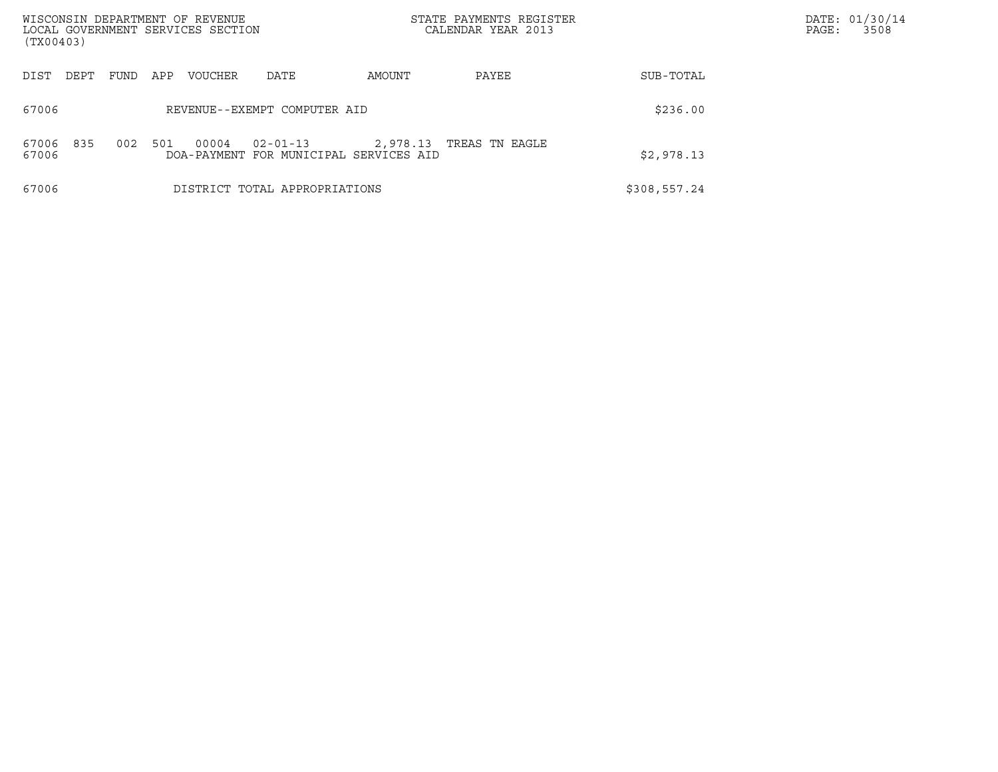| WISCONSIN DEPARTMENT OF REVENUE<br>LOCAL GOVERNMENT SERVICES SECTION<br>(TX00403) |             |         |                                                          |          | STATE PAYMENTS REGISTER<br>CALENDAR YEAR 2013 |              | PAGE: | DATE: 01/30/14<br>3508 |
|-----------------------------------------------------------------------------------|-------------|---------|----------------------------------------------------------|----------|-----------------------------------------------|--------------|-------|------------------------|
| DIST<br>DEPT                                                                      | FUND<br>APP | VOUCHER | DATE                                                     | AMOUNT   | PAYEE                                         | SUB-TOTAL    |       |                        |
| 67006                                                                             |             |         | REVENUE--EXEMPT COMPUTER AID                             |          |                                               | \$236.00     |       |                        |
| 67006<br>835<br>67006                                                             | 002<br>501  | 00004   | $02 - 01 - 13$<br>DOA-PAYMENT FOR MUNICIPAL SERVICES AID | 2,978.13 | TREAS TN EAGLE                                | \$2,978.13   |       |                        |
| 67006                                                                             |             |         | DISTRICT TOTAL APPROPRIATIONS                            |          |                                               | \$308,557.24 |       |                        |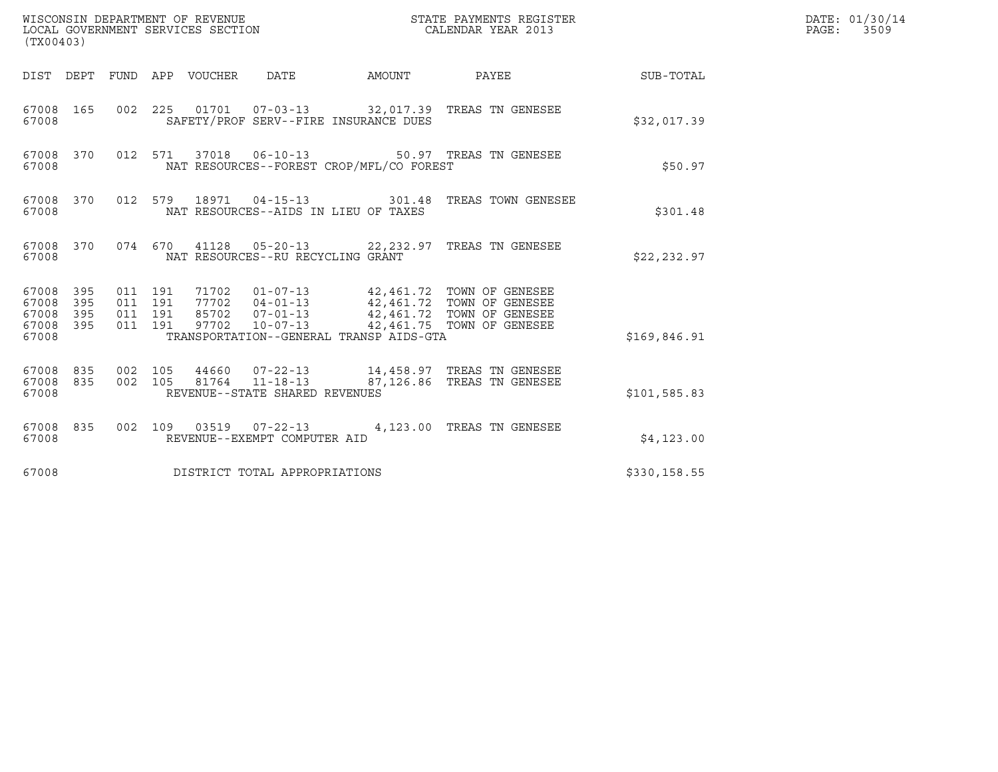| (TX00403)                                         | WISCONSIN DEPARTMENT OF REVENUE<br>LOCAL GOVERNMENT SERVICES SECTION |                                          |  |                                 |                                                  |                                          | STATE PAYMENTS REGISTER<br>CALENDAR YEAR 2013                                                                                                                                            |              | DATE: 01/30/14<br>PAGE: 3509 |
|---------------------------------------------------|----------------------------------------------------------------------|------------------------------------------|--|---------------------------------|--------------------------------------------------|------------------------------------------|------------------------------------------------------------------------------------------------------------------------------------------------------------------------------------------|--------------|------------------------------|
|                                                   |                                                                      |                                          |  | DIST DEPT FUND APP VOUCHER DATE |                                                  | AMOUNT                                   | PAYEE                                                                                                                                                                                    | SUB-TOTAL    |                              |
| 67008 165<br>67008                                |                                                                      |                                          |  |                                 | SAFETY/PROF SERV--FIRE INSURANCE DUES            |                                          | 002 225 01701 07-03-13 32,017.39 TREAS TN GENESEE                                                                                                                                        | \$32,017.39  |                              |
| 67008 370<br>67008                                |                                                                      |                                          |  |                                 | 012 571 37018 06-10-13                           | NAT RESOURCES--FOREST CROP/MFL/CO FOREST | 50.97 TREAS TN GENESEE                                                                                                                                                                   | \$50.97      |                              |
| 67008 370<br>67008                                |                                                                      |                                          |  |                                 | NAT RESOURCES--AIDS IN LIEU OF TAXES             |                                          | 012 579 18971 04-15-13 301.48 TREAS TOWN GENESEE                                                                                                                                         | \$301.48     |                              |
| 67008 370<br>67008                                |                                                                      |                                          |  |                                 | NAT RESOURCES--RU RECYCLING GRANT                |                                          | 074 670 41128 05-20-13 22,232.97 TREAS TN GENESEE                                                                                                                                        | \$22, 232.97 |                              |
| 67008 395<br>67008<br>67008<br>67008 395<br>67008 | 395<br>395                                                           | 011 191<br>011 191<br>011 191<br>011 191 |  |                                 |                                                  | TRANSPORTATION--GENERAL TRANSP AIDS-GTA  | 71702  01-07-13  42,461.72  TOWN OF GENESEE<br>77702  04-01-13  42,461.72  TOWN OF GENESEE<br>85702  07-01-13  42,461.72  TOWN OF GENESEE<br>97702  10-07-13  42,461.75  TOWN OF GENESEE | \$169,846.91 |                              |
| 67008 835<br>67008<br>67008                       | 835                                                                  | 002 105<br>002 105                       |  |                                 | 81764 11-18-13<br>REVENUE--STATE SHARED REVENUES |                                          | 87,126.86 TREAS TN GENESEE                                                                                                                                                               | \$101,585.83 |                              |
| 67008 835<br>67008                                |                                                                      |                                          |  |                                 | REVENUE--EXEMPT COMPUTER AID                     |                                          | 002 109 03519 07-22-13 4,123.00 TREAS TN GENESEE                                                                                                                                         | \$4,123.00   |                              |
| 67008                                             |                                                                      |                                          |  |                                 | DISTRICT TOTAL APPROPRIATIONS                    |                                          |                                                                                                                                                                                          | \$330,158.55 |                              |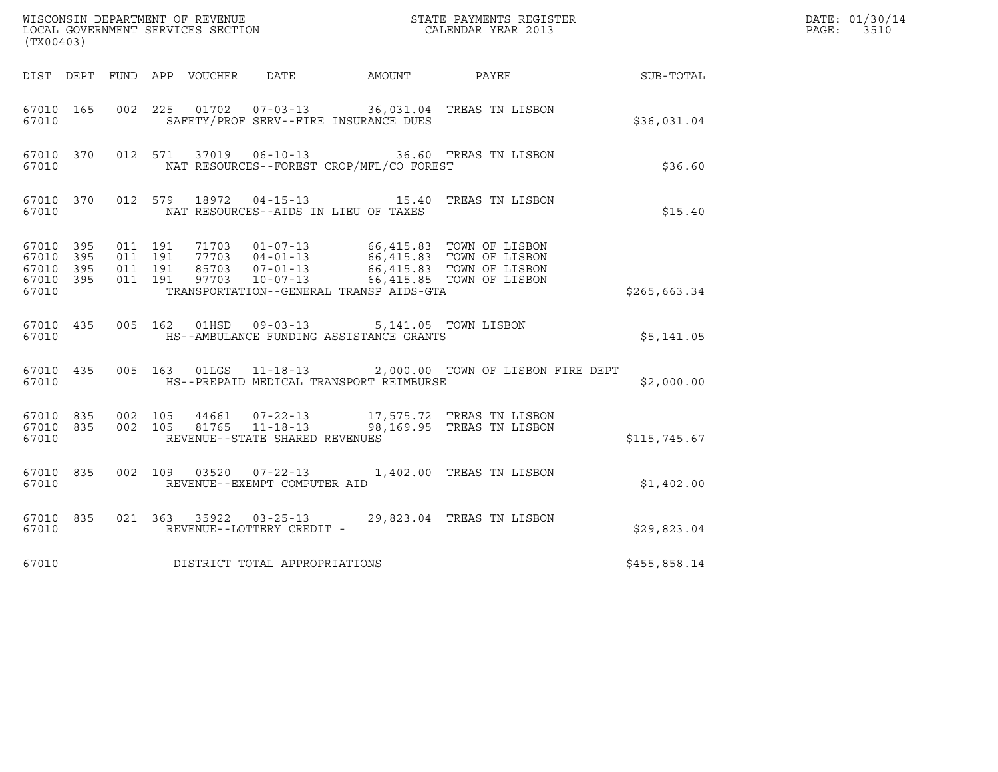| (TX00403)                                                 |           |                                          |         |               |                                                  |                                                                                        |                                                                                                                                                                    |                 | DATE: 01/30/14<br>$\mathtt{PAGE}$ :<br>3510 |
|-----------------------------------------------------------|-----------|------------------------------------------|---------|---------------|--------------------------------------------------|----------------------------------------------------------------------------------------|--------------------------------------------------------------------------------------------------------------------------------------------------------------------|-----------------|---------------------------------------------|
|                                                           |           |                                          |         |               |                                                  | DIST DEPT FUND APP VOUCHER DATE AMOUNT                                                 |                                                                                                                                                                    | PAYEE SUB-TOTAL |                                             |
| 67010 165<br>67010                                        |           |                                          |         |               |                                                  | SAFETY/PROF SERV--FIRE INSURANCE DUES                                                  | 002 225 01702 07-03-13 36,031.04 TREAS TN LISBON                                                                                                                   | \$36,031.04     |                                             |
| 67010                                                     | 67010 370 |                                          |         | 012 571 37019 |                                                  | NAT RESOURCES--FOREST CROP/MFL/CO FOREST                                               | 06-10-13 36.60 TREAS TN LISBON                                                                                                                                     | \$36.60         |                                             |
| 67010 370<br>67010                                        |           |                                          | 012 579 | 18972         |                                                  | NAT RESOURCES--AIDS IN LIEU OF TAXES                                                   | 04-15-13 15.40 TREAS TN LISBON                                                                                                                                     | \$15.40         |                                             |
| 67010 395<br>67010 395<br>67010 395<br>67010 395<br>67010 |           | 011 191<br>011 191<br>011 191<br>011 191 |         | 97703         | $10 - 07 - 13$                                   | TRANSPORTATION--GENERAL TRANSP AIDS-GTA                                                | 71703  01-07-13  66,415.83  TOWN OF LISBON<br>77703  04-01-13  66,415.83  TOWN OF LISBON<br>85703  07-01-13  66,415.83  TOWN OF LISBON<br>66,415.85 TOWN OF LISBON | \$265,663.34    |                                             |
| 67010 435<br>67010                                        |           |                                          |         |               |                                                  | 005 162 01HSD 09-03-13 5,141.05 TOWN LISBON<br>HS--AMBULANCE FUNDING ASSISTANCE GRANTS |                                                                                                                                                                    | \$5,141.05      |                                             |
| 67010                                                     | 67010 435 |                                          |         |               |                                                  | HS--PREPAID MEDICAL TRANSPORT REIMBURSE                                                | 005 163 01LGS 11-18-13 2,000.00 TOWN OF LISBON FIRE DEPT                                                                                                           | \$2,000.00      |                                             |
| 67010 835<br>67010                                        | 67010 835 | 002 105<br>002 105                       |         | 44661         | 81765 11-18-13<br>REVENUE--STATE SHARED REVENUES |                                                                                        | 07-22-13 17,575.72 TREAS TN LISBON<br>98,169.95 TREAS TN LISBON                                                                                                    | \$115,745.67    |                                             |
| 67010 835<br>67010                                        |           | 002 109                                  |         | 03520         | $07 - 22 - 13$<br>REVENUE--EXEMPT COMPUTER AID   |                                                                                        | 1,402.00 TREAS TN LISBON                                                                                                                                           | \$1,402.00      |                                             |
| 67010                                                     | 67010 835 |                                          |         |               | REVENUE--LOTTERY CREDIT -                        |                                                                                        | 021 363 35922 03-25-13 29,823.04 TREAS TN LISBON                                                                                                                   | \$29,823.04     |                                             |
| 67010                                                     |           |                                          |         |               | DISTRICT TOTAL APPROPRIATIONS                    |                                                                                        |                                                                                                                                                                    | \$455,858.14    |                                             |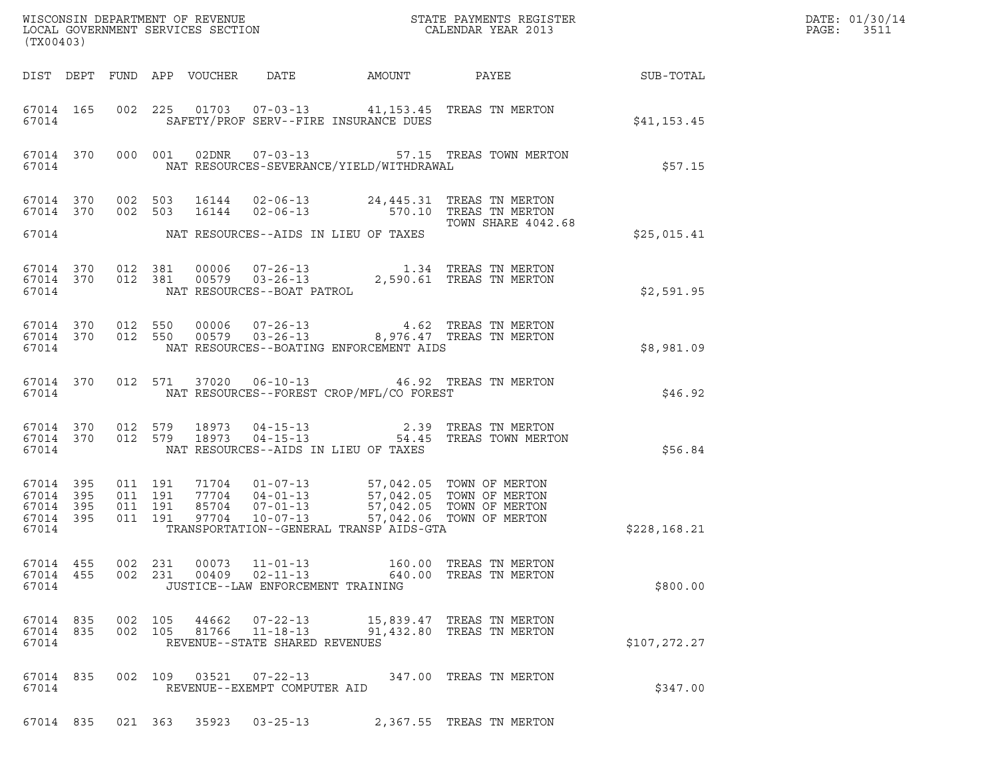| (TX00403)                                                 |                    |                    |                |                                                     |                                            |                                                                                                                                                                                                                                                                                                                  |              | DATE: 01/30/14<br>PAGE:<br>3511 |
|-----------------------------------------------------------|--------------------|--------------------|----------------|-----------------------------------------------------|--------------------------------------------|------------------------------------------------------------------------------------------------------------------------------------------------------------------------------------------------------------------------------------------------------------------------------------------------------------------|--------------|---------------------------------|
|                                                           |                    |                    |                |                                                     |                                            |                                                                                                                                                                                                                                                                                                                  |              |                                 |
| 67014 165<br>67014                                        |                    |                    |                |                                                     | SAFETY/PROF SERV--FIRE INSURANCE DUES      | 002 225 01703 07-03-13 41,153.45 TREAS TN MERTON                                                                                                                                                                                                                                                                 | \$41,153.45  |                                 |
| 67014                                                     | 67014 370          |                    |                |                                                     | NAT RESOURCES-SEVERANCE/YIELD/WITHDRAWAL   | 000 001 02DNR 07-03-13 57.15 TREAS TOWN MERTON                                                                                                                                                                                                                                                                   | \$57.15      |                                 |
|                                                           |                    |                    |                |                                                     |                                            | 67014 370 002 503 16144 02-06-13 24,445.31 TREAS TN MERTON<br>67014 370 002 503 16144 02-06-13 570.10 TREAS TN MERTON<br>TOWN SHARE 4042.68                                                                                                                                                                      |              |                                 |
|                                                           |                    |                    |                |                                                     | 67014 NAT RESOURCES--AIDS IN LIEU OF TAXES |                                                                                                                                                                                                                                                                                                                  | \$25,015.41  |                                 |
|                                                           | 67014              |                    |                | NAT RESOURCES--BOAT PATROL                          |                                            | $\begin{array}{cccccc} 67014 & 370 & 012 & 381 & 00006 & 07-26-13 & & & 1.34 & \text{TREAS TN MERTON} \\ 67014 & 370 & 012 & 381 & 00579 & 03-26-13 & & & 2,590.61 & \text{TREAS TN MERTON} \end{array}$                                                                                                         | \$2,591.95   |                                 |
| 67014                                                     |                    |                    |                |                                                     | NAT RESOURCES--BOATING ENFORCEMENT AIDS    | $\begin{array}{cccccc} 67014 & 370 & 012 & 550 & 00006 & 07-26-13 & & 4.62 & \text{TREAS TN MERTON} \\ 67014 & 370 & 012 & 550 & 00579 & 03-26-13 & & 8,976.47 & \text{TREAS TN MERTON} \end{array}$                                                                                                             | \$8,981.09   |                                 |
|                                                           | 67014 370<br>67014 |                    |                |                                                     | NAT RESOURCES--FOREST CROP/MFL/CO FOREST   | 012 571 37020 06-10-13 46.92 TREAS TN MERTON                                                                                                                                                                                                                                                                     | \$46.92      |                                 |
|                                                           |                    |                    |                |                                                     | 67014 NAT RESOURCES--AIDS IN LIEU OF TAXES | $\begin{array}{cccccc} 67014 & 370 & 012 & 579 & 18973 & 04-15-13 & & & & 2.39 & \text{TREAS TN MERTON} \\ 67014 & 370 & 012 & 579 & 18973 & 04-15-13 & & & 54.45 & \text{TREAS TOWN MERTON} \end{array}$                                                                                                        | \$56.84      |                                 |
| 67014 395<br>67014 395<br>67014 395<br>67014 395<br>67014 |                    |                    |                |                                                     | TRANSPORTATION--GENERAL TRANSP AIDS-GTA    | $\begin{array}{cccccc} 011 & 191 & 71704 & 01-07-13 & 57,042.05 & \text{TOWN OF MERTON} \\ 011 & 191 & 77704 & 04-01-13 & 57,042.05 & \text{TOWN OF MERTON} \\ 011 & 191 & 85704 & 07-01-13 & 57,042.05 & \text{TOWN OF MERTON} \\ 011 & 191 & 97704 & 10-07-13 & 57,042.06 & \text{TOWN OF MERTON} \end{array}$ | \$228,168.21 |                                 |
| 67014 455<br>67014 455<br>67014                           |                    | 002 231<br>002 231 | 00073<br>00409 | $11 - 01 - 13$<br>JUSTICE--LAW ENFORCEMENT TRAINING |                                            | 160.00 TREAS TN MERTON                                                                                                                                                                                                                                                                                           | \$800.00     |                                 |
| 67014 835<br>67014 835<br>67014                           |                    | 002 105<br>002 105 | 44662<br>81766 | REVENUE--STATE SHARED REVENUES                      |                                            | 07-22-13 15,839.47 TREAS TN MERTON<br>11-18-13 91,432.80 TREAS TN MERTON                                                                                                                                                                                                                                         | \$107,272.27 |                                 |
| 67014 835<br>67014                                        |                    |                    | 002 109 03521  | $07 - 22 - 13$<br>REVENUE--EXEMPT COMPUTER AID      |                                            | 347.00 TREAS TN MERTON                                                                                                                                                                                                                                                                                           | \$347.00     |                                 |
| 67014 835                                                 |                    | 021 363            | 35923          | $03 - 25 - 13$                                      |                                            | 2,367.55 TREAS TN MERTON                                                                                                                                                                                                                                                                                         |              |                                 |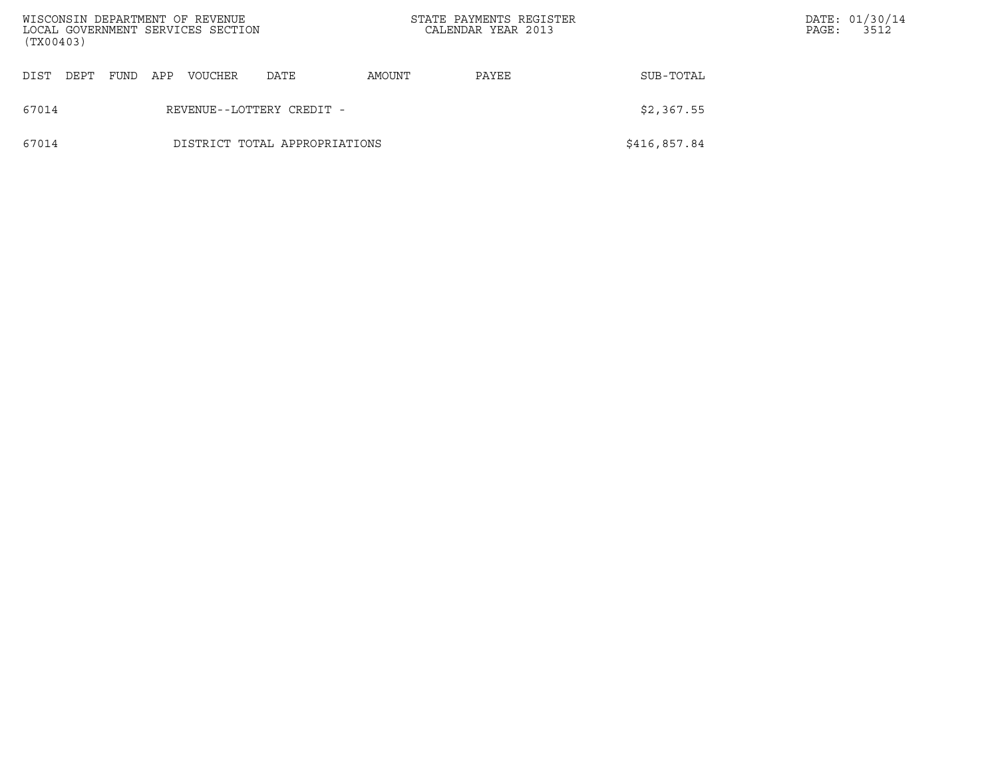| (TX00403) |      |      |     | WISCONSIN DEPARTMENT OF REVENUE<br>LOCAL GOVERNMENT SERVICES SECTION |                               |        | STATE PAYMENTS REGISTER<br>CALENDAR YEAR 2013 |              | PAGE: | DATE: 01/30/14<br>3512 |
|-----------|------|------|-----|----------------------------------------------------------------------|-------------------------------|--------|-----------------------------------------------|--------------|-------|------------------------|
| DIST      | DEPT | FUND | APP | <b>VOUCHER</b>                                                       | DATE                          | AMOUNT | PAYEE                                         | SUB-TOTAL    |       |                        |
| 67014     |      |      |     |                                                                      | REVENUE--LOTTERY CREDIT -     |        |                                               | \$2,367.55   |       |                        |
| 67014     |      |      |     |                                                                      | DISTRICT TOTAL APPROPRIATIONS |        |                                               | \$416,857.84 |       |                        |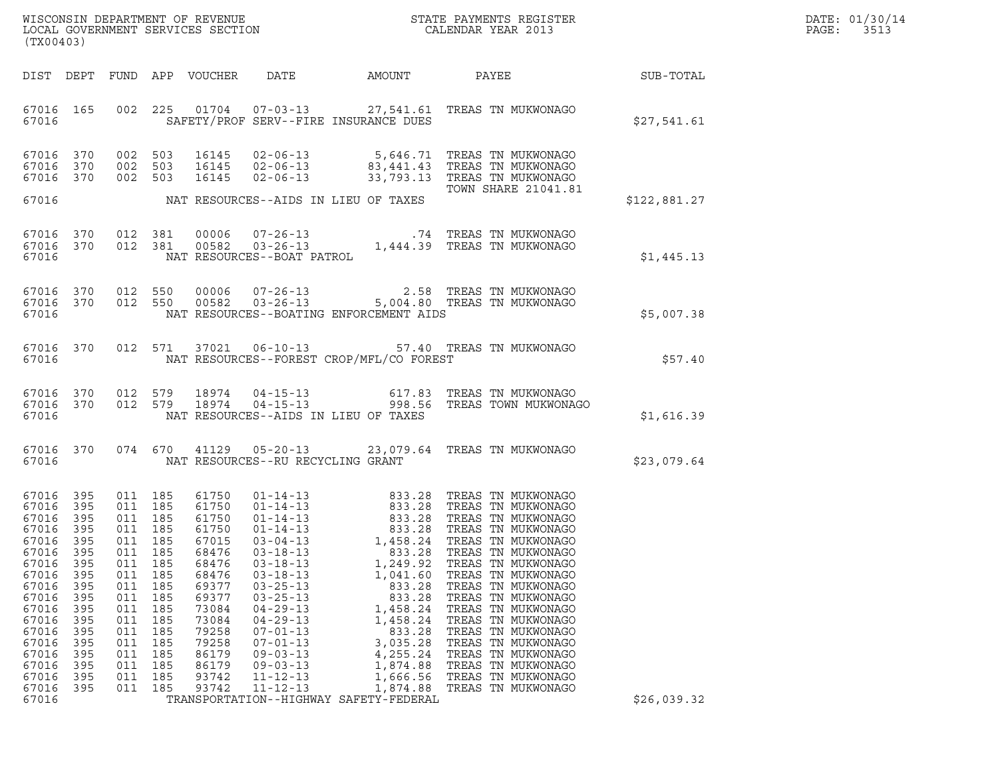| DATE: | 01/30/14 |
|-------|----------|
| PAGE: | 3513     |

| (TX00403)                                                                                                                                                                   |                                                                                                                     |                                                                                                                                                            |                                                                    |                                                                                                                                                                |                                                                                                                                                                                                                                        |                                                                                                                                                                                            | ${\tt WISCONSIM} \begin{tabular}{l} DEPARTMENT OF REVIEW \\ LOCAL BONERNMENT SERVICES SECTION \\ \end{tabular} \begin{tabular}{l} \multicolumn{2}{c}{\textbf{S}} \\ \multicolumn{2}{c}{\textbf{S}} \\ \multicolumn{2}{c}{\textbf{S}} \\ \multicolumn{2}{c}{\textbf{N}} \\ \multicolumn{2}{c}{\textbf{S}} \\ \multicolumn{2}{c}{\textbf{S}} \\ \multicolumn{2}{c}{\textbf{S}} \\ \multicolumn{2}{c}{\textbf{S}} \\ \multicolumn{2}{c}{\textbf{S}} \\ \multicolumn{2}{c}{\textbf{S}} \\ \multicolumn{2}{c}{\textbf{S$<br>STATE PAYMENTS REGISTER |                  | DATE: 01/30/14<br>PAGE:<br>3513 |
|-----------------------------------------------------------------------------------------------------------------------------------------------------------------------------|---------------------------------------------------------------------------------------------------------------------|------------------------------------------------------------------------------------------------------------------------------------------------------------|--------------------------------------------------------------------|----------------------------------------------------------------------------------------------------------------------------------------------------------------|----------------------------------------------------------------------------------------------------------------------------------------------------------------------------------------------------------------------------------------|--------------------------------------------------------------------------------------------------------------------------------------------------------------------------------------------|------------------------------------------------------------------------------------------------------------------------------------------------------------------------------------------------------------------------------------------------------------------------------------------------------------------------------------------------------------------------------------------------------------------------------------------------------------------------------------------------------------------------------------------------|------------------|---------------------------------|
|                                                                                                                                                                             |                                                                                                                     |                                                                                                                                                            |                                                                    | DIST DEPT FUND APP VOUCHER                                                                                                                                     | DATE                                                                                                                                                                                                                                   | AMOUNT PAYEE                                                                                                                                                                               |                                                                                                                                                                                                                                                                                                                                                                                                                                                                                                                                                | <b>SUB-TOTAL</b> |                                 |
| 67016 165<br>67016                                                                                                                                                          |                                                                                                                     |                                                                                                                                                            |                                                                    |                                                                                                                                                                |                                                                                                                                                                                                                                        | SAFETY/PROF SERV--FIRE INSURANCE DUES                                                                                                                                                      | 002 225 01704 07-03-13 27,541.61 TREAS TN MUKWONAGO                                                                                                                                                                                                                                                                                                                                                                                                                                                                                            | \$27,541.61      |                                 |
| 67016 370<br>67016<br>67016 370                                                                                                                                             | 370                                                                                                                 | 002 503<br>002 503<br>002 503                                                                                                                              |                                                                    | 16145<br>16145<br>16145                                                                                                                                        |                                                                                                                                                                                                                                        |                                                                                                                                                                                            | 02-06-13 5,646.71 TREAS TN MUKWONAGO<br>02-06-13 83,441.43 TREAS TN MUKWONAGO<br>02-06-13 33,793.13 TREAS TN MUKWONAGO<br>TOWN SHARE 21041.81                                                                                                                                                                                                                                                                                                                                                                                                  |                  |                                 |
| 67016                                                                                                                                                                       |                                                                                                                     |                                                                                                                                                            |                                                                    |                                                                                                                                                                |                                                                                                                                                                                                                                        | NAT RESOURCES--AIDS IN LIEU OF TAXES                                                                                                                                                       |                                                                                                                                                                                                                                                                                                                                                                                                                                                                                                                                                | \$122,881.27     |                                 |
| 67016 370<br>67016 370<br>67016                                                                                                                                             |                                                                                                                     | 012 381                                                                                                                                                    | 012 381                                                            | 00006<br>00582                                                                                                                                                 | NAT RESOURCES--BOAT PATROL                                                                                                                                                                                                             |                                                                                                                                                                                            | 07-26-13 .74 TREAS TN MUKWONAGO<br>03-26-13 1,444.39 TREAS TN MUKWONAGO<br>RCES--BOAT PATROL                                                                                                                                                                                                                                                                                                                                                                                                                                                   | \$1,445.13       |                                 |
| 67016 370 012 550<br>67016 370<br>67016                                                                                                                                     |                                                                                                                     |                                                                                                                                                            | 012 550                                                            |                                                                                                                                                                |                                                                                                                                                                                                                                        | NAT RESOURCES--BOATING ENFORCEMENT AIDS                                                                                                                                                    | 00006  07-26-13  2.58 TREAS TN MUKWONAGO<br>00582  03-26-13  5,004.80 TREAS TN MUKWONAGO                                                                                                                                                                                                                                                                                                                                                                                                                                                       | \$5,007.38       |                                 |
| 67016 370<br>67016                                                                                                                                                          |                                                                                                                     |                                                                                                                                                            |                                                                    |                                                                                                                                                                |                                                                                                                                                                                                                                        | NAT RESOURCES--FOREST CROP/MFL/CO FOREST                                                                                                                                                   | 012 571 37021 06-10-13 57.40 TREAS TN MUKWONAGO                                                                                                                                                                                                                                                                                                                                                                                                                                                                                                | \$57.40          |                                 |
| 67016<br>67016 370<br>67016                                                                                                                                                 | 370                                                                                                                 | 012 579                                                                                                                                                    |                                                                    | 012 579 18974                                                                                                                                                  |                                                                                                                                                                                                                                        | NAT RESOURCES--AIDS IN LIEU OF TAXES                                                                                                                                                       | 18974  04-15-13   617.83   TREAS TN MUKWONAGO<br>18974  04-15-13   998.56   TREAS TOWN MUKWONAGO                                                                                                                                                                                                                                                                                                                                                                                                                                               | \$1,616.39       |                                 |
| 67016 370<br>67016                                                                                                                                                          |                                                                                                                     |                                                                                                                                                            |                                                                    |                                                                                                                                                                | NAT RESOURCES--RU RECYCLING GRANT                                                                                                                                                                                                      |                                                                                                                                                                                            | 074 670 41129 05-20-13 23,079.64 TREAS TN MUKWONAGO                                                                                                                                                                                                                                                                                                                                                                                                                                                                                            | \$23,079.64      |                                 |
| 67016 395<br>67016<br>67016<br>67016<br>67016<br>67016<br>67016<br>67016<br>67016<br>67016<br>67016<br>67016<br>67016<br>67016<br>67016<br>67016<br>67016<br>67016<br>67016 | 395<br>395<br>395<br>395<br>395<br>395<br>395<br>395<br>395<br>395<br>395<br>395<br>395<br>395<br>395<br>395<br>395 | 011 185<br>011 185<br>011 185<br>011 185<br>011 185<br>011<br>011<br>011<br>011<br>011<br>011<br>011<br>011<br>011<br>011 185<br>011<br>011 185<br>011 185 | 185<br>185<br>185<br>185<br>185<br>185<br>185<br>185<br>185<br>185 | 61750<br>61750<br>61750<br>61750<br>67015<br>68476<br>68476<br>68476<br>69377<br>69377<br>73084<br>73084<br>79258<br>79258<br>86179<br>86179<br>93742<br>93742 | $03 - 18 - 13$<br>$03 - 18 - 13$<br>$03 - 18 - 13$<br>$03 - 25 - 13$<br>$03 - 25 - 13$<br>$04 - 29 - 13$<br>$04 - 29 - 13$<br>$07 - 01 - 13$<br>$07 - 01 - 13$<br>$09 - 03 - 13$<br>$09 - 03 - 13$<br>$11 - 12 - 13$<br>$11 - 12 - 13$ | 833.28<br>1,249.92<br>1,041.60<br>833.28<br>833.28<br>1,458.24<br>1,458.24<br>833.28<br>3,035.28<br>4,255.24<br>1,874.88<br>1,666.56<br>1,874.88<br>TRANSPORTATION--HIGHWAY SAFETY-FEDERAL | 01-14-13<br>01-14-13<br>01-14-13<br>01-14-13<br>03-04-13<br>03-04-13<br>03-04-13<br>03-04-13<br>03-04-13<br>03-02<br>03-09<br>03-09<br>03-04-13<br>TREAS TN MUKWONAGO<br>TREAS TN MUKWONAGO<br>TREAS TN MUKWONAGO<br>TREAS TN MUKWONAGO<br>TREAS TN MUKWONAGO<br>TREAS TN MUKWONAGO<br>TREAS TN MUKWONAGO<br>TREAS TN MUKWONAGO<br>TREAS TN MUKWONAGO<br>TREAS TN MUKWONAGO<br>TREAS TN MUKWONAGO<br>TREAS TN MUKWONAGO<br>TREAS TN MUKWONAGO                                                                                                  | \$26,039.32      |                                 |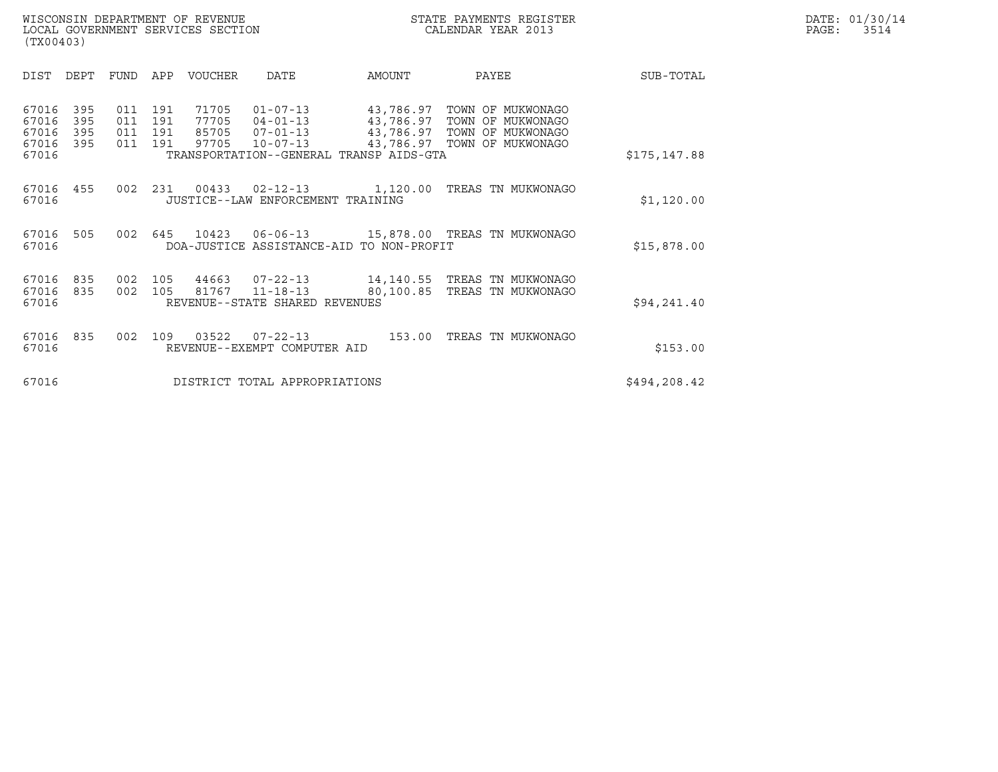|       | DATE: 01/30/14 |
|-------|----------------|
| PAGE: | 3514           |

| WISCONSIN DEPARTMENT OF REVENUE<br>LOCAL GOVERNMENT SERVICES SECTION<br>(TX00403) | STATE PAYMENTS REGISTER<br>CALENDAR YEAR 2013 | DATE: 01/30/14<br>PAGE:<br>3514 |
|-----------------------------------------------------------------------------------|-----------------------------------------------|---------------------------------|

| <b>DIST</b>                               | DEPT                     | FUND                     | APP                      | <b>VOUCHER</b>                   | <b>DATE</b>                                                          | AMOUNT                                                                                      | PAYEE                                                                            | SUB-TOTAL    |
|-------------------------------------------|--------------------------|--------------------------|--------------------------|----------------------------------|----------------------------------------------------------------------|---------------------------------------------------------------------------------------------|----------------------------------------------------------------------------------|--------------|
| 67016<br>67016<br>67016<br>67016<br>67016 | 395<br>395<br>395<br>395 | 011<br>011<br>011<br>011 | 191<br>191<br>191<br>191 | 71705<br>77705<br>85705<br>97705 | $01 - 07 - 13$<br>$04 - 01 - 13$<br>$07 - 01 - 13$<br>$10 - 07 - 13$ | 43,786.97<br>43,786.97<br>43,786.97<br>43,786.97<br>TRANSPORTATION--GENERAL TRANSP AIDS-GTA | TOWN OF MUKWONAGO<br>TOWN OF MUKWONAGO<br>TOWN OF MUKWONAGO<br>TOWN OF MUKWONAGO | \$175,147.88 |
| 67016<br>67016                            | 455                      | 002                      | 231                      | 00433                            | $02 - 12 - 13$<br>JUSTICE--LAW ENFORCEMENT TRAINING                  | 1,120.00                                                                                    | TREAS TN MUKWONAGO                                                               | \$1,120.00   |
| 67016<br>67016                            | 505                      | 002                      | 645                      | 10423                            | $06 - 06 - 13$                                                       | DOA-JUSTICE ASSISTANCE-AID TO NON-PROFIT                                                    | 15,878.00 TREAS TN MUKWONAGO                                                     | \$15,878.00  |
| 67016<br>67016<br>67016                   | 835<br>835               | 002<br>002               | 105<br>105               | 44663<br>81767                   | 07-22-13<br>$11 - 18 - 13$<br>REVENUE--STATE SHARED REVENUES         |                                                                                             | 14,140.55 TREAS TN MUKWONAGO<br>80,100.85 TREAS TN MUKWONAGO                     | \$94, 241.40 |
| 67016<br>67016                            | 835                      | 002                      | 109                      | 03522                            | $07 - 22 - 13$<br>REVENUE--EXEMPT COMPUTER AID                       | 153.00                                                                                      | TREAS TN MUKWONAGO                                                               | \$153.00     |
| 67016                                     |                          |                          |                          |                                  | DISTRICT TOTAL APPROPRIATIONS                                        |                                                                                             |                                                                                  | \$494,208.42 |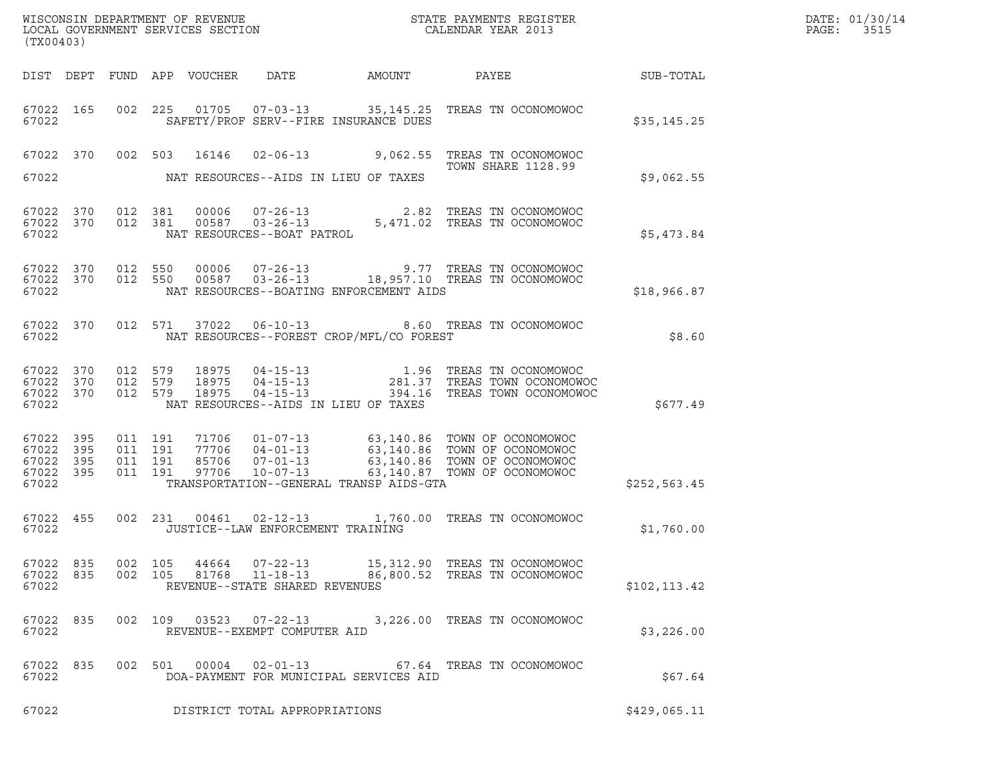| (TX00403)                                             |           |                               |                            |                                                              |                                          | DATE: 01/30/14<br>PAGE:<br>3515                                                                                                                                           |                  |  |
|-------------------------------------------------------|-----------|-------------------------------|----------------------------|--------------------------------------------------------------|------------------------------------------|---------------------------------------------------------------------------------------------------------------------------------------------------------------------------|------------------|--|
|                                                       |           |                               | DIST DEPT FUND APP VOUCHER | DATE                                                         | AMOUNT                                   | PAYEE                                                                                                                                                                     | <b>SUB-TOTAL</b> |  |
| 67022 165<br>67022                                    |           |                               |                            |                                                              | SAFETY/PROF SERV--FIRE INSURANCE DUES    | 002  225  01705  07-03-13  35,145.25  TREAS  TN OCONOMOWOC                                                                                                                | \$35,145.25      |  |
|                                                       |           |                               | 67022 370 002 503 16146    |                                                              |                                          | 02-06-13 9,062.55 TREAS TN OCONOMOWOC<br><b>TOWN SHARE 1128.99</b>                                                                                                        |                  |  |
| 67022                                                 |           |                               |                            |                                                              | NAT RESOURCES--AIDS IN LIEU OF TAXES     |                                                                                                                                                                           | \$9,062.55       |  |
| 67022 370<br>67022 370<br>67022                       |           | 012 381                       | 012 381                    |                                                              |                                          | 81   00006   07-26-13   2.82 TREAS TN OCONOMOWOC<br>81   00587   03-26-13   5,471.02 TREAS TN OCONOMOWOC<br>NAT RESOURCES--BOAT PATROL                                    | \$5,473.84       |  |
| 67022 370<br>67022                                    |           | 67022 370 012 550<br>012 550  |                            |                                                              | NAT RESOURCES--BOATING ENFORCEMENT AIDS  | 00006  07-26-13  9.77  TREAS TN OCONOMOWOC<br>00587  03-26-13   18,957.10  TREAS TN OCONOMOWOC                                                                            | \$18,966.87      |  |
| 67022                                                 | 67022 370 |                               | 012 571 37022              |                                                              | NAT RESOURCES--FOREST CROP/MFL/CO FOREST | 06-10-13 8.60 TREAS TN OCONOMOWOC                                                                                                                                         | \$8.60           |  |
| 67022 370<br>67022 370<br>67022 370<br>67022          |           | 012 579<br>012 579<br>012 579 | 18975<br>18975<br>18975    |                                                              | NAT RESOURCES--AIDS IN LIEU OF TAXES     | 04-15-13 1.96 TREAS TN OCONOMOWOC<br>04-15-13 281.37 TREAS TOWN OCONOMOWOC<br>04-15-13 394.16 TREAS TOWN OCONOMOWOC                                                       | \$677.49         |  |
| 67022 395<br>67022 395<br>67022<br>67022 395<br>67022 | 395       | 011 191<br>011 191<br>011 191 | 011 191<br>97706           | $10 - 07 - 13$                                               | TRANSPORTATION--GENERAL TRANSP AIDS-GTA  | 71706 01-07-13 63,140.86 TOWN OF OCONOMOWOC<br>77706 04-01-13 63,140.86 TOWN OF OCONOMOWOC<br>85706 07-01-13 63,140.86 TOWN OF OCONOMOWOC<br>63,140.87 TOWN OF OCONOMOWOC | \$252, 563.45    |  |
| 67022 455<br>67022                                    |           |                               |                            | JUSTICE--LAW ENFORCEMENT TRAINING                            |                                          | 002 231 00461 02-12-13 1,760.00 TREAS TN OCONOMOWOC                                                                                                                       | \$1,760.00       |  |
| 67022 835<br>67022 835<br>67022                       |           | 002 105<br>002 105            | 44664<br>81768             | 07-22-13<br>$11 - 18 - 13$<br>REVENUE--STATE SHARED REVENUES |                                          | 15,312.90 TREAS TN OCONOMOWOC<br>86,800.52 TREAS TN OCONOMOWOC                                                                                                            | \$102, 113.42    |  |
| 67022 835<br>67022                                    |           |                               | 002 109                    | REVENUE--EXEMPT COMPUTER AID                                 |                                          | 03523   07-22-13   3,226.00 TREAS TN OCONOMOWOC                                                                                                                           | \$3,226.00       |  |
| 67022 835<br>67022                                    |           |                               | 002 501 00004              | $02 - 01 - 13$                                               | DOA-PAYMENT FOR MUNICIPAL SERVICES AID   | 67.64 TREAS TN OCONOMOWOC                                                                                                                                                 | \$67.64          |  |
| 67022                                                 |           |                               |                            | DISTRICT TOTAL APPROPRIATIONS                                |                                          |                                                                                                                                                                           | \$429,065.11     |  |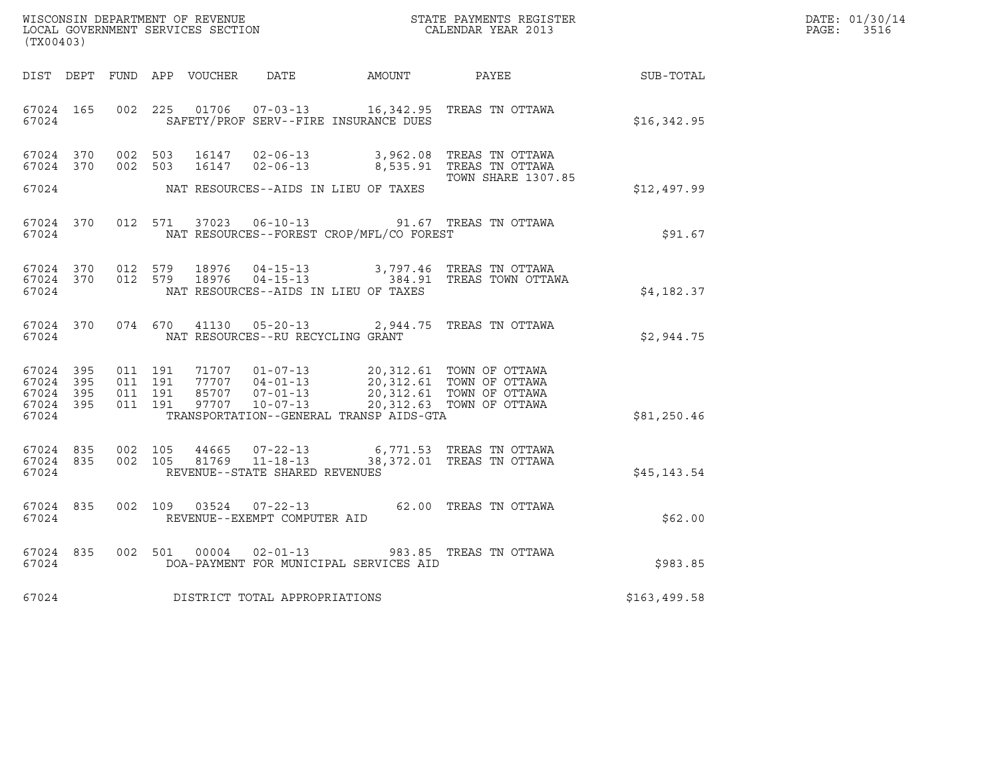| WISCONSIN DEPARTMENT OF REVENUE   | STATE PAYMENTS REGISTER | DATE: 01/30/14 |
|-----------------------------------|-------------------------|----------------|
| LOCAL GOVERNMENT SERVICES SECTION | CALENDAR YEAR 2013      | PAGE:<br>3516  |

| (TX00403) |       |  |  |  |                                         |                                                |                                                                                                                                                                                                                                                                                                  |              | DATE: 01/30/14<br>PAGE: 3516 |
|-----------|-------|--|--|--|-----------------------------------------|------------------------------------------------|--------------------------------------------------------------------------------------------------------------------------------------------------------------------------------------------------------------------------------------------------------------------------------------------------|--------------|------------------------------|
|           |       |  |  |  |                                         |                                                | DIST DEPT FUND APP VOUCHER DATE AMOUNT PAYEE SUB-TOTAL                                                                                                                                                                                                                                           |              |                              |
|           |       |  |  |  |                                         | 67024 SAFETY/PROF SERV--FIRE INSURANCE DUES    | 67024 165 002 225 01706 07-03-13 16,342.95 TREAS TN OTTAWA                                                                                                                                                                                                                                       | \$16,342.95  |                              |
|           |       |  |  |  |                                         |                                                | 67024 370 002 503 16147 02-06-13 3,962.08 TREAS TN OTTAWA<br>67024 370 002 503 16147 02-06-13 8,535.91 TREAS TN OTTAWA<br><b>TOWN SHARE 1307.85</b>                                                                                                                                              |              |                              |
|           |       |  |  |  |                                         | 67024 NAT RESOURCES--AIDS IN LIEU OF TAXES     |                                                                                                                                                                                                                                                                                                  | \$12,497.99  |                              |
|           |       |  |  |  |                                         | 67024 NAT RESOURCES--FOREST CROP/MFL/CO FOREST | 67024 370 012 571 37023 06-10-13 91.67 TREAS TN OTTAWA                                                                                                                                                                                                                                           | \$91.67      |                              |
|           | 67024 |  |  |  |                                         | NAT RESOURCES--AIDS IN LIEU OF TAXES           | $\begin{array}{cccccc} 67024 & 370 & 012 & 579 & 18976 & 04-15-13 & & 3,797.46 & \text{TREAS TN OTTAWA} \\ 67024 & 370 & 012 & 579 & 18976 & 04-15-13 & & 384.91 & \text{TREAS TOWN OTTAWA} \end{array}$                                                                                         | \$4,182.37   |                              |
|           |       |  |  |  | 67024 NAT RESOURCES--RU RECYCLING GRANT |                                                | 67024 370 074 670 41130 05-20-13 2,944.75 TREAS TN OTTAWA                                                                                                                                                                                                                                        | \$2,944.75   |                              |
| 67024     |       |  |  |  |                                         | TRANSPORTATION--GENERAL TRANSP AIDS-GTA        | $\begin{array}{cccccc} 67024 & 395 & 011 & 191 & 71707 & 01-07-13 & 20,312.61 & TOWN OF OTTAWA \\ 67024 & 395 & 011 & 191 & 77707 & 04-01-13 & 20,312.61 & TOWN OF OTTAWA \\ 67024 & 395 & 011 & 191 & 85707 & 07-01-13 & 20,312.61 & TOWN OF OTTAWA \\ 67024 & 395 & 011 & 191 & 97707 & 10-07$ | \$81,250.46  |                              |
|           | 67024 |  |  |  | REVENUE--STATE SHARED REVENUES          |                                                |                                                                                                                                                                                                                                                                                                  | \$45, 143.54 |                              |
|           | 67024 |  |  |  | REVENUE--EXEMPT COMPUTER AID            |                                                | 67024 835 002 109 03524 07-22-13 62.00 TREAS TN OTTAWA                                                                                                                                                                                                                                           | \$62.00      |                              |
|           | 67024 |  |  |  |                                         | DOA-PAYMENT FOR MUNICIPAL SERVICES AID         | 67024 835 002 501 00004 02-01-13 983.85 TREAS TN OTTAWA                                                                                                                                                                                                                                          | \$983.85     |                              |
|           |       |  |  |  | 67024 DISTRICT TOTAL APPROPRIATIONS     |                                                |                                                                                                                                                                                                                                                                                                  | \$163,499.58 |                              |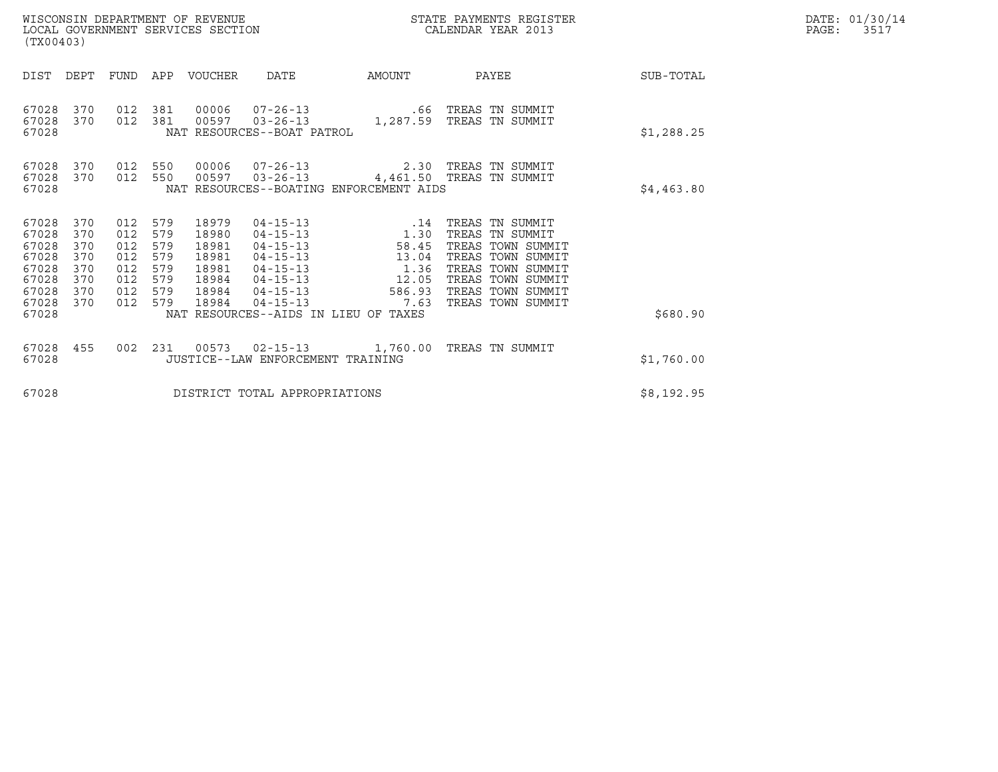| WISCONSIN DEPARTMENT OF REVENUE   | STATE PAYMENTS REGISTER | DATE: 01/30/14 |
|-----------------------------------|-------------------------|----------------|
| LOCAL GOVERNMENT SERVICES SECTION | CALENDAR YEAR 2013      | PAGE:<br>3517  |

| (TX00403)                                                                                                                             |                                                      | WISCONSIN DEPARTMENT OF REVENUE<br>LOCAL GOVERNMENT SERVICES SECTION                                                         |                                                                                                                                                                                      |                                                                  | STATE PAYMENTS REGISTER<br>CALENDAR YEAR 2013                                                                                                                    |            | DATE: 01/30/14<br>PAGE:<br>3517 |
|---------------------------------------------------------------------------------------------------------------------------------------|------------------------------------------------------|------------------------------------------------------------------------------------------------------------------------------|--------------------------------------------------------------------------------------------------------------------------------------------------------------------------------------|------------------------------------------------------------------|------------------------------------------------------------------------------------------------------------------------------------------------------------------|------------|---------------------------------|
| DIST<br>DEPT                                                                                                                          | FUND                                                 | APP VOUCHER                                                                                                                  | DATE                                                                                                                                                                                 | AMOUNT                                                           | <b>PAYEE</b> PAYEE                                                                                                                                               | SUB-TOTAL  |                                 |
| 67028<br>370<br>370<br>67028<br>67028                                                                                                 | 012<br>012                                           | 381<br>00006<br>381<br>00597                                                                                                 | $03 - 26 - 13$ 1, 287.59<br>NAT RESOURCES--BOAT PATROL                                                                                                                               |                                                                  | 07-26-13 66 TREAS TN SUMMIT<br>TREAS TN SUMMIT                                                                                                                   | \$1,288.25 |                                 |
| 67028<br>370<br>67028<br>370<br>67028                                                                                                 | 012<br>012                                           | 550<br>00006<br>550<br>00597                                                                                                 | NAT RESOURCES--BOATING ENFORCEMENT AIDS                                                                                                                                              |                                                                  | 07-26-13 2.30 TREAS TN SUMMIT<br>03-26-13 4,461.50 TREAS TN SUMMIT                                                                                               | \$4,463.80 |                                 |
| 67028<br>370<br>67028<br>370<br>67028<br>370<br>67028<br>370<br>67028<br>370<br>67028<br>370<br>67028<br>370<br>67028<br>370<br>67028 | 012<br>012<br>012<br>012<br>012<br>012<br>012<br>012 | 579<br>18979<br>579<br>18980<br>579<br>18981<br>579<br>18981<br>579<br>18981<br>579<br>18984<br>579<br>18984<br>579<br>18984 | $04 - 15 - 13$<br>$04 - 15 - 13$<br>$04 - 15 - 13$<br>$04 - 15 - 13$<br>$04 - 15 - 13$<br>$04 - 15 - 13$<br>$04 - 15 - 13$<br>$04 - 15 - 13$<br>NAT RESOURCES--AIDS IN LIEU OF TAXES | .14<br>1.30<br>58.45<br>13.04<br>1.36<br>12.05<br>586.93<br>7.63 | TREAS TN SUMMIT<br>TREAS TN SUMMIT<br>TREAS TOWN SUMMIT<br>TREAS TOWN SUMMIT<br>TREAS TOWN SUMMIT<br>TREAS TOWN SUMMIT<br>TREAS TOWN SUMMIT<br>TREAS TOWN SUMMIT | \$680.90   |                                 |
| 67028<br>455<br>67028                                                                                                                 | 002                                                  |                                                                                                                              | 231 00573 02-15-13 1,760.00<br>JUSTICE--LAW ENFORCEMENT TRAINING                                                                                                                     |                                                                  | TREAS TN SUMMIT                                                                                                                                                  | \$1,760.00 |                                 |
| 67028                                                                                                                                 |                                                      |                                                                                                                              | DISTRICT TOTAL APPROPRIATIONS                                                                                                                                                        |                                                                  |                                                                                                                                                                  | \$8,192.95 |                                 |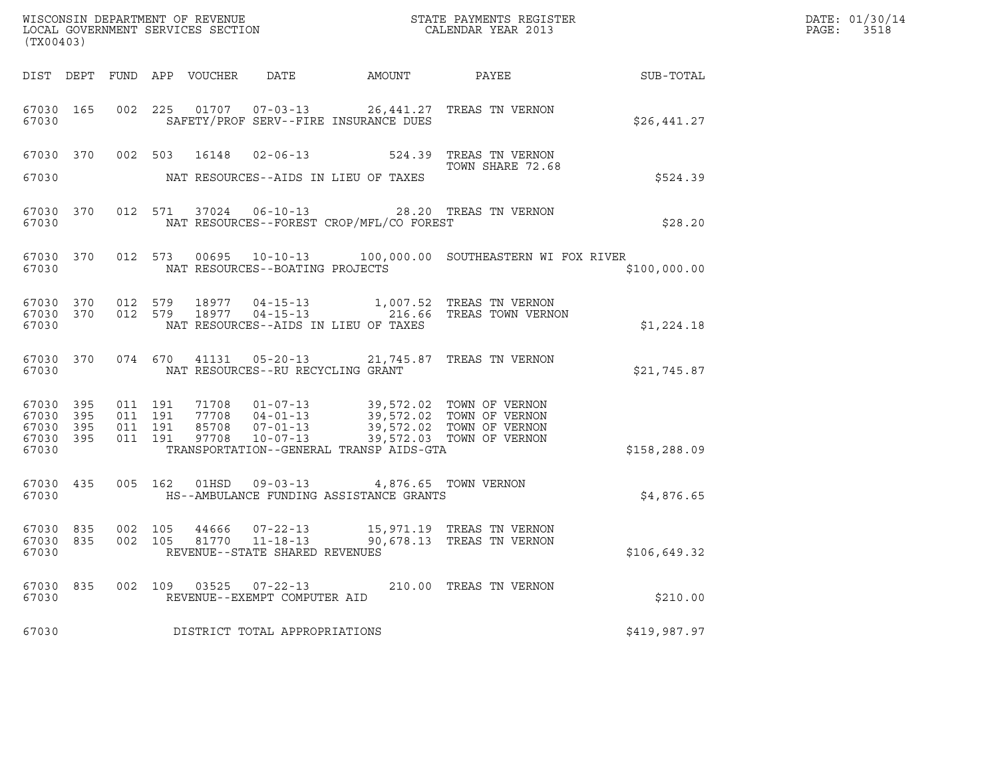| (TX00403)                                                 |                               |         |                                                  |                                                                                                                                                                                                                                 |                                                                                                                                                                                                          |              | DATE: 01/30/14<br>PAGE: 3518 |
|-----------------------------------------------------------|-------------------------------|---------|--------------------------------------------------|---------------------------------------------------------------------------------------------------------------------------------------------------------------------------------------------------------------------------------|----------------------------------------------------------------------------------------------------------------------------------------------------------------------------------------------------------|--------------|------------------------------|
|                                                           |                               |         |                                                  |                                                                                                                                                                                                                                 |                                                                                                                                                                                                          |              |                              |
| 67030 165<br>67030                                        |                               |         |                                                  | SAFETY/PROF SERV--FIRE INSURANCE DUES                                                                                                                                                                                           | 002 225 01707 07-03-13 26,441.27 TREAS TN VERNON                                                                                                                                                         | \$26,441.27  |                              |
| 67030                                                     |                               |         |                                                  | NAT RESOURCES--AIDS IN LIEU OF TAXES                                                                                                                                                                                            | 67030 370 002 503 16148 02-06-13 524.39 TREAS TN VERNON<br>TOWN SHARE 72.68                                                                                                                              | \$524.39     |                              |
| 67030 370<br>67030                                        |                               |         |                                                  | NAT RESOURCES--FOREST CROP/MFL/CO FOREST                                                                                                                                                                                        | 012 571 37024 06-10-13 28.20 TREAS TN VERNON                                                                                                                                                             | \$28.20      |                              |
| 67030                                                     |                               |         | NAT RESOURCES--BOATING PROJECTS                  |                                                                                                                                                                                                                                 | 67030 370 012 573 00695 10-10-13 100,000.00 SOUTHEASTERN WI FOX RIVER                                                                                                                                    | \$100.000.00 |                              |
| 67030                                                     |                               |         |                                                  | NAT RESOURCES--AIDS IN LIEU OF TAXES                                                                                                                                                                                            | $\begin{array}{cccccc} 67030 & 370 & 012 & 579 & 18977 & 04-15-13 & & 1,007.52 & \text{TREAS TN VERNON} \\ 67030 & 370 & 012 & 579 & 18977 & 04-15-13 & & 216.66 & \text{TREAS TOWN VERNON} \end{array}$ | \$1,224.18   |                              |
| 67030                                                     |                               |         | NAT RESOURCES--RU RECYCLING GRANT                |                                                                                                                                                                                                                                 | 67030 370 074 670 41131 05-20-13 21,745.87 TREAS TN VERNON                                                                                                                                               | \$21,745.87  |                              |
| 67030 395<br>67030 395<br>67030 395<br>67030 395<br>67030 | 011 191<br>011 191<br>011 191 | 011 191 |                                                  | 71708  01-07-13  39,572.02  TOWN OF VERNON<br>77708  04-01-13  39,572.02  TOWN OF VERNON<br>85708  07-01-13  39,572.02  TOWN OF VERNON<br>97708  10-07-13  39,572.03  TOWN OF VERNON<br>TRANSPORTATION--GENERAL TRANSP AIDS-GTA |                                                                                                                                                                                                          | \$158,288.09 |                              |
| 67030 435<br>67030                                        |                               |         |                                                  | 005 162 01HSD 09-03-13 4,876.65 TOWN VERNON<br>HS--AMBULANCE FUNDING ASSISTANCE GRANTS                                                                                                                                          |                                                                                                                                                                                                          | \$4,876.65   |                              |
| 67030 835<br>67030 835<br>67030                           | 002 105<br>002 105            |         | 81770 11-18-13<br>REVENUE--STATE SHARED REVENUES |                                                                                                                                                                                                                                 | 90,678.13 TREAS TN VERNON                                                                                                                                                                                | \$106,649.32 |                              |
| 67030 835<br>67030                                        | 002 109                       |         | 03525 07-22-13<br>REVENUE--EXEMPT COMPUTER AID   |                                                                                                                                                                                                                                 | 210.00 TREAS TN VERNON                                                                                                                                                                                   | \$210.00     |                              |
| 67030                                                     |                               |         | DISTRICT TOTAL APPROPRIATIONS                    |                                                                                                                                                                                                                                 |                                                                                                                                                                                                          | \$419,987.97 |                              |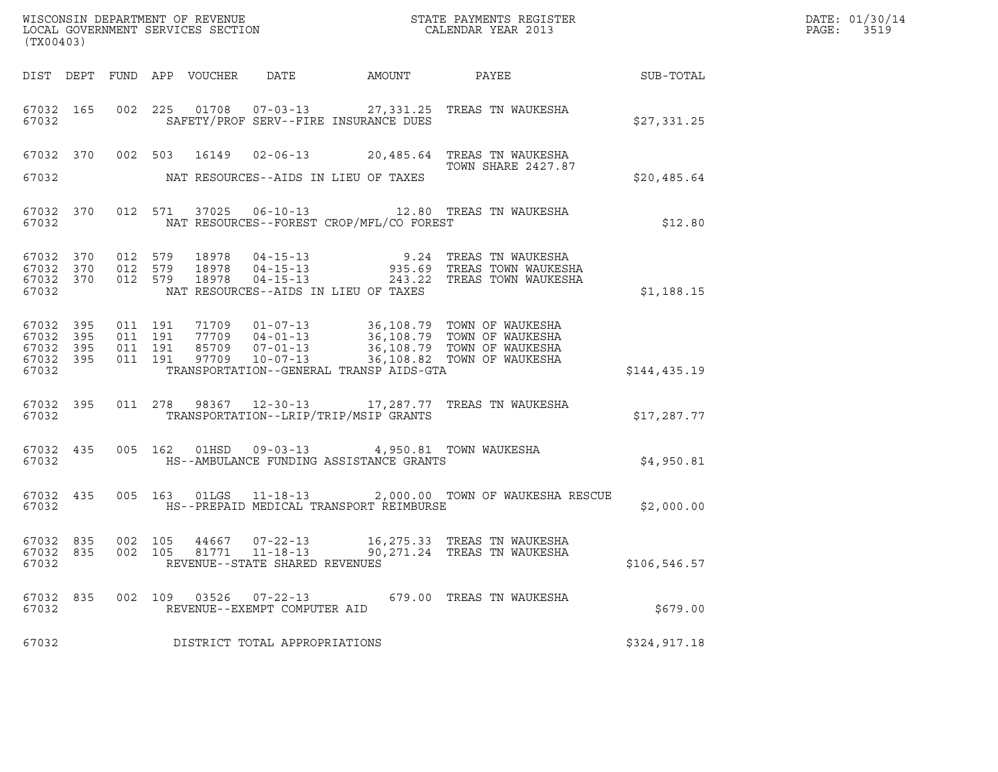| (TX00403)                                             |     |                               |                    |  |                                                        |                                                                                                    |                                                                                                                                                                                              |               | DATE: 01/30/14<br>PAGE:<br>3519 |
|-------------------------------------------------------|-----|-------------------------------|--------------------|--|--------------------------------------------------------|----------------------------------------------------------------------------------------------------|----------------------------------------------------------------------------------------------------------------------------------------------------------------------------------------------|---------------|---------------------------------|
|                                                       |     |                               |                    |  |                                                        |                                                                                                    | DIST DEPT FUND APP VOUCHER DATE AMOUNT PAYEE TO SUB-TOTAL                                                                                                                                    |               |                                 |
| 67032 165<br>67032                                    |     |                               |                    |  |                                                        | SAFETY/PROF SERV--FIRE INSURANCE DUES                                                              | 002 225 01708 07-03-13 27,331.25 TREAS TN WAUKESHA                                                                                                                                           | \$27,331.25   |                                 |
| 67032                                                 |     |                               |                    |  |                                                        | NAT RESOURCES--AIDS IN LIEU OF TAXES                                                               | 67032 370 002 503 16149 02-06-13 20,485.64 TREAS TN WAUKESHA<br><b>TOWN SHARE 2427.87</b>                                                                                                    | \$20,485.64   |                                 |
| 67032                                                 |     |                               |                    |  |                                                        | NAT RESOURCES--FOREST CROP/MFL/CO FOREST                                                           | 67032 370 012 571 37025 06-10-13 12.80 TREAS TN WAUKESHA                                                                                                                                     | \$12.80       |                                 |
| 67032 370<br>67032 370<br>67032 370<br>67032          |     | 012 579<br>012 579<br>012 579 |                    |  |                                                        | NAT RESOURCES--AIDS IN LIEU OF TAXES                                                               |                                                                                                                                                                                              | \$1,188.15    |                                 |
| 67032 395<br>67032 395<br>67032<br>67032 395<br>67032 | 395 | 011 191<br>011 191            | 011 191<br>011 191 |  |                                                        | TRANSPORTATION--GENERAL TRANSP AIDS-GTA                                                            | 71709  01-07-13  36,108.79  TOWN OF WAUKESHA<br>77709  04-01-13  36,108.79  TOWN OF WAUKESHA<br>85709  07-01-13  36,108.79  TOWN OF WAUKESHA<br>97709  10-07-13  36,108.82  TOWN OF WAUKESHA | \$144,435.19  |                                 |
| 67032                                                 |     |                               |                    |  |                                                        | TRANSPORTATION--LRIP/TRIP/MSIP GRANTS                                                              | 67032 395 011 278 98367 12-30-13 17,287.77 TREAS TN WAUKESHA                                                                                                                                 | \$17,287.77   |                                 |
| 67032                                                 |     |                               |                    |  |                                                        | 67032 435 005 162 01HSD 09-03-13 4,950.81 TOWN WAUKESHA<br>HS--AMBULANCE FUNDING ASSISTANCE GRANTS |                                                                                                                                                                                              | \$4,950.81    |                                 |
| 67032                                                 |     |                               |                    |  |                                                        | HS--PREPAID MEDICAL TRANSPORT REIMBURSE                                                            | 67032 435 005 163 01LGS 11-18-13 2,000.00 TOWN OF WAUKESHA RESCUE                                                                                                                            | \$2,000.00    |                                 |
| 67032 835<br>67032                                    |     | 002 105                       |                    |  | REVENUE--STATE SHARED REVENUES                         |                                                                                                    | 67032 835 002 105 44667 07-22-13 16,275.33 TREAS TN WAUKESHA<br>81771  11-18-13  90,271.24 TREAS TN WAUKESHA                                                                                 | \$106, 546.57 |                                 |
| 67032 835<br>67032                                    |     |                               |                    |  | 002 109 03526 07-22-13<br>REVENUE--EXEMPT COMPUTER AID |                                                                                                    | 679.00 TREAS TN WAUKESHA                                                                                                                                                                     | \$679.00      |                                 |
| 67032                                                 |     |                               |                    |  | DISTRICT TOTAL APPROPRIATIONS                          |                                                                                                    |                                                                                                                                                                                              | \$324,917.18  |                                 |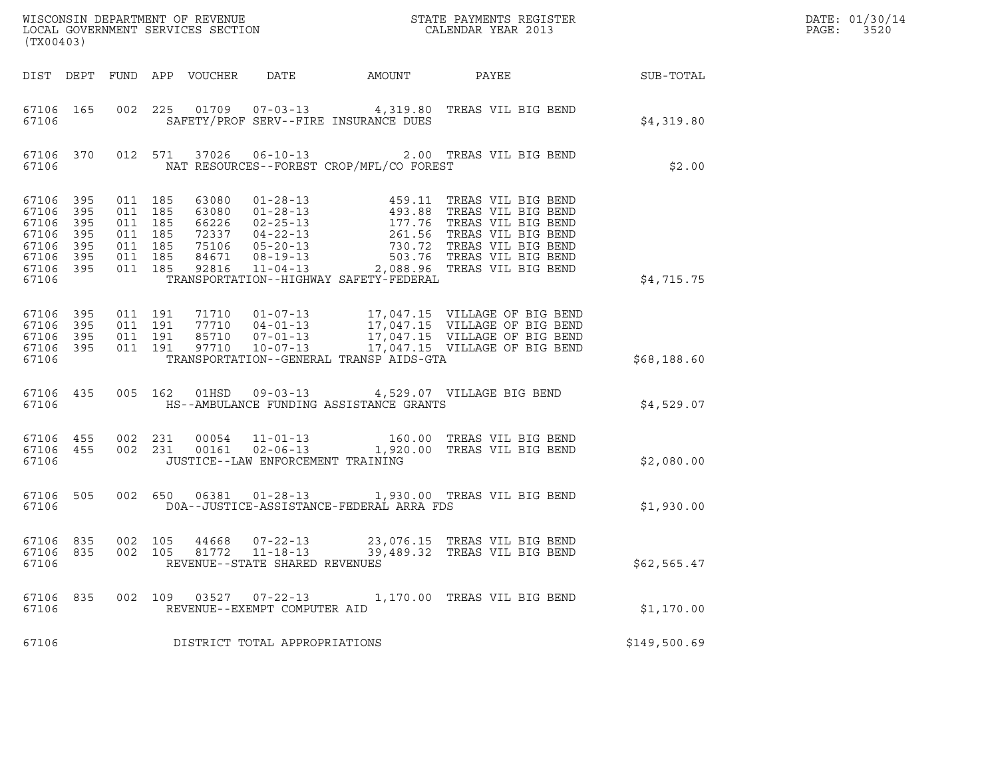|                                                                 |                                        |                                                                |         |                                                             |                                                        |                                          |                                                                                                                                                                                                                                                                          |                  | DATE: 01/30/14 |
|-----------------------------------------------------------------|----------------------------------------|----------------------------------------------------------------|---------|-------------------------------------------------------------|--------------------------------------------------------|------------------------------------------|--------------------------------------------------------------------------------------------------------------------------------------------------------------------------------------------------------------------------------------------------------------------------|------------------|----------------|
| (TX00403)                                                       |                                        |                                                                |         |                                                             |                                                        |                                          |                                                                                                                                                                                                                                                                          |                  | PAGE: 3520     |
|                                                                 |                                        |                                                                |         |                                                             |                                                        |                                          |                                                                                                                                                                                                                                                                          | <b>SUB-TOTAL</b> |                |
| 67106 165<br>67106                                              |                                        |                                                                |         |                                                             |                                                        | SAFETY/PROF SERV--FIRE INSURANCE DUES    | 002 225 01709 07-03-13 4,319.80 TREAS VIL BIG BEND                                                                                                                                                                                                                       | \$4,319.80       |                |
| 67106                                                           |                                        |                                                                |         |                                                             |                                                        | NAT RESOURCES--FOREST CROP/MFL/CO FOREST | 67106 370 012 571 37026 06-10-13 2.00 TREAS VIL BIG BEND                                                                                                                                                                                                                 | \$2.00           |                |
| 67106 395<br>67106<br>67106<br>67106<br>67106<br>67106<br>67106 | 395<br>395<br>395<br>395<br>395<br>395 | 011 185<br>011 185<br>011 185<br>011 185<br>011 185<br>011 185 | 011 185 | 63080<br>63080<br>66226<br>72337<br>75106<br>84671<br>92816 |                                                        |                                          | 01-28-13<br>01-28-13<br>01-28-13<br>02-25-13<br>02-25-13<br>04-22-13<br>05-20-13<br>08-19-13<br>08-19-13<br>08-19-13<br>08-19-13<br>08-19-13<br>08-19-13<br>2088-99-20<br>208-20-13<br>208-20-13<br>208-20-13<br>208-20-13<br>208-20-13<br>208-20-13<br>208-20-13<br>208 |                  |                |
| 67106                                                           |                                        |                                                                |         |                                                             |                                                        | TRANSPORTATION--HIGHWAY SAFETY-FEDERAL   |                                                                                                                                                                                                                                                                          | \$4,715.75       |                |
| 67106 395<br>67106<br>67106<br>67106<br>67106                   | 395<br>395<br>395                      |                                                                |         |                                                             |                                                        | TRANSPORTATION--GENERAL TRANSP AIDS-GTA  | 011 191 71710 01-07-13 17,047.15 VILLAGE OF BIG BEND<br>011 191 77710 04-01-13 17,047.15 VILLAGE OF BIG BEND<br>011 191 85710 07-01-13 17,047.15 VILLAGE OF BIG BEND<br>011 191 97710 10-07-13 17,047.15 VILLAGE OF BIG BEND                                             | \$68,188.60      |                |
| 67106                                                           |                                        |                                                                |         |                                                             |                                                        | HS--AMBULANCE FUNDING ASSISTANCE GRANTS  | 67106 435 005 162 01HSD 09-03-13 4,529.07 VILLAGE BIG BEND                                                                                                                                                                                                               | \$4,529.07       |                |
| 67106 455<br>67106 455<br>67106                                 |                                        | 002 231                                                        |         |                                                             | JUSTICE--LAW ENFORCEMENT TRAINING                      |                                          | 002 231 00054 11-01-13 160.00 TREAS VIL BIG BEND<br>002 231 00161 02-06-13 1,920.00 TREAS VIL BIG BEND                                                                                                                                                                   | \$2,080.00       |                |
| 67106                                                           |                                        |                                                                |         |                                                             |                                                        | DOA--JUSTICE-ASSISTANCE-FEDERAL ARRA FDS | 67106 505 002 650 06381 01-28-13 1,930.00 TREAS VIL BIG BEND                                                                                                                                                                                                             | \$1,930.00       |                |
| 67106 835<br>67106                                              |                                        |                                                                |         |                                                             | REVENUE--STATE SHARED REVENUES                         |                                          | 67106 835 002 105 44668 07-22-13 23,076.15 TREAS VIL BIG BEND<br>002  105  81772  11-18-13  39,489.32  TREAS VIL BIG BEND                                                                                                                                                | \$62,565.47      |                |
| 67106 835<br>67106                                              |                                        |                                                                |         |                                                             | 002 109 03527 07-22-13<br>REVENUE--EXEMPT COMPUTER AID |                                          | 1,170.00 TREAS VIL BIG BEND                                                                                                                                                                                                                                              | \$1,170.00       |                |
| 67106                                                           |                                        |                                                                |         |                                                             | DISTRICT TOTAL APPROPRIATIONS                          |                                          |                                                                                                                                                                                                                                                                          | \$149,500.69     |                |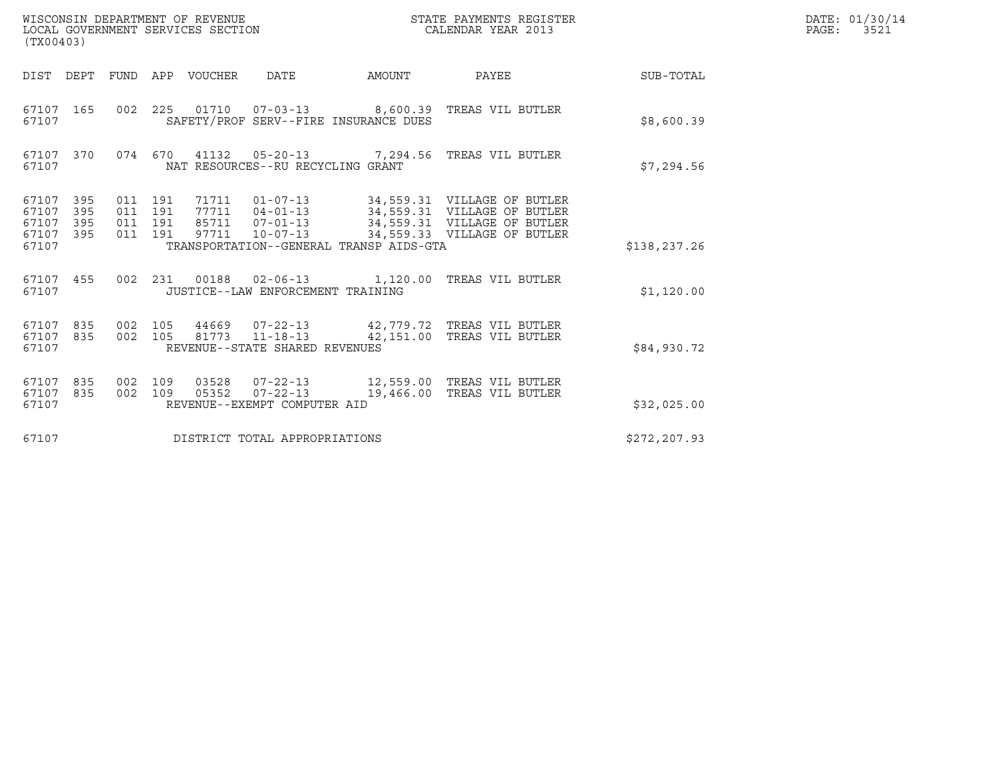| (TX00403)                                         |            |                                          | WISCONSIN DEPARTMENT OF REVENUE<br>LOCAL GOVERNMENT SERVICES SECTION |                                                |                                         | STATE PAYMENTS REGISTER<br>CALENDAR YEAR 2013                                                                                                                                                    |               | DATE: 01/30/14<br>PAGE:<br>3521 |
|---------------------------------------------------|------------|------------------------------------------|----------------------------------------------------------------------|------------------------------------------------|-----------------------------------------|--------------------------------------------------------------------------------------------------------------------------------------------------------------------------------------------------|---------------|---------------------------------|
|                                                   |            |                                          | DIST DEPT FUND APP VOUCHER                                           | DATE                                           | AMOUNT                                  | PAYEE                                                                                                                                                                                            | SUB-TOTAL     |                                 |
| 67107 165<br>67107                                |            |                                          |                                                                      |                                                | SAFETY/PROF SERV--FIRE INSURANCE DUES   | 002 225 01710 07-03-13 8,600.39 TREAS VIL BUTLER                                                                                                                                                 | \$8,600.39    |                                 |
| 67107 370<br>67107                                |            |                                          |                                                                      | NAT RESOURCES--RU RECYCLING GRANT              |                                         | 074 670 41132 05-20-13 7,294.56 TREAS VIL BUTLER                                                                                                                                                 | \$7,294.56    |                                 |
| 67107 395<br>67107<br>67107<br>67107 395<br>67107 | 395<br>395 | 011 191<br>011 191<br>011 191<br>011 191 |                                                                      |                                                | TRANSPORTATION--GENERAL TRANSP AIDS-GTA | 71711  01-07-13  34,559.31  VILLAGE OF BUTLER<br>77711  04-01-13  34,559.31  VILLAGE OF BUTLER<br>85711  07-01-13  34,559.31  VILLAGE OF BUTLER<br>97711  10-07-13  34,559.33  VILLAGE OF BUTLER | \$138,237.26  |                                 |
| 67107 455<br>67107                                |            |                                          |                                                                      | JUSTICE--LAW ENFORCEMENT TRAINING              |                                         | 002 231 00188 02-06-13 1,120.00 TREAS VIL BUTLER                                                                                                                                                 | \$1,120.00    |                                 |
| 67107 835<br>67107 835<br>67107                   |            | 002 105<br>002 105                       |                                                                      | REVENUE--STATE SHARED REVENUES                 |                                         | 44669 07-22-13 42,779.72 TREAS VIL BUTLER<br>81773  11-18-13  42,151.00  TREAS VIL BUTLER                                                                                                        | \$84,930.72   |                                 |
| 67107 835<br>67107 835<br>67107                   |            | 002 109<br>002 109                       | 03528<br>05352                                                       | $07 - 22 - 13$<br>REVENUE--EXEMPT COMPUTER AID |                                         | 19,466.00 TREAS VIL BUTLER                                                                                                                                                                       | \$32,025.00   |                                 |
| 67107                                             |            |                                          |                                                                      | DISTRICT TOTAL APPROPRIATIONS                  |                                         |                                                                                                                                                                                                  | \$272, 207.93 |                                 |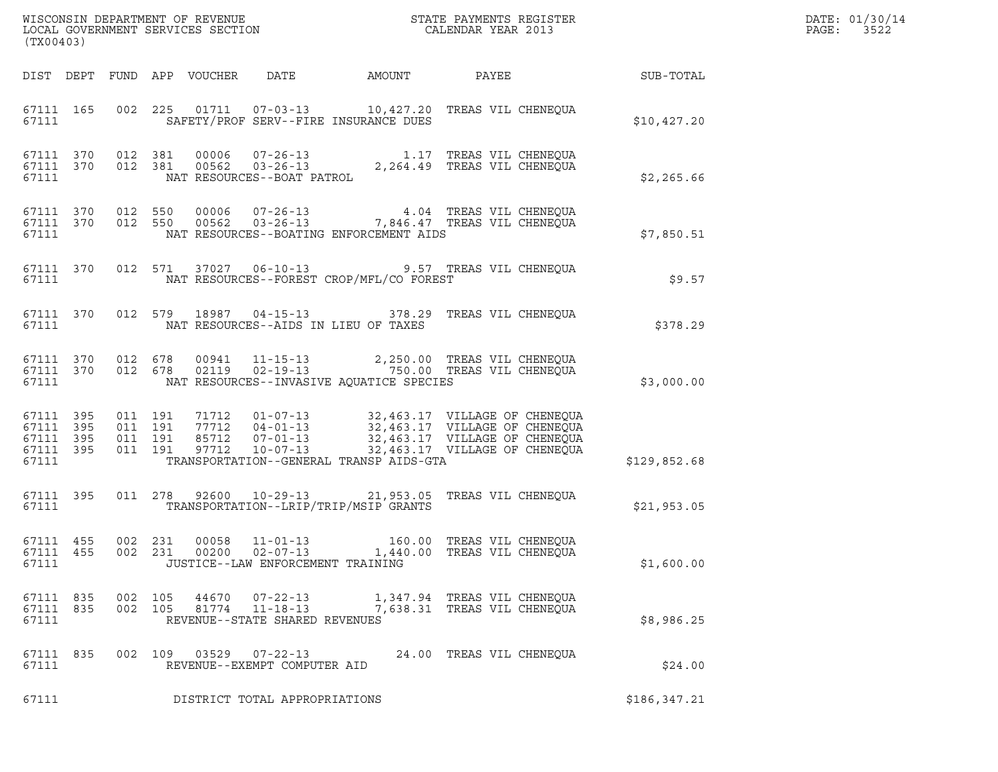| (TX00403)                                                 |                    |                                          |                                                                    |                                          | DATE: 01/30/14<br>PAGE:<br>3522                                                                                                                                                                          |              |  |
|-----------------------------------------------------------|--------------------|------------------------------------------|--------------------------------------------------------------------|------------------------------------------|----------------------------------------------------------------------------------------------------------------------------------------------------------------------------------------------------------|--------------|--|
|                                                           |                    |                                          |                                                                    |                                          |                                                                                                                                                                                                          |              |  |
| 67111                                                     |                    |                                          | SAFETY/PROF SERV--FIRE INSURANCE DUES                              |                                          | 67111 165 002 225 01711 07-03-13 10,427.20 TREAS VIL CHENEQUA                                                                                                                                            | \$10,427.20  |  |
| 67111 370<br>67111                                        | 67111 370 012 381  |                                          |                                                                    |                                          | 012 381 00006 07-26-13 1.17 TREAS VIL CHENEQUA<br>012 381 00562 03-26-13 2,264.49 TREAS VIL CHENEQUA<br>NAT RESOURCES--BOAT PATROL                                                                       | \$2,265.66   |  |
| 67111                                                     |                    |                                          |                                                                    | NAT RESOURCES--BOATING ENFORCEMENT AIDS  | 67111 370 012 550 00006 07-26-13 4.04 TREAS VIL CHENEQUA<br>67111 370 012 550 00562 03-26-13 7,846.47 TREAS VIL CHENEQUA                                                                                 | \$7,850.51   |  |
| 67111                                                     |                    |                                          |                                                                    | NAT RESOURCES--FOREST CROP/MFL/CO FOREST | 67111 370 012 571 37027 06-10-13 9.57 TREAS VIL CHENEQUA                                                                                                                                                 | \$9.57       |  |
| 67111                                                     |                    |                                          | NAT RESOURCES--AIDS IN LIEU OF TAXES                               |                                          | 67111 370 012 579 18987 04-15-13 378.29 TREAS VIL CHENEQUA                                                                                                                                               | \$378.29     |  |
| 67111 370<br>67111 370<br>67111                           | 012 678            | 012 678                                  |                                                                    | NAT RESOURCES--INVASIVE AQUATICE SPECIES | 00941   11-15-13   2,250.00   TREAS   VIL CHENEQUA<br>02119   02-19-13   750.00   TREAS   VIL CHENEQUA                                                                                                   | \$3,000.00   |  |
| 67111 395<br>67111 395<br>67111 395<br>67111 395<br>67111 |                    | 011 191<br>011 191<br>011 191<br>011 191 |                                                                    | TRANSPORTATION--GENERAL TRANSP AIDS-GTA  | 71712  01-07-13  32,463.17  VILLAGE OF CHENEQUA<br>77712  04-01-13  32,463.17  VILLAGE OF CHENEQUA<br>85712  07-01-13  32,463.17  VILLAGE OF CHENEQUA<br>97712  10-07-13  32,463.17  VILLAGE OF CHENEQUA | \$129,852.68 |  |
| 67111 395<br>67111                                        |                    |                                          | TRANSPORTATION--LRIP/TRIP/MSIP GRANTS                              |                                          | 011  278  92600  10-29-13  21,953.05  TREAS VIL CHENEQUA                                                                                                                                                 | \$21,953.05  |  |
| 67111 455<br>67111                                        |                    | 002 231                                  | JUSTICE--LAW ENFORCEMENT TRAINING                                  |                                          | 67111 455 002 231 00058 11-01-13 160.00 TREAS VIL CHENEQUA                                                                                                                                               | \$1,600.00   |  |
| 67111 835<br>67111 835<br>67111                           | 002 105<br>002 105 | 44670<br>81774                           | $07 - 22 - 13$<br>$11 - 18 - 13$<br>REVENUE--STATE SHARED REVENUES |                                          | 1,347.94 TREAS VIL CHENEQUA<br>7,638.31 TREAS VIL CHENEQUA                                                                                                                                               | \$8,986.25   |  |
| 67111 835<br>67111                                        |                    |                                          | 002 109 03529 07-22-13<br>REVENUE--EXEMPT COMPUTER AID             |                                          | 24.00 TREAS VIL CHENEQUA                                                                                                                                                                                 | \$24.00      |  |
| 67111                                                     |                    |                                          | DISTRICT TOTAL APPROPRIATIONS                                      |                                          |                                                                                                                                                                                                          | \$186,347.21 |  |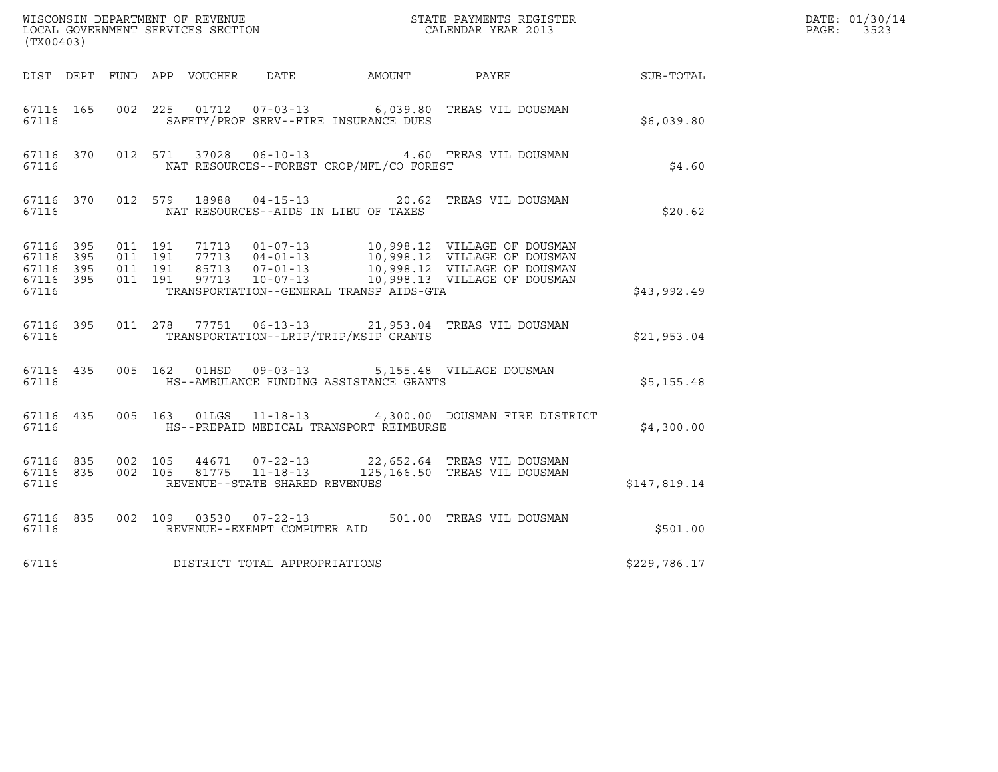| (TX00403)                                                 |                    |                              |                    |                                                        |                                          | ${\tt WISCONSIM\ DEPARTMENT\ OF\ REVENUE}\qquad \qquad {\tt STATE\ PAYMENTS\ REGISTER} \\ {\tt LOCAL\ GOVERNMENT\ SERVICES\ SECTION}\qquad \qquad {\tt CALENDAR\ YEAR\ 2013}$                        |              | DATE: 01/30/14<br>$\mathtt{PAGE:}$<br>3523 |
|-----------------------------------------------------------|--------------------|------------------------------|--------------------|--------------------------------------------------------|------------------------------------------|------------------------------------------------------------------------------------------------------------------------------------------------------------------------------------------------------|--------------|--------------------------------------------|
|                                                           |                    |                              |                    |                                                        |                                          | DIST DEPT FUND APP VOUCHER DATE AMOUNT PAYEE TO SUB-TOTAL                                                                                                                                            |              |                                            |
| 67116                                                     | 67116 165          |                              |                    |                                                        | SAFETY/PROF SERV--FIRE INSURANCE DUES    | 002 225 01712 07-03-13 6,039.80 TREAS VIL DOUSMAN                                                                                                                                                    | \$6,039.80   |                                            |
| 67116                                                     | 67116 370          |                              |                    |                                                        | NAT RESOURCES--FOREST CROP/MFL/CO FOREST | 012 571 37028 06-10-13 4.60 TREAS VIL DOUSMAN                                                                                                                                                        | \$4.60       |                                            |
| 67116                                                     | 67116 370          |                              |                    |                                                        | NAT RESOURCES--AIDS IN LIEU OF TAXES     | 012 579 18988 04-15-13 20.62 TREAS VIL DOUSMAN                                                                                                                                                       | \$20.62      |                                            |
| 67116 395<br>67116 395<br>67116 395<br>67116 395<br>67116 |                    | 011 191<br>011 191           | 011 191<br>011 191 |                                                        | TRANSPORTATION--GENERAL TRANSP AIDS-GTA  | 71713  01-07-13  10,998.12  VILLAGE OF DOUSMAN<br>77713  04-01-13  10,998.12  VILLAGE OF DOUSMAN<br>85713  07-01-13  10,998.12  VILLAGE OF DOUSMAN<br>97713  10-07-13  10,998.13  VILLAGE OF DOUSMAN | \$43,992.49  |                                            |
| 67116                                                     | 67116 395          |                              |                    |                                                        | TRANSPORTATION--LRIP/TRIP/MSIP GRANTS    | 011  278  77751  06-13-13  21,953.04  TREAS VIL DOUSMAN                                                                                                                                              | \$21,953.04  |                                            |
|                                                           | 67116 435<br>67116 |                              |                    |                                                        | HS--AMBULANCE FUNDING ASSISTANCE GRANTS  | 005 162 01HSD 09-03-13 5,155.48 VILLAGE DOUSMAN                                                                                                                                                      | \$5,155.48   |                                            |
| 67116                                                     | 67116 435          |                              |                    |                                                        | HS--PREPAID MEDICAL TRANSPORT REIMBURSE  | 005 163 01LGS 11-18-13 4,300.00 DOUSMAN FIRE DISTRICT                                                                                                                                                | \$4,300.00   |                                            |
| 67116 835<br>67116                                        |                    | 67116 835 002 105<br>002 105 |                    | REVENUE--STATE SHARED REVENUES                         |                                          | 44671  07-22-13  22,652.64  TREAS VIL DOUSMAN<br>81775  11-18-13  125,166.50  TREAS VIL DOUSMAN<br>125,166.50 TREAS VIL DOUSMAN                                                                      | \$147,819.14 |                                            |
| 67116                                                     | 67116 835          |                              |                    | 002 109 03530 07-22-13<br>REVENUE--EXEMPT COMPUTER AID |                                          | 501.00 TREAS VIL DOUSMAN                                                                                                                                                                             | \$501.00     |                                            |
| 67116                                                     |                    |                              |                    | DISTRICT TOTAL APPROPRIATIONS                          |                                          |                                                                                                                                                                                                      | \$229,786.17 |                                            |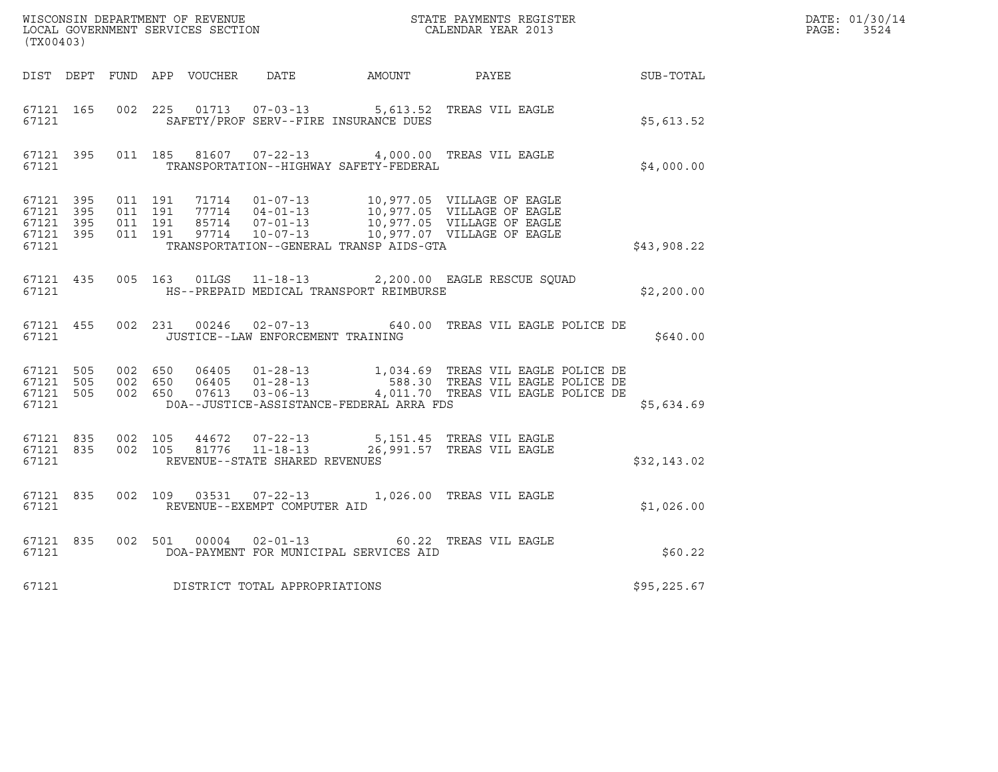| (TX00403)                                                 |           |         |                               |                                   |                                               | WISCONSIN DEPARTMENT OF REVENUE<br>LOCAL GOVERNMENT SERVICES SECTION CALENDAR YEAR 2013                                                                                                                                         | $\mathcal{L}(\mathcal{L}^{\mathcal{L}}_{\mathcal{L}})$ and $\mathcal{L}^{\mathcal{L}}_{\mathcal{L}}$ and $\mathcal{L}^{\mathcal{L}}_{\mathcal{L}}$ and $\mathcal{L}^{\mathcal{L}}_{\mathcal{L}}$<br>DATE: 01/30/14<br>PAGE: 3524 |  |
|-----------------------------------------------------------|-----------|---------|-------------------------------|-----------------------------------|-----------------------------------------------|---------------------------------------------------------------------------------------------------------------------------------------------------------------------------------------------------------------------------------|----------------------------------------------------------------------------------------------------------------------------------------------------------------------------------------------------------------------------------|--|
|                                                           |           |         |                               |                                   |                                               |                                                                                                                                                                                                                                 | DIST DEPT FUND APP VOUCHER DATE AMOUNT PAYEE SUB-TOTAL                                                                                                                                                                           |  |
| 67121 165<br>67121                                        |           |         |                               |                                   | SAFETY/PROF SERV--FIRE INSURANCE DUES         | 002 225 01713 07-03-13 5,613.52 TREAS VIL EAGLE                                                                                                                                                                                 | \$5,613.52                                                                                                                                                                                                                       |  |
|                                                           | 67121     |         |                               |                                   | TRANSPORTATION--HIGHWAY SAFETY-FEDERAL        | 67121 395 011 185 81607 07-22-13 4,000.00 TREAS VIL EAGLE                                                                                                                                                                       | \$4,000.00                                                                                                                                                                                                                       |  |
| 67121 395<br>67121 395<br>67121 395<br>67121 395<br>67121 |           | 011 191 | 011 191<br>011 191<br>011 191 |                                   | TRANSPORTATION--GENERAL TRANSP AIDS-GTA       | 71714  01-07-13  10,977.05  VILLAGE OF EAGLE<br>77714  04-01-13  10,977.05  VILLAGE OF EAGLE<br>85714  07-01-13  10,977.05  VILLAGE OF EAGLE<br>97714  10-07-13  10,977.07  VILLAGE OF EAGLE                                    | \$43,908.22                                                                                                                                                                                                                      |  |
|                                                           |           |         |                               |                                   | 67121 MS--PREPAID MEDICAL TRANSPORT REIMBURSE | 67121 435 005 163 01LGS 11-18-13 2,200.00 EAGLE RESCUE SQUAD                                                                                                                                                                    | \$2,200.00                                                                                                                                                                                                                       |  |
|                                                           | 67121 455 | 67121   |                               | JUSTICE--LAW ENFORCEMENT TRAINING |                                               | 002 231 00246 02-07-13 640.00 TREAS VIL EAGLE POLICE DE                                                                                                                                                                         | \$640.00                                                                                                                                                                                                                         |  |
| 67121                                                     |           |         |                               |                                   | DOA--JUSTICE-ASSISTANCE-FEDERAL ARRA FDS      | 67121 505 002 650 06405 01-28-13 1,034.69 TREAS VIL EAGLE POLICE DE<br>67121 505 002 650 06405 01-28-13 588.30 TREAS VIL EAGLE POLICE DE<br>67121 505 002 650 07613 03-06-13 4,011.70 TREAS VIL EAGLE POLICE DE                 | \$5,634.69                                                                                                                                                                                                                       |  |
|                                                           | 67121     |         |                               | REVENUE--STATE SHARED REVENUES    |                                               | $\begin{array}{cccccc} 67121 & 835 & 002 & 105 & 44672 & 07-22-13 & & & 5,151.45 & \text{TREAS VII} & \text{EAGLE} \\ 67121 & 835 & 002 & 105 & 81776 & 11-18-13 & & & 26,991.57 & \text{TREAS VII} & \text{EAGLE} \end{array}$ | \$32,143.02                                                                                                                                                                                                                      |  |
| 67121                                                     |           |         |                               | REVENUE--EXEMPT COMPUTER AID      |                                               | 67121 835 002 109 03531 07-22-13 1,026.00 TREAS VIL EAGLE                                                                                                                                                                       | \$1,026.00                                                                                                                                                                                                                       |  |
|                                                           | 67121 835 | 67121   |                               | 002 501 00004 02-01-13            | DOA-PAYMENT FOR MUNICIPAL SERVICES AID        | 60.22 TREAS VIL EAGLE                                                                                                                                                                                                           | \$60.22                                                                                                                                                                                                                          |  |
| 67121                                                     |           |         |                               | DISTRICT TOTAL APPROPRIATIONS     |                                               |                                                                                                                                                                                                                                 | \$95,225.67                                                                                                                                                                                                                      |  |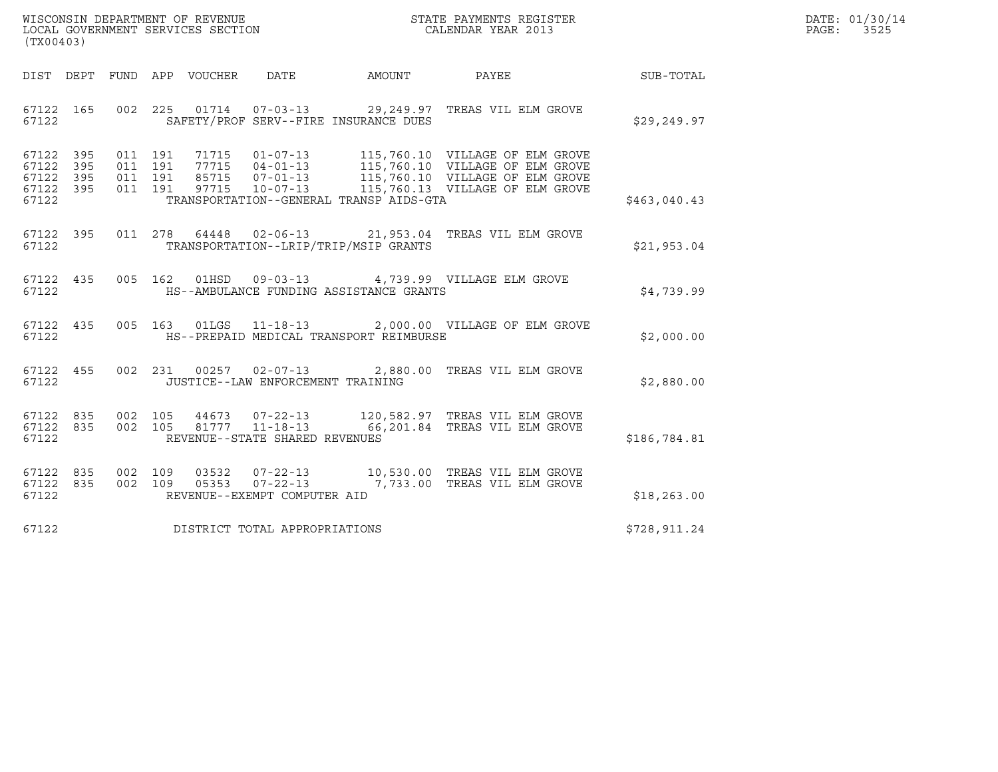| WISCONSIN DEPARTMENT OF REVENUE   | STATE PAYMENTS REGISTER | DATE: 01/30/14 |
|-----------------------------------|-------------------------|----------------|
| LOCAL GOVERNMENT SERVICES SECTION | CALENDAR YEAR 2013      | 3525<br>PAGE:  |

| WISCONSIN DEPARTMENT OF REVENUE<br>LOCAL GOVERNMENT SERVICES SECTION<br>CALENDAR YEAR 2013<br>(TX00403) |                                                                                                          |              | DATE: 01/30/14<br>PAGE: 3525 |
|---------------------------------------------------------------------------------------------------------|----------------------------------------------------------------------------------------------------------|--------------|------------------------------|
| DIST DEPT FUND APP VOUCHER DATE AMOUNT PAYEE PAYEE SUB-TOTAL                                            |                                                                                                          |              |                              |
| 67122 165<br>67122<br>SAFETY/PROF SERV--FIRE INSURANCE DUES                                             | 002 225 01714 07-03-13 29,249.97 TREAS VIL ELM GROVE                                                     | \$29,249.97  |                              |
| 67122 395<br>67122 395<br>67122 395<br>67122 395<br>TRANSPORTATION--GENERAL TRANSP AIDS-GTA<br>67122    |                                                                                                          | \$463,040.43 |                              |
| 67122 395<br>TRANSPORTATION--LRIP/TRIP/MSIP GRANTS<br>67122                                             | 011  278  64448  02-06-13  21,953.04  TREAS VIL ELM GROVE                                                | \$21,953.04  |                              |
| 67122 435<br>HS--AMBULANCE FUNDING ASSISTANCE GRANTS<br>67122                                           | 005 162 01HSD 09-03-13 4,739.99 VILLAGE ELM GROVE                                                        | \$4,739.99   |                              |
| 67122 435<br>HS--PREPAID MEDICAL TRANSPORT REIMBURSE<br>67122                                           | 005 163 01LGS 11-18-13 2,000.00 VILLAGE OF ELM GROVE                                                     | \$2,000.00   |                              |
| 67122 455<br>67122<br>JUSTICE--LAW ENFORCEMENT TRAINING                                                 | 002 231 00257 02-07-13 2,880.00 TREAS VIL ELM GROVE                                                      | \$2,880.00   |                              |
| 67122 835<br>67122 835<br>002 105<br>67122<br>REVENUE--STATE SHARED REVENUES                            | 002 105 44673 07-22-13 120,582.97 TREAS VIL ELM GROVE<br>81777  11-18-13  66,201.84  TREAS VIL ELM GROVE | \$186,784.81 |                              |
| 67122 835<br>67122 835<br>REVENUE--EXEMPT COMPUTER AID<br>67122                                         | 002 109 03532 07-22-13 10,530.00 TREAS VIL ELM GROVE 002 109 05353 07-22-13 7,733.00 TREAS VIL ELM GROVE | \$18, 263.00 |                              |
| 67122 DISTRICT TOTAL APPROPRIATIONS                                                                     |                                                                                                          | \$728,911.24 |                              |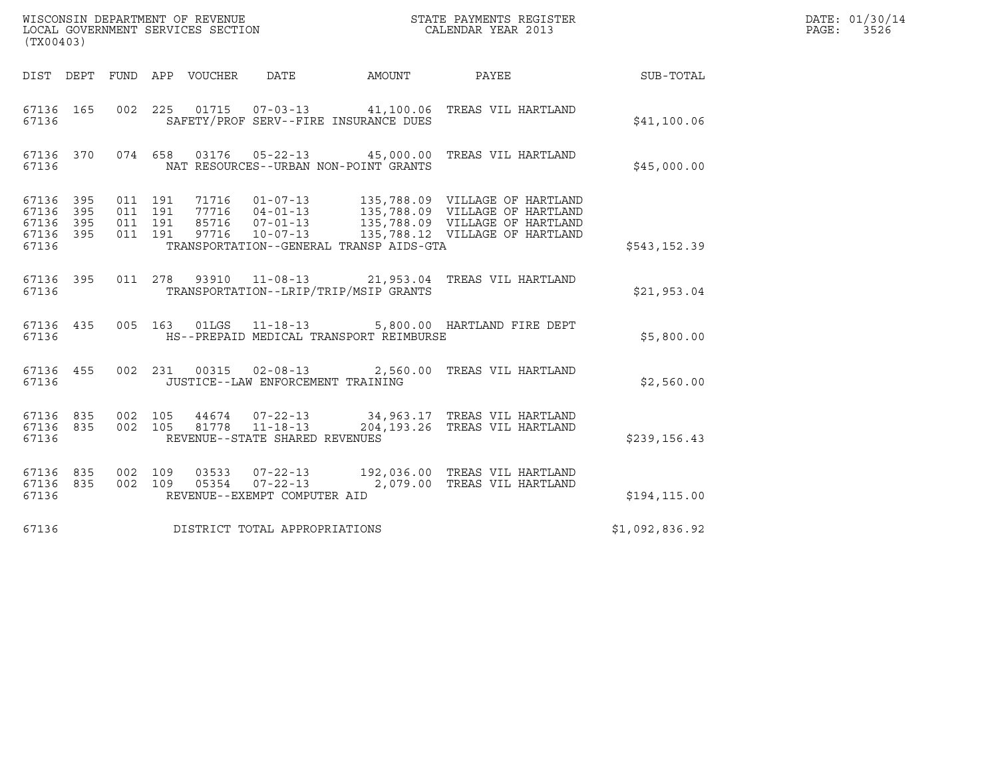| (TX00403)                                                 |                                          |         |                            |                                                                     |                                         |                                                                                                                                                                                                              |                | DATE: 01/30/14<br>PAGE:<br>3526 |
|-----------------------------------------------------------|------------------------------------------|---------|----------------------------|---------------------------------------------------------------------|-----------------------------------------|--------------------------------------------------------------------------------------------------------------------------------------------------------------------------------------------------------------|----------------|---------------------------------|
|                                                           |                                          |         | DIST DEPT FUND APP VOUCHER | DATE                                                                | AMOUNT                                  | PAYEE                                                                                                                                                                                                        | SUB-TOTAL      |                                 |
| 67136 165<br>67136                                        |                                          |         |                            |                                                                     | SAFETY/PROF SERV--FIRE INSURANCE DUES   | 002 225 01715 07-03-13 41,100.06 TREAS VIL HARTLAND                                                                                                                                                          | \$41,100.06    |                                 |
| 67136                                                     |                                          |         |                            |                                                                     | NAT RESOURCES--URBAN NON-POINT GRANTS   | 67136 370 074 658 03176 05-22-13 45,000.00 TREAS VIL HARTLAND                                                                                                                                                | \$45,000.00    |                                 |
| 67136 395<br>67136 395<br>67136 395<br>67136 395<br>67136 | 011 191<br>011 191<br>011 191<br>011 191 |         |                            |                                                                     | TRANSPORTATION--GENERAL TRANSP AIDS-GTA | 71716  01-07-13  135,788.09  VILLAGE OF HARTLAND<br>77716  04-01-13  135,788.09  VILLAGE OF HARTLAND<br>85716  07-01-13  135,788.09  VILLAGE OF HARTLAND<br>97716  10-07-13  135,788.12  VILLAGE OF HARTLAND | \$543,152.39   |                                 |
| 67136 395<br>67136                                        |                                          |         |                            |                                                                     | TRANSPORTATION--LRIP/TRIP/MSIP GRANTS   | 011  278  93910  11-08-13  21,953.04  TREAS VIL HARTLAND                                                                                                                                                     | \$21,953.04    |                                 |
| 67136 435<br>67136                                        |                                          |         |                            |                                                                     | HS--PREPAID MEDICAL TRANSPORT REIMBURSE | 005 163 01LGS 11-18-13 5,800.00 HARTLAND FIRE DEPT                                                                                                                                                           | \$5,800.00     |                                 |
| 67136 455<br>67136                                        |                                          |         |                            | 002 231 00315 02-08-13<br>JUSTICE--LAW ENFORCEMENT TRAINING         |                                         | 2,560.00 TREAS VIL HARTLAND                                                                                                                                                                                  | \$2,560.00     |                                 |
| 67136 835<br>67136 835<br>67136                           | 002 105                                  | 002 105 |                            | 44674 07-22-13<br>81778  11-18-13<br>REVENUE--STATE SHARED REVENUES |                                         | 34,963.17 TREAS VIL HARTLAND<br>204,193.26 TREAS VIL HARTLAND                                                                                                                                                | \$239,156.43   |                                 |
| 67136 835<br>67136 835<br>67136                           | 002 109<br>002 109                       |         | 03533                      | $07 - 22 - 13$<br>05354 07-22-13<br>REVENUE--EXEMPT COMPUTER AID    |                                         | 192,036.00 TREAS VIL HARTLAND<br>2,079.00 TREAS VIL HARTLAND                                                                                                                                                 | \$194, 115.00  |                                 |
| 67136                                                     |                                          |         |                            | DISTRICT TOTAL APPROPRIATIONS                                       |                                         |                                                                                                                                                                                                              | \$1,092,836.92 |                                 |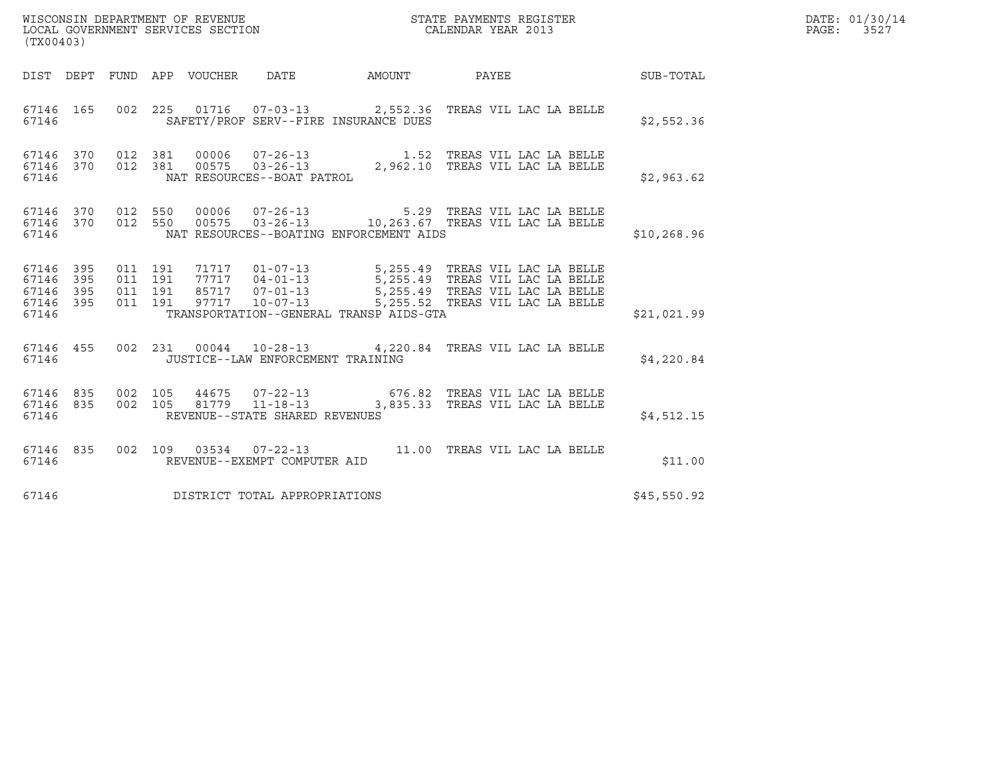| (TX00403)                                 |                          |                               |         |                                 | WISCONSIN DEPARTMENT OF REVENUE<br>LOCAL GOVERNMENT SERVICES SECTION |                                                                                                                                                          | STATE PAYMENTS REGISTER<br>CALENDAR YEAR 2013 |  |                  | DATE: 01/30/14<br>PAGE: 3527 |
|-------------------------------------------|--------------------------|-------------------------------|---------|---------------------------------|----------------------------------------------------------------------|----------------------------------------------------------------------------------------------------------------------------------------------------------|-----------------------------------------------|--|------------------|------------------------------|
|                                           |                          |                               |         | DIST DEPT FUND APP VOUCHER DATE |                                                                      | AMOUNT PAYEE                                                                                                                                             |                                               |  | <b>SUB-TOTAL</b> |                              |
| 67146 165<br>67146                        |                          |                               |         |                                 |                                                                      | 002 225 01716 07-03-13 2,552.36 TREAS VIL LAC LA BELLE<br>SAFETY/PROF SERV--FIRE INSURANCE DUES                                                          |                                               |  | \$2,552.36       |                              |
| 67146 370 012 381<br>67146 370<br>67146   |                          |                               |         |                                 |                                                                      |                                                                                                                                                          |                                               |  | \$2,963.62       |                              |
| 67146 370<br>67146 370<br>67146           |                          | 012 550                       |         |                                 |                                                                      | 012 550 00006 07-26-13 5.29 TREAS VIL LAC LA BELLE<br>012 550 00575 03-26-13 10,263.67 TREAS VIL LAC LA BELLE<br>NAT RESOURCES--BOATING ENFORCEMENT AIDS |                                               |  | \$10, 268.96     |                              |
| 67146<br>67146<br>67146<br>67146<br>67146 | 395<br>395<br>395<br>395 | 011 191<br>011 191<br>011 191 | 011 191 | 97717                           | $10 - 07 - 13$                                                       | 5,255.52 TREAS VIL LAC LA BELLE<br>TRANSPORTATION--GENERAL TRANSP AIDS-GTA                                                                               |                                               |  | \$21,021.99      |                              |
| 67146 455<br>67146                        |                          |                               |         |                                 | JUSTICE--LAW ENFORCEMENT TRAINING                                    | 002 231 00044 10-28-13 4,220.84 TREAS VIL LAC LA BELLE                                                                                                   |                                               |  | \$4,220.84       |                              |
| 67146 835<br>67146 835<br>67146           |                          | 002 105                       |         |                                 | REVENUE--STATE SHARED REVENUES                                       | 44675 07-22-13 676.82 TREAS VIL LAC LA BELLE<br>002  105  81779  11-18-13  3,835.33  TREAS VIL LAC LA BELLE                                              |                                               |  | \$4,512.15       |                              |
| 67146 835<br>67146                        |                          |                               |         |                                 | REVENUE--EXEMPT COMPUTER AID                                         | 002 109 03534 07-22-13 11.00 TREAS VIL LAC LA BELLE                                                                                                      |                                               |  | \$11.00          |                              |
| 67146                                     |                          |                               |         |                                 | DISTRICT TOTAL APPROPRIATIONS                                        |                                                                                                                                                          |                                               |  | \$45,550.92      |                              |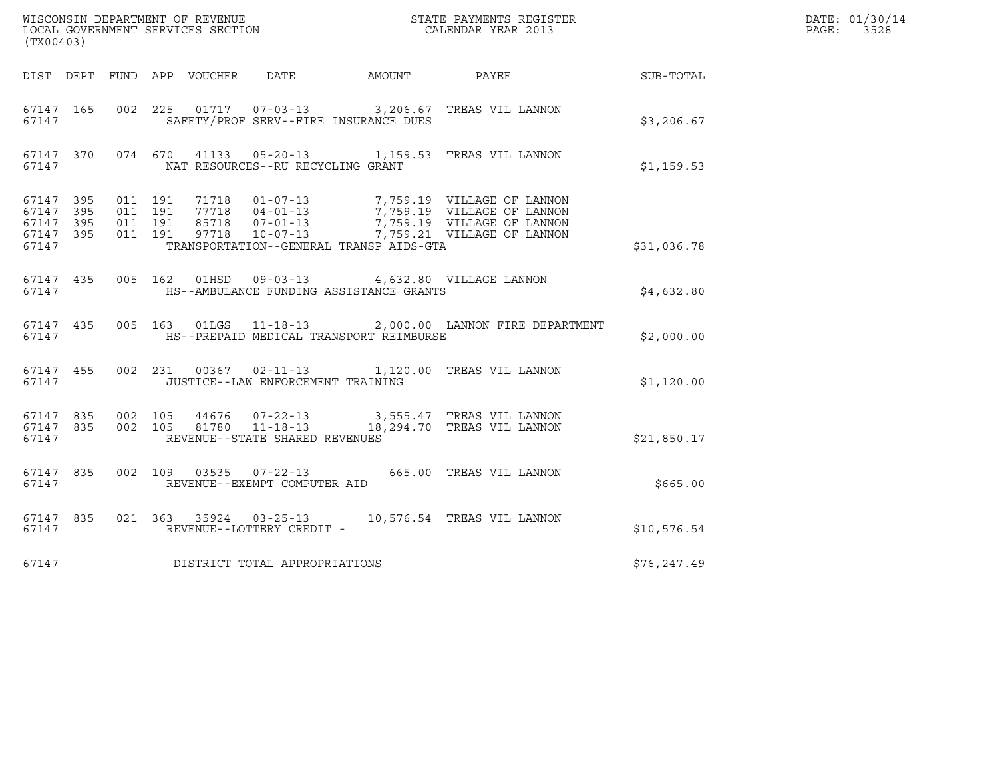| (TX00403)                                                 |           |                                          |  |                                   |                                         |                                                                                                                                                                                              |              | DATE: 01/30/14<br>$\mathtt{PAGE:}$<br>3528 |
|-----------------------------------------------------------|-----------|------------------------------------------|--|-----------------------------------|-----------------------------------------|----------------------------------------------------------------------------------------------------------------------------------------------------------------------------------------------|--------------|--------------------------------------------|
|                                                           |           |                                          |  |                                   |                                         | DIST DEPT FUND APP VOUCHER DATE AMOUNT PAYEE THE SUB-TOTAL                                                                                                                                   |              |                                            |
| 67147                                                     | 67147 165 |                                          |  |                                   | SAFETY/PROF SERV--FIRE INSURANCE DUES   | 002 225 01717 07-03-13 3,206.67 TREAS VIL LANNON                                                                                                                                             | \$3,206.67   |                                            |
| 67147                                                     |           |                                          |  | NAT RESOURCES--RU RECYCLING GRANT |                                         | 67147 370 074 670 41133 05-20-13 1,159.53 TREAS VIL LANNON                                                                                                                                   | \$1,159.53   |                                            |
| 67147 395<br>67147 395<br>67147 395<br>67147 395<br>67147 |           | 011 191<br>011 191<br>011 191<br>011 191 |  |                                   | TRANSPORTATION--GENERAL TRANSP AIDS-GTA | 71718  01-07-13  7,759.19  VILLAGE OF LANNON<br>77718  04-01-13  7,759.19  VILLAGE OF LANNON<br>85718  07-01-13  7,759.19  VILLAGE OF LANNON<br>97718  10-07-13  7,759.21  VILLAGE OF LANNON | \$31,036.78  |                                            |
| 67147                                                     | 67147 435 |                                          |  |                                   | HS--AMBULANCE FUNDING ASSISTANCE GRANTS | 005 162 01HSD 09-03-13 4,632.80 VILLAGE LANNON                                                                                                                                               | \$4,632.80   |                                            |
| 67147                                                     |           |                                          |  |                                   | HS--PREPAID MEDICAL TRANSPORT REIMBURSE | 67147 435 005 163 01LGS 11-18-13 2,000.00 LANNON FIRE DEPARTMENT                                                                                                                             | \$2,000.00   |                                            |
|                                                           | 67147     |                                          |  | JUSTICE--LAW ENFORCEMENT TRAINING |                                         | 67147 455 002 231 00367 02-11-13 1,120.00 TREAS VIL LANNON                                                                                                                                   | \$1,120.00   |                                            |
| 67147                                                     |           | 67147 835 002 105                        |  | REVENUE--STATE SHARED REVENUES    |                                         | 44676  07-22-13  3,555.47  TREAS VIL LANNON<br>67147 835 002 105 81780 11-18-13 18,294.70 TREAS VIL LANNON                                                                                   | \$21,850.17  |                                            |
| 67147 835<br>67147                                        |           |                                          |  | REVENUE--EXEMPT COMPUTER AID      |                                         | 002 109 03535 07-22-13 665.00 TREAS VIL LANNON                                                                                                                                               | \$665.00     |                                            |
| 67147                                                     | 67147 835 |                                          |  | REVENUE--LOTTERY CREDIT -         |                                         | 021 363 35924 03-25-13 10,576.54 TREAS VIL LANNON                                                                                                                                            | \$10,576.54  |                                            |
| 67147                                                     |           |                                          |  | DISTRICT TOTAL APPROPRIATIONS     |                                         |                                                                                                                                                                                              | \$76, 247.49 |                                            |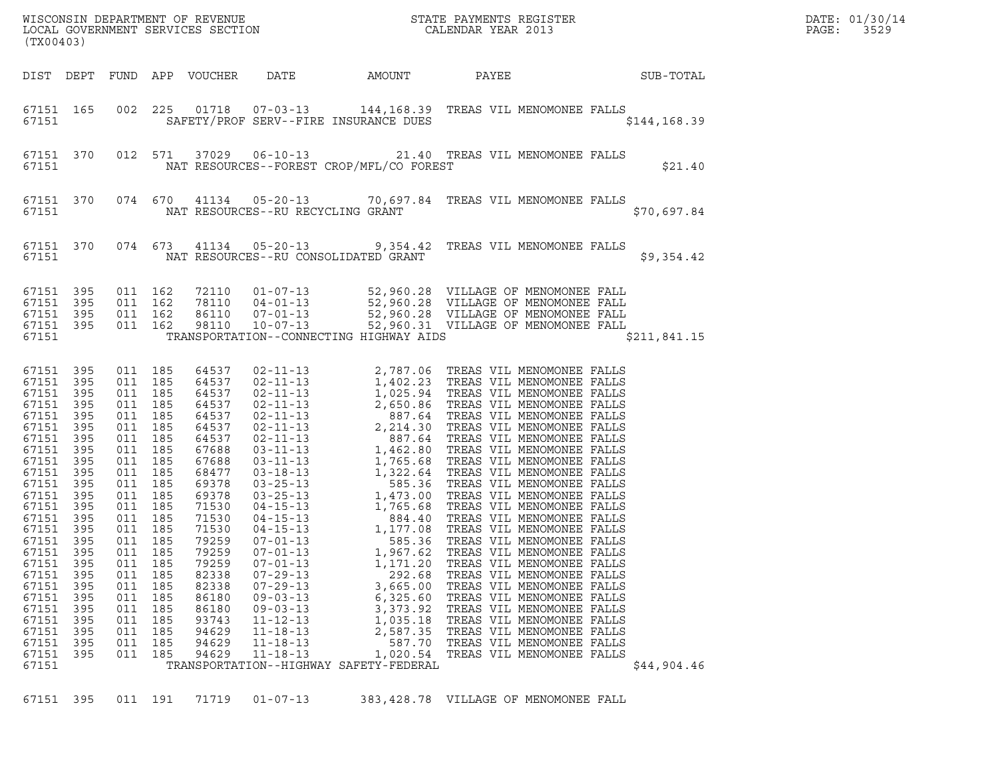| (TX00403)                                                                                                                                                                                                                                                                           |                                                                                                                     |                                                                                                                                                                                                                                                    |                                                                    |                                                                                                                                                                                                                                        |                                                                                                                                                                                  |                                                                                                                                                            | WISCONSIN DEPARTMENT OF REVENUE<br>LOCAL GOVERNMENT SERVICES SECTION<br>CALENDAR YEAR 2013                                                                                                                                                                                                     |  | DATE: 01/30/14<br>PAGE:<br>3529 |  |
|-------------------------------------------------------------------------------------------------------------------------------------------------------------------------------------------------------------------------------------------------------------------------------------|---------------------------------------------------------------------------------------------------------------------|----------------------------------------------------------------------------------------------------------------------------------------------------------------------------------------------------------------------------------------------------|--------------------------------------------------------------------|----------------------------------------------------------------------------------------------------------------------------------------------------------------------------------------------------------------------------------------|----------------------------------------------------------------------------------------------------------------------------------------------------------------------------------|------------------------------------------------------------------------------------------------------------------------------------------------------------|------------------------------------------------------------------------------------------------------------------------------------------------------------------------------------------------------------------------------------------------------------------------------------------------|--|---------------------------------|--|
|                                                                                                                                                                                                                                                                                     |                                                                                                                     |                                                                                                                                                                                                                                                    |                                                                    | DIST DEPT FUND APP VOUCHER                                                                                                                                                                                                             | DATE                                                                                                                                                                             | AMOUNT                                                                                                                                                     | PAYEE                                                                                                                                                                                                                                                                                          |  | <b>SUB-TOTAL</b>                |  |
| 67151                                                                                                                                                                                                                                                                               | 67151 165                                                                                                           |                                                                                                                                                                                                                                                    |                                                                    |                                                                                                                                                                                                                                        |                                                                                                                                                                                  | SAFETY/PROF SERV--FIRE INSURANCE DUES                                                                                                                      | 002 225 01718 07-03-13 144,168.39 TREAS VIL MENOMONEE FALLS                                                                                                                                                                                                                                    |  | \$144, 168.39                   |  |
| 67151                                                                                                                                                                                                                                                                               | 67151 370                                                                                                           |                                                                                                                                                                                                                                                    |                                                                    |                                                                                                                                                                                                                                        |                                                                                                                                                                                  | NAT RESOURCES--FOREST CROP/MFL/CO FOREST                                                                                                                   | 012 571 37029 06-10-13 21.40 TREAS VIL MENOMONEE FALLS                                                                                                                                                                                                                                         |  | \$21.40                         |  |
| 67151                                                                                                                                                                                                                                                                               | 67151 370                                                                                                           |                                                                                                                                                                                                                                                    |                                                                    |                                                                                                                                                                                                                                        | NAT RESOURCES--RU RECYCLING GRANT                                                                                                                                                |                                                                                                                                                            | 074 670 41134 05-20-13 70,697.84 TREAS VIL MENOMONEE FALLS                                                                                                                                                                                                                                     |  | \$70,697.84                     |  |
| 67151                                                                                                                                                                                                                                                                               | 67151 370                                                                                                           |                                                                                                                                                                                                                                                    |                                                                    |                                                                                                                                                                                                                                        |                                                                                                                                                                                  | NAT RESOURCES--RU CONSOLIDATED GRANT                                                                                                                       | 074 673 41134 05-20-13 9,354.42 TREAS VIL MENOMONEE FALLS                                                                                                                                                                                                                                      |  | \$9,354.42                      |  |
| 67151 395<br>67151<br>67151 395<br>67151 395<br>67151                                                                                                                                                                                                                               | 395                                                                                                                 | 011 162<br>011 162<br>011 162<br>011 162                                                                                                                                                                                                           |                                                                    |                                                                                                                                                                                                                                        |                                                                                                                                                                                  | TRANSPORTATION--CONNECTING HIGHWAY AIDS                                                                                                                    | 72110 01-07-13 52,960.28 VILLAGE OF MENOMONEE FALL<br>78110 04-01-13 52,960.28 VILLAGE OF MENOMONEE FALL<br>86110 07-01-13 52,960.28 VILLAGE OF MENOMONEE FALL<br>98110 10-07-13 52,960.31 VILLAGE OF MENOMONEE FALL                                                                           |  | \$211,841.15                    |  |
| 67151 395<br>67151 395<br>67151<br>67151<br>67151<br>67151 395<br>67151<br>67151 395<br>67151<br>67151 395<br>67151<br>67151 395<br>67151<br>67151 395<br>67151 395<br>67151 395<br>67151<br>67151<br>67151<br>67151<br>67151<br>67151<br>67151<br>67151<br>67151<br>67151<br>67151 | 395<br>395<br>395<br>395<br>395<br>395<br>395<br>395<br>395<br>395<br>395<br>395<br>395<br>395<br>395<br>395<br>395 | 011 185<br>011 185<br>011 185<br>011 185<br>011 185<br>011 185<br>011 185<br>011 185<br>011 185<br>011 185<br>011 185<br>011 185<br>011 185<br>011 185<br>011 185<br>011 185<br>011<br>011<br>011<br>011<br>011<br>011<br>011<br>011<br>011<br>011 | 185<br>185<br>185<br>185<br>185<br>185<br>185<br>185<br>185<br>185 | 64537<br>64537<br>64537<br>64537<br>64537<br>64537<br>64537<br>67688<br>67688<br>68477<br>69378<br>69378<br>71530<br>71530<br>71530<br>79259<br>79259<br>79259<br>82338<br>82338<br>86180<br>86180<br>93743<br>94629<br>94629<br>94629 | $07 - 01 - 13$<br>$07 - 01 - 13$<br>$07 - 29 - 13$<br>$07 - 29 - 13$<br>$09 - 03 - 13$<br>$09 - 03 - 13$<br>$11 - 12 - 13$<br>$11 - 18 - 13$<br>$11 - 18 - 13$<br>$11 - 18 - 13$ | 1,967.62<br>1,171.20<br>292.68<br>3,665.00<br>6,325.60<br>3,373.92<br>1,035.18<br>2,587.35<br>587.70<br>1,020.54<br>TRANSPORTATION--HIGHWAY SAFETY-FEDERAL | TREAS VIL MENOMONEE FALLS<br>TREAS VIL MENOMONEE FALLS<br>TREAS VIL MENOMONEE FALLS<br>TREAS VIL MENOMONEE FALLS<br>TREAS VIL MENOMONEE FALLS<br>TREAS VIL MENOMONEE FALLS<br>TREAS VIL MENOMONEE FALLS<br>TREAS VIL MENOMONEE FALLS<br>TREAS VIL MENOMONEE FALLS<br>TREAS VIL MENOMONEE FALLS |  | \$44,904.46                     |  |
| 67151 395                                                                                                                                                                                                                                                                           |                                                                                                                     |                                                                                                                                                                                                                                                    | 011 191                                                            | 71719                                                                                                                                                                                                                                  | $01 - 07 - 13$                                                                                                                                                                   |                                                                                                                                                            | 383, 428.78 VILLAGE OF MENOMONEE FALL                                                                                                                                                                                                                                                          |  |                                 |  |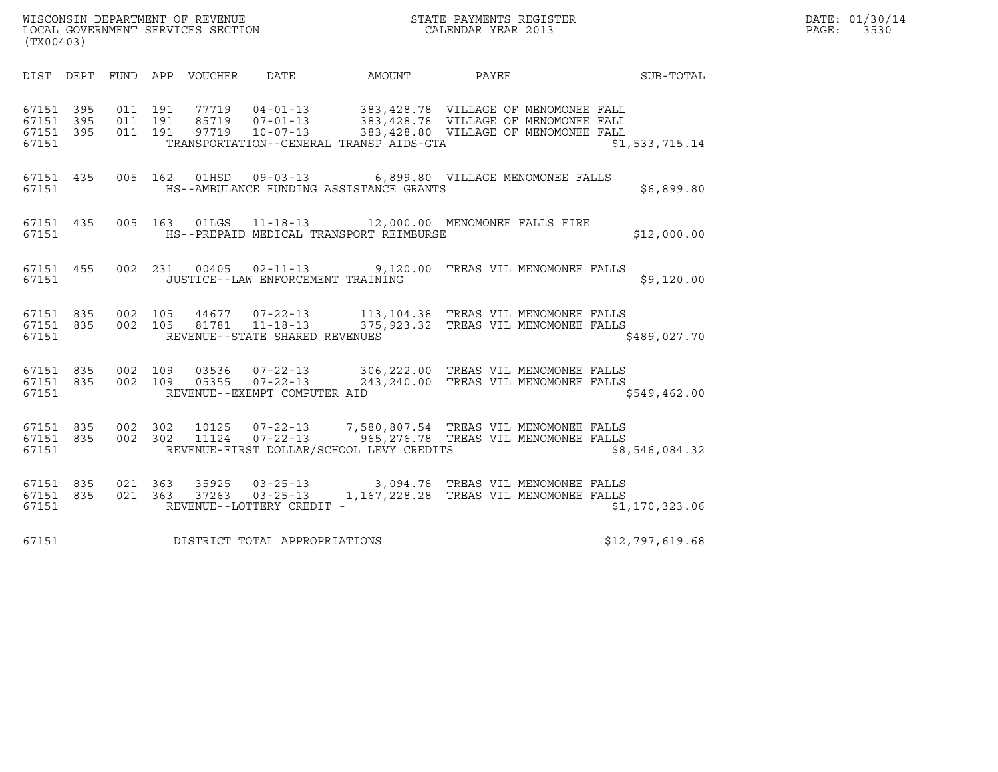| (TX00403)                                    |           |                               |                    |                                 |                                             | ${\tt WISCO} {\tt NSM} {\tt NEDAR} {\tt TMB} {\tt NFWENT} {\tt NFWENT} {\tt NFWENT} {\tt NFWENT} {\tt NFWENT} {\tt NFWENT} {\tt NFWENT} {\tt NFWENT} {\tt NFWENT} {\tt NFWENT} {\tt NFWENT} {\tt NFWENT} {\tt NFWENT} {\tt NFWENT} {\tt NFWENT} {\tt NFWENT} {\tt NFWENT} {\tt NFWENT} {\tt NFWENT} {\tt NFWENT} {\tt NFWENT} {\tt NFWENT} {\tt NFWENT} {\tt NFWENT} {\tt NFWENT} {\tt NFWENT} {\tt NFWENT} {\tt NFWENT} {\tt NFWENT} {\tt NFWENT} {\tt NFWENT} {\tt NFWENT} {\tt NFWENT} {\$ |                                        |                  |                 | DATE: 01/30/14<br>PAGE:<br>3530 |
|----------------------------------------------|-----------|-------------------------------|--------------------|---------------------------------|---------------------------------------------|-----------------------------------------------------------------------------------------------------------------------------------------------------------------------------------------------------------------------------------------------------------------------------------------------------------------------------------------------------------------------------------------------------------------------------------------------------------------------------------------------|----------------------------------------|------------------|-----------------|---------------------------------|
|                                              |           |                               |                    | DIST DEPT FUND APP VOUCHER DATE |                                             | AMOUNT                                                                                                                                                                                                                                                                                                                                                                                                                                                                                        | PAYEE                                  | <b>SUB-TOTAL</b> |                 |                                 |
| 67151 395<br>67151 395<br>67151 395<br>67151 |           | 011 191<br>011 191<br>011 191 |                    |                                 |                                             | 77719  04-01-13  383,428.78  VILLAGE OF MENOMONEE FALL<br>85719  07-01-13  383,428.78  VILLAGE OF MENOMONEE FALL<br>97719  10-07-13  283,428.80  VILLAGE OF MENOMONEE FALL<br>TRANSPORTATION--GENERAL TRANSP AIDS-GTA                                                                                                                                                                                                                                                                         |                                        |                  | \$1,533,715.14  |                                 |
| 67151 435<br>67151                           |           |                               |                    | 005 162 01HSD                   |                                             | 09-03-13 6,899.80 VILLAGE MENOMONEE FALLS<br>HS--AMBULANCE FUNDING ASSISTANCE GRANTS                                                                                                                                                                                                                                                                                                                                                                                                          |                                        |                  | \$6,899.80      |                                 |
| 67151 435<br>67151                           |           |                               |                    | 005 163 01LGS                   |                                             | 11-18-13 12,000.00 MENOMONEE FALLS FIRE<br>HS--PREPAID MEDICAL TRANSPORT REIMBURSE                                                                                                                                                                                                                                                                                                                                                                                                            |                                        |                  | \$12,000.00     |                                 |
| 67151 455<br>67151                           |           |                               |                    |                                 | JUSTICE--LAW ENFORCEMENT TRAINING           | 002 231 00405 02-11-13 9,120.00 TREAS VIL MENOMONEE FALLS                                                                                                                                                                                                                                                                                                                                                                                                                                     |                                        |                  | \$9,120.00      |                                 |
| 67151                                        | 67151 835 | 67151 835 002 105             |                    |                                 | REVENUE--STATE SHARED REVENUES              | 002  105  44677  07-22-13  113,104.38  TREAS  VIL MENOMONEE  FALLS<br>002  105  81781  11-18-13  375,923.32  TREAS  VIL MENOMONEE  FALLS                                                                                                                                                                                                                                                                                                                                                      |                                        |                  | \$489,027.70    |                                 |
| 67151 835<br>67151                           |           | 67151 835 002 109             |                    |                                 | REVENUE--EXEMPT COMPUTER AID                | 03536  07-22-13  306, 222.00  TREAS VIL MENOMONEE FALLS<br>002 109 05355 07-22-13 243,240.00 TREAS VIL MENOMONEE FALLS                                                                                                                                                                                                                                                                                                                                                                        |                                        |                  | \$549,462.00    |                                 |
| 67151 835<br>67151 835<br>67151              |           |                               | 002 302<br>002 302 |                                 |                                             | 10125  07-22-13  7,580,807.54  TREAS  VIL MENOMONEE  FALLS<br>11124  07-22-13  965,276.78  TREAS  VIL MENOMONEE  FALLS<br>REVENUE-FIRST DOLLAR/SCHOOL LEVY CREDITS                                                                                                                                                                                                                                                                                                                            |                                        |                  | \$8,546,084.32  |                                 |
| 67151 835<br>67151 835<br>67151              |           | 021 363                       | 021 363            | 35925<br>37263                  | $03 - 25 - 13$<br>REVENUE--LOTTERY CREDIT - | 03-25-13 3,094.78 TREAS VIL MENOMONEE FALLS                                                                                                                                                                                                                                                                                                                                                                                                                                                   | 1,167,228.28 TREAS VIL MENOMONEE FALLS |                  | \$1,170,323.06  |                                 |
| 67151                                        |           |                               |                    |                                 | DISTRICT TOTAL APPROPRIATIONS               |                                                                                                                                                                                                                                                                                                                                                                                                                                                                                               |                                        |                  | \$12,797,619.68 |                                 |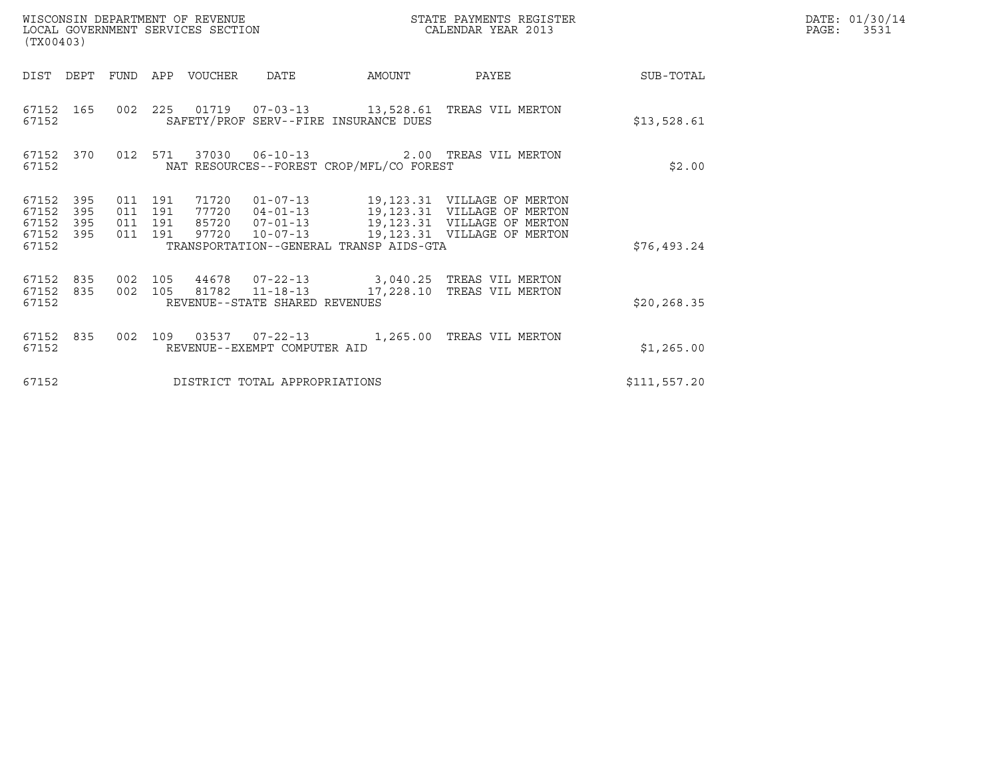| (TX00403)                                         |            |                                          | WISCONSIN DEPARTMENT OF REVENUE<br>LOCAL GOVERNMENT SERVICES SECTION |                                |                                                                                                                                                                                                                                                 | STATE PAYMENTS REGISTER<br>CALENDAR YEAR 2013 |              | DATE: 01/30/14<br>$\mathtt{PAGE:}$<br>3531 |
|---------------------------------------------------|------------|------------------------------------------|----------------------------------------------------------------------|--------------------------------|-------------------------------------------------------------------------------------------------------------------------------------------------------------------------------------------------------------------------------------------------|-----------------------------------------------|--------------|--------------------------------------------|
|                                                   |            |                                          | DIST DEPT FUND APP VOUCHER                                           | DATE                           | AMOUNT                                                                                                                                                                                                                                          | PAYEE                                         | SUB-TOTAL    |                                            |
| 67152                                             |            |                                          |                                                                      |                                | 67152 165 002 225 01719 07-03-13 13,528.61 TREAS VIL MERTON<br>SAFETY/PROF SERV--FIRE INSURANCE DUES                                                                                                                                            |                                               | \$13,528.61  |                                            |
| 67152                                             |            |                                          |                                                                      |                                | 67152 370 012 571 37030 06-10-13 2.00 TREAS VIL MERTON<br>NAT RESOURCES--FOREST CROP/MFL/CO FOREST                                                                                                                                              |                                               | \$2.00       |                                            |
| 67152 395<br>67152<br>67152<br>67152 395<br>67152 | 395<br>395 | 011 191<br>011 191<br>011 191<br>011 191 |                                                                      |                                | 71720  01-07-13  19,123.31  VILLAGE OF MERTON<br>77720  04-01-13  19,123.31  VILLAGE OF MERTON<br>85720  07-01-13    19,123.31    VILLAGE OF MERTON<br>97720  10-07-13  19,123.31  VILLAGE OF MERTON<br>TRANSPORTATION--GENERAL TRANSP AIDS-GTA |                                               | \$76,493.24  |                                            |
| 67152 835<br>67152 835<br>67152                   |            | 002 105                                  |                                                                      | REVENUE--STATE SHARED REVENUES | 44678  07-22-13  3,040.25  TREAS VIL MERTON<br>002 105 81782 11-18-13 17,228.10 TREAS VIL MERTON                                                                                                                                                |                                               | \$20, 268.35 |                                            |
| 67152 835<br>67152                                |            |                                          |                                                                      | REVENUE--EXEMPT COMPUTER AID   | 002 109 03537 07-22-13 1,265.00 TREAS VIL MERTON                                                                                                                                                                                                |                                               | \$1,265.00   |                                            |
| 67152                                             |            |                                          |                                                                      | DISTRICT TOTAL APPROPRIATIONS  |                                                                                                                                                                                                                                                 |                                               | \$111,557.20 |                                            |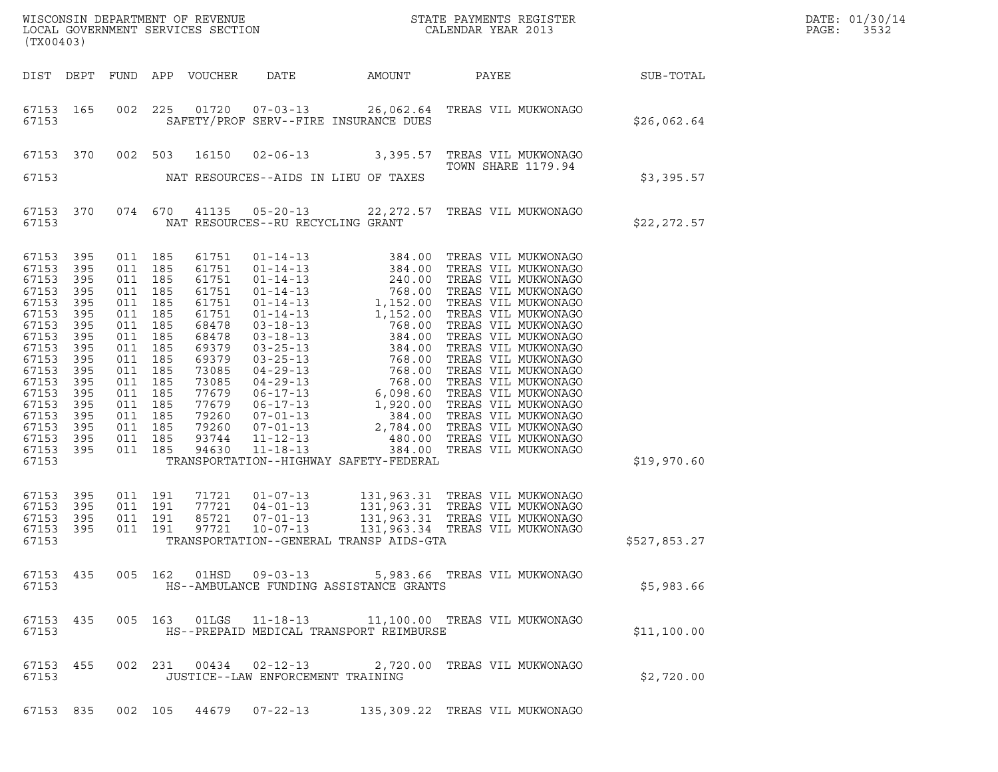| DATE: | 01/30/14 |
|-------|----------|
| PAGE: | 3532     |

| (TX00403)                                                                                                                                                      |                                                                                                                                  |                                                                                                                                                                                                    |                                                                                                                                                                |                                                                      |                                         | ${\tt WISCONSIM\ DEPARTMENT\ OF\ REVENUE}\hbox{\tt STATE\ PAYMENTS\ REGISTER\ LOCAL\ GOVERNMENT\ SERVICES\ SECTION\thinspace\ \bf 1013}$ |              | DATE: 01/30/14<br>PAGE:<br>3532 |
|----------------------------------------------------------------------------------------------------------------------------------------------------------------|----------------------------------------------------------------------------------------------------------------------------------|----------------------------------------------------------------------------------------------------------------------------------------------------------------------------------------------------|----------------------------------------------------------------------------------------------------------------------------------------------------------------|----------------------------------------------------------------------|-----------------------------------------|------------------------------------------------------------------------------------------------------------------------------------------|--------------|---------------------------------|
|                                                                                                                                                                | DIST DEPT                                                                                                                        |                                                                                                                                                                                                    | FUND APP VOUCHER                                                                                                                                               | DATE                                                                 | AMOUNT                                  | PAYEE SUB-TOTAL                                                                                                                          |              |                                 |
| 67153                                                                                                                                                          | 67153 165                                                                                                                        | 002 225                                                                                                                                                                                            |                                                                                                                                                                |                                                                      | SAFETY/PROF SERV--FIRE INSURANCE DUES   | 01720  07-03-13  26,062.64  TREAS VIL MUKWONAGO                                                                                          | \$26,062.64  |                                 |
|                                                                                                                                                                | 67153 370                                                                                                                        | 002 503                                                                                                                                                                                            | 16150                                                                                                                                                          |                                                                      |                                         | 02-06-13 3,395.57 TREAS VIL MUKWONAGO<br>TOWN SHARE 1179.94                                                                              |              |                                 |
| 67153                                                                                                                                                          |                                                                                                                                  |                                                                                                                                                                                                    |                                                                                                                                                                |                                                                      | NAT RESOURCES--AIDS IN LIEU OF TAXES    |                                                                                                                                          | \$3,395.57   |                                 |
| 67153                                                                                                                                                          | 67153 370                                                                                                                        |                                                                                                                                                                                                    |                                                                                                                                                                | NAT RESOURCES--RU RECYCLING GRANT                                    |                                         | 074 670 41135 05-20-13 22,272.57 TREAS VIL MUKWONAGO                                                                                     | \$22,272.57  |                                 |
| 67153<br>67153<br>67153<br>67153<br>67153<br>67153<br>67153<br>67153<br>67153<br>67153<br>67153<br>67153<br>67153<br>67153<br>67153<br>67153<br>67153<br>67153 | 395<br>395<br>395<br>395<br>395<br>395<br>395<br>395<br>395<br>395<br>395<br>395<br>395<br>395<br>395<br>395<br>395<br>67153 395 | 011 185<br>011 185<br>011 185<br>011 185<br>011 185<br>011 185<br>011 185<br>011 185<br>011 185<br>011 185<br>011 185<br>011 185<br>011 185<br>011 185<br>011 185<br>011 185<br>011 185<br>011 185 | 61751<br>61751<br>61751<br>61751<br>61751<br>61751<br>68478<br>68478<br>69379<br>69379<br>73085<br>73085<br>77679<br>77679<br>79260<br>79260<br>93744<br>94630 |                                                                      | TRANSPORTATION--HIGHWAY SAFETY-FEDERAL  |                                                                                                                                          | \$19,970.60  |                                 |
| 67153<br>67153<br>67153<br>67153                                                                                                                               | 67153 395<br>395<br>395<br>395                                                                                                   | 011 191<br>011 191<br>011 191<br>011 191                                                                                                                                                           | 71721<br>77721<br>85721<br>97721                                                                                                                               | $01 - 07 - 13$<br>$04 - 01 - 13$<br>$07 - 01 - 13$<br>$10 - 07 - 13$ | TRANSPORTATION--GENERAL TRANSP AIDS-GTA | 131,963.31 TREAS VIL MUKWONAGO<br>131,963.31 TREAS VIL MUKWONAGO<br>131,963.31 TREAS VIL MUKWONAGO<br>131,963.34 TREAS VIL MUKWONAGO     | \$527,853.27 |                                 |
| 67153                                                                                                                                                          | 67153 435                                                                                                                        |                                                                                                                                                                                                    |                                                                                                                                                                |                                                                      | HS--AMBULANCE FUNDING ASSISTANCE GRANTS | 005 162 01HSD 09-03-13 5,983.66 TREAS VIL MUKWONAGO                                                                                      | \$5,983.66   |                                 |
| 67153                                                                                                                                                          | 67153 435                                                                                                                        |                                                                                                                                                                                                    |                                                                                                                                                                |                                                                      | HS--PREPAID MEDICAL TRANSPORT REIMBURSE | 005 163  01LGS  11-18-13  11,100.00  TREAS  VIL MUKWONAGO                                                                                | \$11,100.00  |                                 |
| 67153                                                                                                                                                          | 67153 455                                                                                                                        |                                                                                                                                                                                                    |                                                                                                                                                                | 002 231 00434 02-12-13<br>JUSTICE--LAW ENFORCEMENT TRAINING          |                                         | 2,720.00 TREAS VIL MUKWONAGO                                                                                                             | \$2,720.00   |                                 |
|                                                                                                                                                                |                                                                                                                                  |                                                                                                                                                                                                    |                                                                                                                                                                |                                                                      |                                         | 67153 835 002 105 44679 07-22-13 135,309.22 TREAS VIL MUKWONAGO                                                                          |              |                                 |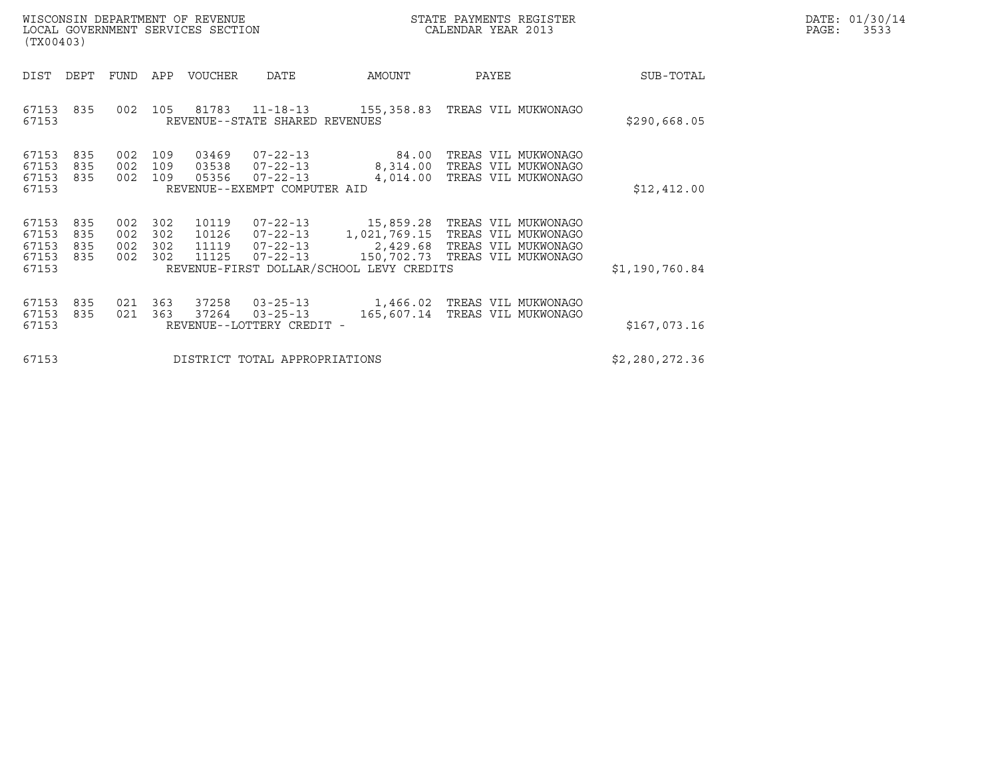| WISCONSIN DEPARTMENT OF REVENUE<br>LOCAL GOVERNMENT SERVICES SECTION | STATE PAYMENTS REGISTER<br>CALENDAR YEAR 2013 | DATE: 01/30/14<br>PAGE:<br>3533 |
|----------------------------------------------------------------------|-----------------------------------------------|---------------------------------|

| WISCONSIN DEPARTMENT OF REVENUE<br>LOCAL GOVERNMENT SERVICES SECTION<br>(TX00403) |                          |                   |                              |                                  |                                                                                    |                                                          | STATE PAYMENTS REGISTER<br>CALENDAR YEAR 2013                                                                                                                   | DATE: 01/30/14<br>PAGE:<br>3533 |  |
|-----------------------------------------------------------------------------------|--------------------------|-------------------|------------------------------|----------------------------------|------------------------------------------------------------------------------------|----------------------------------------------------------|-----------------------------------------------------------------------------------------------------------------------------------------------------------------|---------------------------------|--|
| DIST                                                                              | DEPT                     | FUND APP          |                              | VOUCHER                          | DATE                                                                               | AMOUNT                                                   | PAYEE                                                                                                                                                           | SUB-TOTAL                       |  |
| 67153<br>67153                                                                    | 835                      | 002               |                              |                                  | REVENUE--STATE SHARED REVENUES                                                     | 105 81783 11-18-13 155,358.83                            | TREAS VIL MUKWONAGO                                                                                                                                             | \$290,668.05                    |  |
| 67153<br>67153<br>67153<br>67153                                                  | 835<br>835<br>835        | 002<br>002        | 002 109<br>109<br>109        | 03469<br>03538<br>05356          | $07 - 22 - 13$<br>$07 - 22 - 13$<br>$07 - 22 - 13$<br>REVENUE--EXEMPT COMPUTER AID | 84.00<br>8,314.00<br>4,014.00                            | TREAS VIL MUKWONAGO<br>TREAS VIL MUKWONAGO<br>TREAS VIL MUKWONAGO                                                                                               | \$12,412.00                     |  |
| 67153<br>67153<br>67153<br>67153<br>67153                                         | 835<br>835<br>835<br>835 | 002<br>002<br>002 | 302<br>002 302<br>302<br>302 | 10119<br>10126<br>11119<br>11125 | 07-22-13                                                                           | 1,021,769.15<br>REVENUE-FIRST DOLLAR/SCHOOL LEVY CREDITS | 07-22-13 15,859.28 TREAS VIL MUKWONAGO<br>TREAS VIL MUKWONAGO<br>07-22-13<br>07-22-13 150,702.73 TREAS VIL MUKWONAGO<br>07-22-13 150,702.73 TREAS VIL MUKWONAGO | \$1,190,760.84                  |  |
| 67153<br>67153<br>67153                                                           | 835<br>835               | 021<br>021        | 363<br>363                   | 37258<br>37264                   | $03 - 25 - 13$<br>$03 - 25 - 13$<br>REVENUE--LOTTERY CREDIT -                      | 165,607.14                                               | 1,466.02 TREAS VIL MUKWONAGO<br>TREAS VIL MUKWONAGO                                                                                                             | \$167,073.16                    |  |
| 67153                                                                             |                          |                   |                              |                                  | DISTRICT TOTAL APPROPRIATIONS                                                      |                                                          |                                                                                                                                                                 | \$2,280,272.36                  |  |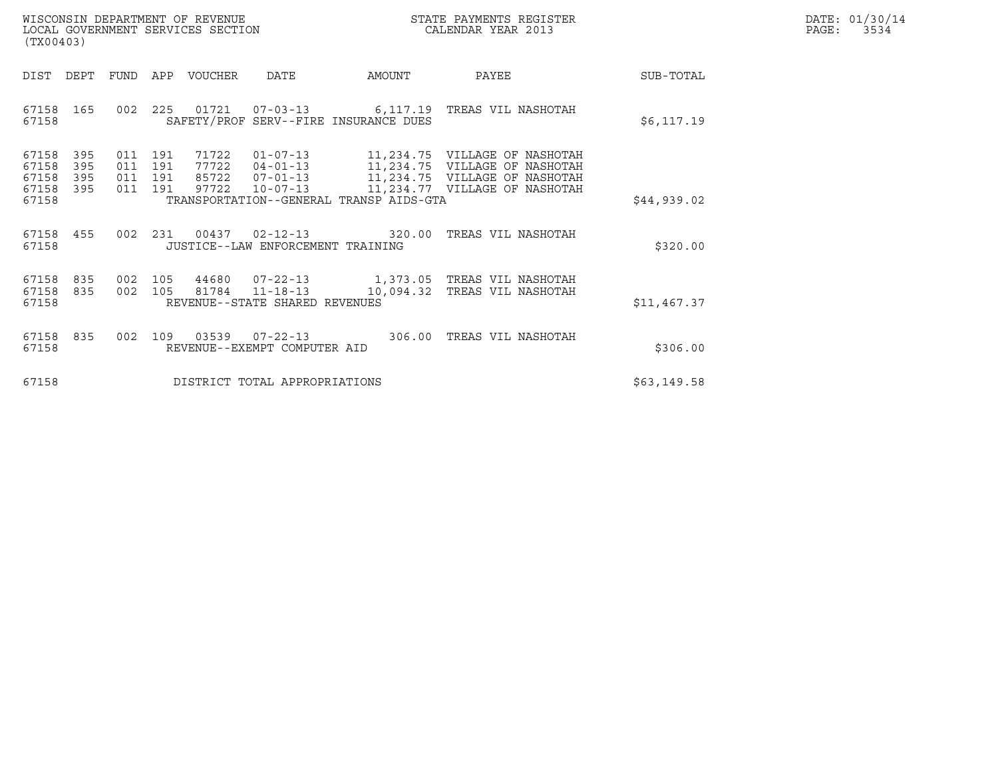| WISCONSIN DEPARTMENT OF REVENUE   | STATE PAYMENTS REGISTER | DATE: 01/30/14            |
|-----------------------------------|-------------------------|---------------------------|
| LOCAL GOVERNMENT SERVICES SECTION | CALENDAR YEAR 2013      | 3534<br>$\mathtt{PAGE}$ : |

| (TX00403)                                 |                          |  |                                          |                       |                                   |                                         |                                                                                                                                                                                                          | DATE: 01/30/14<br>PAGE: 3534 |  |
|-------------------------------------------|--------------------------|--|------------------------------------------|-----------------------|-----------------------------------|-----------------------------------------|----------------------------------------------------------------------------------------------------------------------------------------------------------------------------------------------------------|------------------------------|--|
| DIST DEPT                                 |                          |  |                                          | FUND APP VOUCHER DATE |                                   | AMOUNT                                  | PAYEE                                                                                                                                                                                                    | SUB-TOTAL                    |  |
| 67158 165<br>67158                        |                          |  |                                          |                       |                                   | SAFETY/PROF SERV--FIRE INSURANCE DUES   | 002 225 01721 07-03-13 6,117.19 TREAS VIL NASHOTAH                                                                                                                                                       | \$6,117.19                   |  |
| 67158<br>67158<br>67158<br>67158<br>67158 | 395<br>395<br>395<br>395 |  | 011 191<br>011 191<br>011 191<br>011 191 |                       |                                   | TRANSPORTATION--GENERAL TRANSP AIDS-GTA | 71722  01-07-13  11,234.75  VILLAGE OF NASHOTAH<br>77722  04-01-13  11,234.75  VILLAGE OF NASHOTAH<br>85722  07-01-13  11,234.75  VILLAGE OF NASHOTAH<br>97722  10-07-13  11,234.77  VILLAGE OF NASHOTAH | \$44,939.02                  |  |
| 67158 455<br>67158                        |                          |  |                                          |                       | JUSTICE--LAW ENFORCEMENT TRAINING | 002 231 00437 02-12-13 320.00           | TREAS VIL NASHOTAH                                                                                                                                                                                       | \$320.00                     |  |
| 67158<br>67158<br>67158                   | 835<br>835               |  |                                          |                       | REVENUE--STATE SHARED REVENUES    | 002 105 81784 11-18-13 10,094.32        | 002 105 44680 07-22-13 1,373.05 TREAS VIL NASHOTAH<br>TREAS VIL NASHOTAH                                                                                                                                 | \$11,467.37                  |  |
| 67158 835<br>67158                        |                          |  |                                          |                       | REVENUE--EXEMPT COMPUTER AID      | 002 109 03539 07-22-13 306.00           | TREAS VIL NASHOTAH                                                                                                                                                                                       | \$306.00                     |  |
| 67158                                     |                          |  |                                          |                       | DISTRICT TOTAL APPROPRIATIONS     |                                         |                                                                                                                                                                                                          | \$63,149.58                  |  |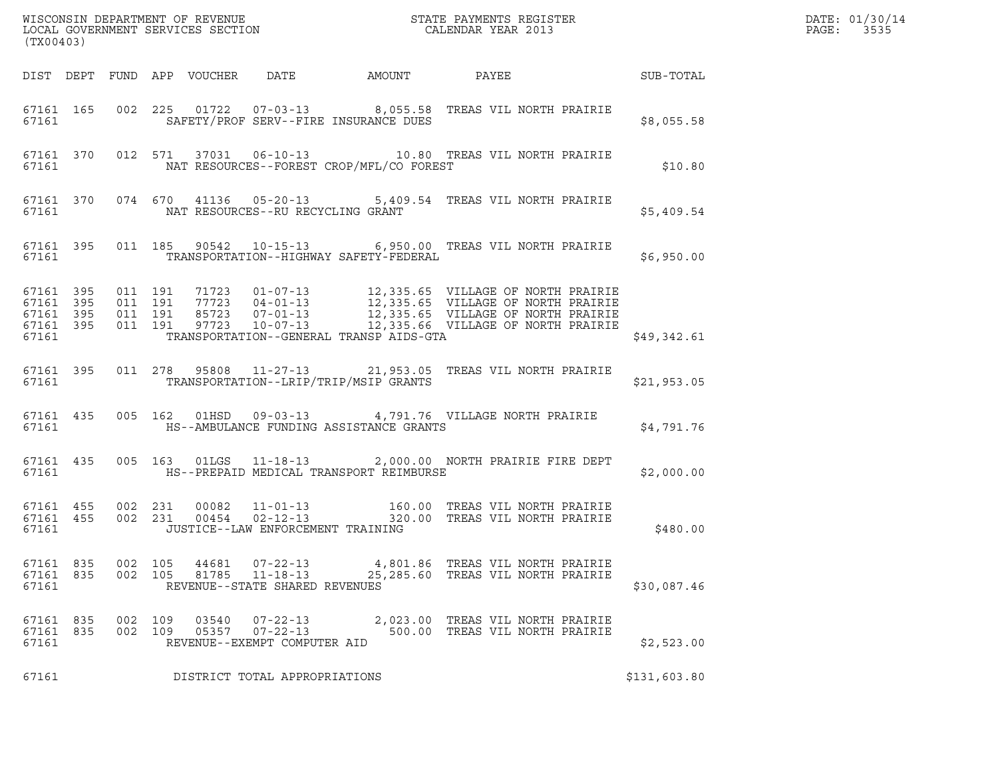| WISCONSIN DEPARTMENT OF REVENUE ${\small \begin{array}{ll} \text{MISCONS} \text{IN} \text{DEPATH} \\ \text{LOCAL} \text{ GOVERNMENT} \text{ SERVICES} \text{SECTION} \\ \end{array} }$<br>(TX00403) |                                                  |                    |  |                |                                                                    |                                                |                                                                                                                                                                                                                                         |              | DATE: 01/30/14<br>PAGE: 3535 |
|-----------------------------------------------------------------------------------------------------------------------------------------------------------------------------------------------------|--------------------------------------------------|--------------------|--|----------------|--------------------------------------------------------------------|------------------------------------------------|-----------------------------------------------------------------------------------------------------------------------------------------------------------------------------------------------------------------------------------------|--------------|------------------------------|
|                                                                                                                                                                                                     |                                                  |                    |  |                |                                                                    |                                                |                                                                                                                                                                                                                                         |              |                              |
|                                                                                                                                                                                                     | 67161                                            |                    |  |                |                                                                    | SAFETY/PROF SERV--FIRE INSURANCE DUES          | 67161 165 002 225 01722 07-03-13 8,055.58 TREAS VIL NORTH PRAIRIE                                                                                                                                                                       | \$8,055.58   |                              |
|                                                                                                                                                                                                     |                                                  |                    |  |                |                                                                    | 67161 NAT RESOURCES--FOREST CROP/MFL/CO FOREST | 67161 370 012 571 37031 06-10-13 10.80 TREAS VIL NORTH PRAIRIE                                                                                                                                                                          | \$10.80      |                              |
|                                                                                                                                                                                                     |                                                  |                    |  |                | 67161 MAT RESOURCES--RU RECYCLING GRANT                            |                                                | 67161 370 074 670 41136 05-20-13 5,409.54 TREAS VIL NORTH PRAIRIE                                                                                                                                                                       | \$5,409.54   |                              |
|                                                                                                                                                                                                     |                                                  | 67161              |  |                |                                                                    | TRANSPORTATION--HIGHWAY SAFETY-FEDERAL         | 67161 395 011 185 90542 10-15-13 6,950.00 TREAS VIL NORTH PRAIRIE                                                                                                                                                                       | \$6,950.00   |                              |
| 67161                                                                                                                                                                                               | 67161 395<br>67161 395<br>67161 395<br>67161 395 |                    |  |                |                                                                    | TRANSPORTATION--GENERAL TRANSP AIDS-GTA        | 011 191 71723 01-07-13 12,335.65 VILLAGE OF NORTH PRAIRIE<br>011 191 77723 04-01-13 12,335.65 VILLAGE OF NORTH PRAIRIE<br>011 191 85723 07-01-13 12,335.65 VILLAGE OF NORTH PRAIRIE<br>011 191 97723 10-07-13 12,335.66 VILLAGE OF NORT | \$49,342.61  |                              |
|                                                                                                                                                                                                     |                                                  | 67161 300          |  |                |                                                                    | TRANSPORTATION--LRIP/TRIP/MSIP GRANTS          | 67161 395 011 278 95808 11-27-13 21,953.05 TREAS VIL NORTH PRAIRIE                                                                                                                                                                      | \$21,953.05  |                              |
| 67161                                                                                                                                                                                               |                                                  |                    |  |                |                                                                    | HS--AMBULANCE FUNDING ASSISTANCE GRANTS        | 67161 435 005 162 01HSD 09-03-13 4,791.76 VILLAGE NORTH PRAIRIE                                                                                                                                                                         | \$4,791.76   |                              |
| 67161                                                                                                                                                                                               |                                                  |                    |  |                |                                                                    | HS--PREPAID MEDICAL TRANSPORT REIMBURSE        | 67161 435 005 163 01LGS 11-18-13 2,000.00 NORTH PRAIRIE FIRE DEPT                                                                                                                                                                       | \$2,000.00   |                              |
| 67161                                                                                                                                                                                               |                                                  |                    |  |                | JUSTICE--LAW ENFORCEMENT TRAINING                                  |                                                | 67161 455 002 231 00082 11-01-13 160.00 TREAS VIL NORTH PRAIRIE 67161 455 002 231 00454 02-12-13 320.00 TREAS VIL NORTH PRAIRIE                                                                                                         | \$480.00     |                              |
| 67161 835<br>67161 835<br>67161                                                                                                                                                                     |                                                  | 002 105<br>002 105 |  | 44681<br>81785 | $07 - 22 - 13$<br>$11 - 18 - 13$<br>REVENUE--STATE SHARED REVENUES |                                                | 4,801.86 TREAS VIL NORTH PRAIRIE<br>25,285.60 TREAS VIL NORTH PRAIRIE                                                                                                                                                                   | \$30,087.46  |                              |
| 67161 835<br>67161 835<br>67161                                                                                                                                                                     |                                                  | 002 109<br>002 109 |  | 03540<br>05357 | $07 - 22 - 13$<br>$07 - 22 - 13$<br>REVENUE--EXEMPT COMPUTER AID   |                                                | 2,023.00 TREAS VIL NORTH PRAIRIE<br>500.00 TREAS VIL NORTH PRAIRIE                                                                                                                                                                      | \$2,523.00   |                              |
| 67161                                                                                                                                                                                               |                                                  |                    |  |                | DISTRICT TOTAL APPROPRIATIONS                                      |                                                |                                                                                                                                                                                                                                         | \$131,603.80 |                              |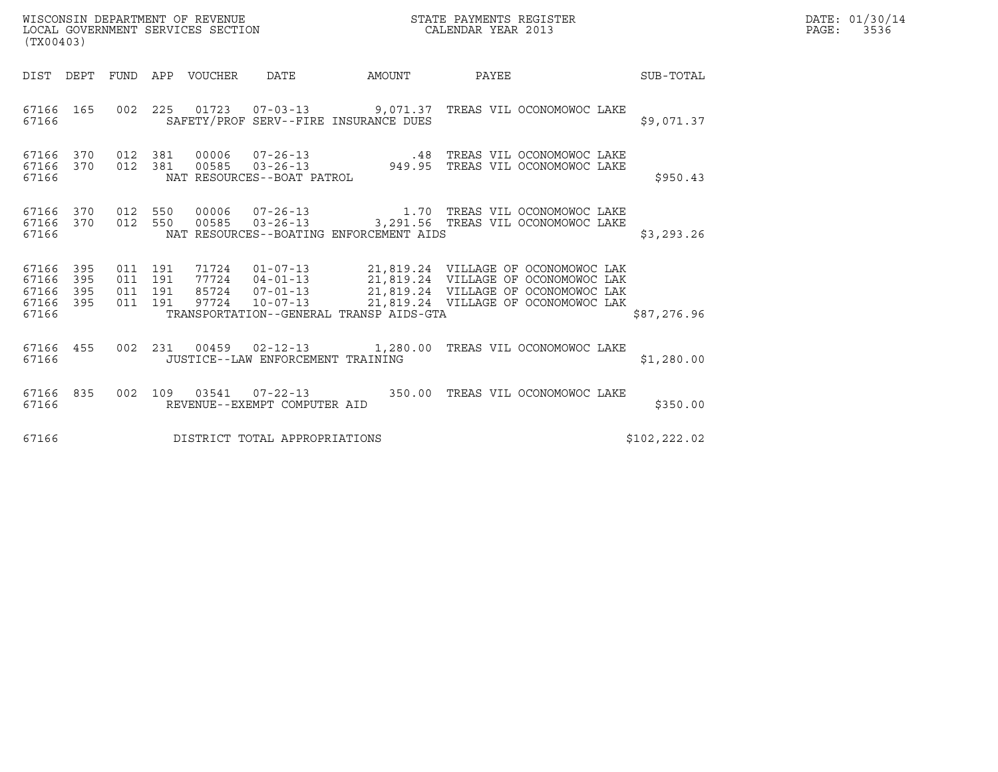| WISCONSIN DEPARTMENT OF REVENUE   | STATE PAYMENTS REGISTER | DATE: 01/30/14 |
|-----------------------------------|-------------------------|----------------|
| LOCAL GOVERNMENT SERVICES SECTION | CALENDAR YEAR 2013      | PAGE:<br>3536  |

| (TX00403)                                                                                      |                                                                     |        |                                                                                                                                                                                                                                  |              |
|------------------------------------------------------------------------------------------------|---------------------------------------------------------------------|--------|----------------------------------------------------------------------------------------------------------------------------------------------------------------------------------------------------------------------------------|--------------|
| DIST<br>DEPT<br>FUND APP                                                                       | VOUCHER DATE                                                        | AMOUNT | <b>PAYEE</b>                                                                                                                                                                                                                     | SUB-TOTAL    |
| 002<br>165<br>67166<br>67166                                                                   | 225<br>SAFETY/PROF SERV--FIRE INSURANCE DUES                        |        | 01723  07-03-13  9,071.37  TREAS VIL OCONOMOWOC LAKE                                                                                                                                                                             | \$9,071.37   |
| 370<br>67166<br>012<br>370<br>012<br>67166<br>67166                                            | 381<br>381<br>NAT RESOURCES--BOAT PATROL                            |        | 00006 07-26-13 .48 TREAS VIL OCONOMOWOC LAKE<br>00585 03-26-13 949.95 TREAS VIL OCONOMOWOC LAKE                                                                                                                                  | \$950.43     |
| 67166 370<br>012<br>67166<br>370<br>012<br>67166                                               | 00006<br>550<br>550<br>NAT RESOURCES--BOATING ENFORCEMENT AIDS      |        | 00585  03-26-13  3,291.56  TREAS VIL OCONOMOWOC LAKE                                                                                                                                                                             | \$3,293.26   |
| 67166 395<br>011<br>67166<br>395<br>011<br>67166<br>395<br>011<br>67166<br>395<br>011<br>67166 | 191<br>191<br>191<br>191<br>TRANSPORTATION--GENERAL TRANSP AIDS-GTA |        | 71724  01-07-13  21,819.24  VILLAGE OF OCONOMOWOC LAK<br>77724  04-01-13  21,819.24  VILLAGE OF OCONOMOWOC LAK<br>85724  07-01-13  21,819.24  VILLAGE OF OCONOMOWOC LAK<br>97724  10-07-13  21,819.24  VILLAGE OF OCONOMOWOC LAK | \$87,276.96  |
| 67166<br>002<br>455<br>67166                                                                   | JUSTICE--LAW ENFORCEMENT TRAINING                                   |        | 231  00459  02-12-13   1,280.00  TREAS VIL OCONOMOWOC LAKE                                                                                                                                                                       | \$1,280.00   |
| 67166<br>835<br>002<br>67166                                                                   | 109<br>REVENUE--EXEMPT COMPUTER AID                                 |        | 03541  07-22-13  350.00 TREAS VIL OCONOMOWOC LAKE                                                                                                                                                                                | \$350.00     |
| 67166                                                                                          | DISTRICT TOTAL APPROPRIATIONS                                       |        |                                                                                                                                                                                                                                  | \$102,222.02 |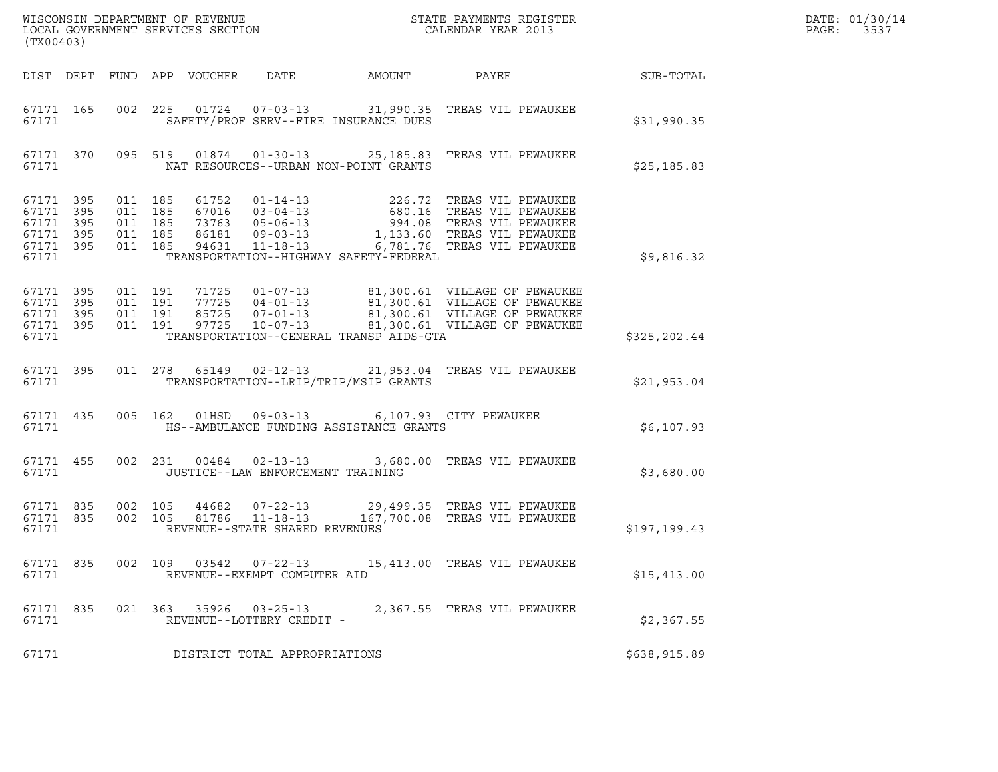| (TX00403)                                                      |            |                                                     |                               |                            |                                                        |                                                                            |                                                                                                                                                                                                                              |              | DATE: 01/30/14<br>$\mathtt{PAGE}$ :<br>3537 |
|----------------------------------------------------------------|------------|-----------------------------------------------------|-------------------------------|----------------------------|--------------------------------------------------------|----------------------------------------------------------------------------|------------------------------------------------------------------------------------------------------------------------------------------------------------------------------------------------------------------------------|--------------|---------------------------------------------|
|                                                                |            |                                                     |                               | DIST DEPT FUND APP VOUCHER | DATE                                                   | AMOUNT                                                                     | PAYEE                                                                                                                                                                                                                        | SUB-TOTAL    |                                             |
| 67171 165<br>67171                                             |            |                                                     |                               |                            |                                                        | SAFETY/PROF SERV--FIRE INSURANCE DUES                                      | 002 225 01724 07-03-13 31,990.35 TREAS VIL PEWAUKEE                                                                                                                                                                          | \$31,990.35  |                                             |
| 67171                                                          |            |                                                     |                               |                            |                                                        | NAT RESOURCES--URBAN NON-POINT GRANTS                                      | 67171 370 095 519 01874 01-30-13 25,185.83 TREAS VIL PEWAUKEE                                                                                                                                                                | \$25, 185.83 |                                             |
| 67171 395<br>67171<br>67171 395<br>67171<br>67171 395<br>67171 | 395<br>395 | 011 185<br>011 185<br>011 185<br>011 185<br>011 185 |                               |                            |                                                        | TRANSPORTATION--HIGHWAY SAFETY-FEDERAL                                     | 61752 01-14-13 226.72 TREAS VIL PEWAUKEE<br>67016 03-04-13 680.16 TREAS VIL PEWAUKEE<br>73763 05-06-13 994.08 TREAS VIL PEWAUKEE<br>86181 09-03-13 1,133.60 TREAS VIL PEWAUKEE<br>94631 11-18-13 6,781.76 TREAS VIL PEWAUKEE | \$9,816.32   |                                             |
| 67171 395<br>67171 395<br>67171 395<br>67171 395<br>67171      |            | 011 191                                             | 011 191<br>011 191<br>011 191 |                            |                                                        | TRANSPORTATION--GENERAL TRANSP AIDS-GTA                                    | 71725  01-07-13  81,300.61  VILLAGE OF PEWAUKEE<br>77725  04-01-13  81,300.61  VILLAGE OF PEWAUKEE<br>85725  07-01-13  81,300.61  VILLAGE OF PEWAUKEE<br>97725  10-07-13  81,300.61  VILLAGE OF PEWAUKEE                     | \$325,202.44 |                                             |
| 67171                                                          | 67171 395  |                                                     |                               |                            |                                                        | TRANSPORTATION--LRIP/TRIP/MSIP GRANTS                                      | 011  278  65149  02-12-13  21,953.04  TREAS VIL PEWAUKEE                                                                                                                                                                     | \$21,953.04  |                                             |
| 67171 435<br>67171                                             |            |                                                     |                               | 005 162 01HSD              |                                                        | 09-03-13 6,107.93 CITY PEWAUKEE<br>HS--AMBULANCE FUNDING ASSISTANCE GRANTS |                                                                                                                                                                                                                              | \$6,107.93   |                                             |
| 67171 455<br>67171                                             |            |                                                     |                               |                            |                                                        | JUSTICE--LAW ENFORCEMENT TRAINING                                          | 002 231 00484 02-13-13 3,680.00 TREAS VIL PEWAUKEE                                                                                                                                                                           | \$3,680.00   |                                             |
| 67171 835<br>67171 835<br>67171                                |            | 002 105                                             | 002 105                       | 81786                      | $11 - 18 - 13$<br>REVENUE--STATE SHARED REVENUES       |                                                                            | 44682  07-22-13  29,499.35  TREAS VIL PEWAUKEE<br>167,700.08 TREAS VIL PEWAUKEE                                                                                                                                              | \$197,199.43 |                                             |
| 67171 835<br>67171                                             |            |                                                     |                               |                            | 002 109 03542 07-22-13<br>REVENUE--EXEMPT COMPUTER AID |                                                                            | 15,413.00 TREAS VIL PEWAUKEE                                                                                                                                                                                                 | \$15,413.00  |                                             |
| 67171 835<br>67171                                             |            |                                                     |                               | 021 363 35926              | $03 - 25 - 13$<br>REVENUE--LOTTERY CREDIT -            |                                                                            | 2,367.55 TREAS VIL PEWAUKEE                                                                                                                                                                                                  | \$2,367.55   |                                             |
| 67171                                                          |            |                                                     |                               |                            | DISTRICT TOTAL APPROPRIATIONS                          |                                                                            |                                                                                                                                                                                                                              | \$638,915.89 |                                             |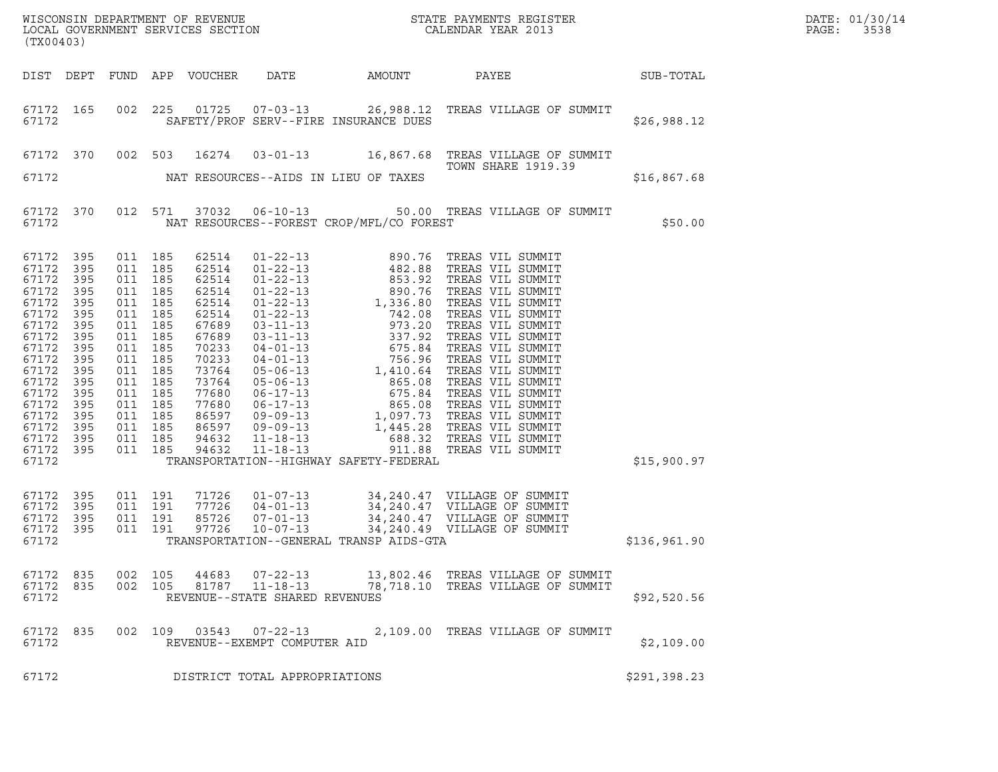| WISCONSIN DEPARTMENT OF REVENUE<br>LOCAL GOVERNMENT SERVICES SECTION<br>CALENDAR YEAR 2013<br>(TX00403)                                                                         |                                                                                                              |                                                                                                                                                                                                    |         |                                                                                                                                                                |                                                  |                                          |                                                                                                                                       |              | DATE: 01/30/14<br>PAGE:<br>3538 |
|---------------------------------------------------------------------------------------------------------------------------------------------------------------------------------|--------------------------------------------------------------------------------------------------------------|----------------------------------------------------------------------------------------------------------------------------------------------------------------------------------------------------|---------|----------------------------------------------------------------------------------------------------------------------------------------------------------------|--------------------------------------------------|------------------------------------------|---------------------------------------------------------------------------------------------------------------------------------------|--------------|---------------------------------|
|                                                                                                                                                                                 |                                                                                                              |                                                                                                                                                                                                    |         | DIST DEPT FUND APP VOUCHER                                                                                                                                     | DATE                                             | AMOUNT                                   | SUB-TOTAL<br>PAYEE                                                                                                                    |              |                                 |
| 67172 165<br>67172                                                                                                                                                              |                                                                                                              |                                                                                                                                                                                                    | 002 225 |                                                                                                                                                                |                                                  | SAFETY/PROF SERV--FIRE INSURANCE DUES    | 01725  07-03-13  26,988.12  TREAS VILLAGE OF SUMMIT                                                                                   | \$26,988.12  |                                 |
|                                                                                                                                                                                 | 67172 370 002 503                                                                                            |                                                                                                                                                                                                    |         |                                                                                                                                                                |                                                  |                                          | 16274  03-01-13   16,867.68   TREAS VILLAGE OF SUMMIT<br>TOWN SHARE 1919.39                                                           |              |                                 |
| 67172                                                                                                                                                                           |                                                                                                              |                                                                                                                                                                                                    |         |                                                                                                                                                                |                                                  | NAT RESOURCES--AIDS IN LIEU OF TAXES     |                                                                                                                                       | \$16,867.68  |                                 |
| 67172                                                                                                                                                                           | 67172 370                                                                                                    |                                                                                                                                                                                                    |         |                                                                                                                                                                |                                                  | NAT RESOURCES--FOREST CROP/MFL/CO FOREST | 012 571 37032 06-10-13 50.00 TREAS VILLAGE OF SUMMIT                                                                                  | \$50.00      |                                 |
| 67172<br>67172<br>67172<br>67172<br>67172<br>67172<br>67172<br>67172<br>67172<br>67172<br>67172<br>67172<br>67172<br>67172<br>67172<br>67172<br>67172 395<br>67172 395<br>67172 | 395<br>395<br>395<br>395<br>395<br>395<br>395<br>395<br>395<br>395<br>395<br>395<br>395<br>395<br>395<br>395 | 011 185<br>011 185<br>011 185<br>011 185<br>011 185<br>011 185<br>011 185<br>011 185<br>011 185<br>011 185<br>011 185<br>011 185<br>011 185<br>011 185<br>011 185<br>011 185<br>011 185<br>011 185 |         | 62514<br>62514<br>62514<br>62514<br>62514<br>62514<br>67689<br>67689<br>70233<br>70233<br>73764<br>73764<br>77680<br>77680<br>86597<br>86597<br>94632<br>94632 |                                                  | TRANSPORTATION--HIGHWAY SAFETY-FEDERAL   |                                                                                                                                       | \$15,900.97  |                                 |
| 67172 395<br>67172<br>67172<br>67172 395<br>67172                                                                                                                               | 395<br>395                                                                                                   | 011 191<br>011 191<br>011 191<br>011 191                                                                                                                                                           |         | 71726<br>77726<br>85726<br>97726                                                                                                                               | $04 - 01 - 13$<br>$07 - 01 - 13$<br>10-07-13     | TRANSPORTATION--GENERAL TRANSP AIDS-GTA  | 01-07-13 34, 240.47 VILLAGE OF SUMMIT<br>34, 240.47 VILLAGE OF SUMMIT<br>34, 240.47 VILLAGE OF SUMMIT<br>34, 240.49 VILLAGE OF SUMMIT | \$136,961.90 |                                 |
| 67172 835<br>67172 835<br>67172                                                                                                                                                 |                                                                                                              | 002 105                                                                                                                                                                                            | 002 105 |                                                                                                                                                                | 81787 11-18-13<br>REVENUE--STATE SHARED REVENUES |                                          | 44683  07-22-13  13,802.46  TREAS VILLAGE OF SUMMIT<br>78,718.10 TREAS VILLAGE OF SUMMIT                                              | \$92,520.56  |                                 |
| 67172 835<br>67172                                                                                                                                                              |                                                                                                              |                                                                                                                                                                                                    |         |                                                                                                                                                                | REVENUE--EXEMPT COMPUTER AID                     |                                          | 002 109 03543 07-22-13 2,109.00 TREAS VILLAGE OF SUMMIT                                                                               | \$2,109.00   |                                 |
| 67172                                                                                                                                                                           |                                                                                                              |                                                                                                                                                                                                    |         |                                                                                                                                                                | DISTRICT TOTAL APPROPRIATIONS                    |                                          |                                                                                                                                       | \$291,398.23 |                                 |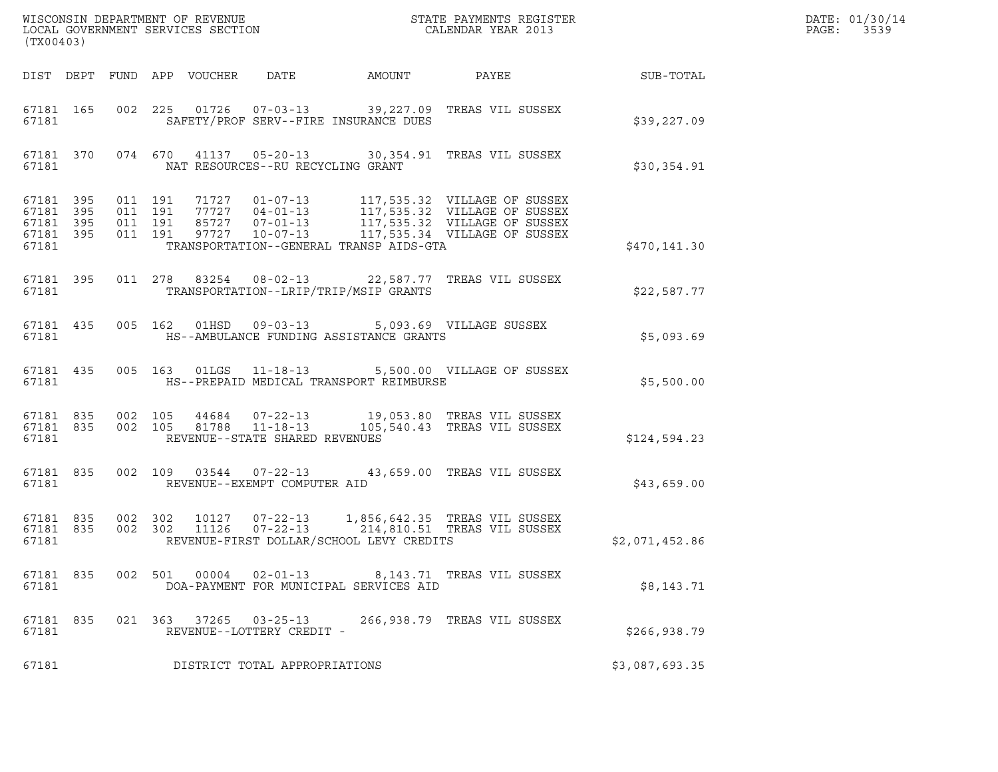| (TX00403)                                    |                              |                    |                                                     |                                                                                                     | DATE: 01/30/14<br>PAGE: 3539                                                                                                                                                                             |                 |  |
|----------------------------------------------|------------------------------|--------------------|-----------------------------------------------------|-----------------------------------------------------------------------------------------------------|----------------------------------------------------------------------------------------------------------------------------------------------------------------------------------------------------------|-----------------|--|
|                                              |                              |                    |                                                     | DIST DEPT FUND APP VOUCHER DATE AMOUNT                                                              |                                                                                                                                                                                                          | PAYEE SUB-TOTAL |  |
| 67181                                        |                              |                    |                                                     | SAFETY/PROF SERV--FIRE INSURANCE DUES                                                               | 67181 165 002 225 01726 07-03-13 39,227.09 TREAS VIL SUSSEX                                                                                                                                              | \$39,227.09     |  |
| 67181                                        |                              |                    | NAT RESOURCES--RU RECYCLING GRANT                   |                                                                                                     | 67181 370 074 670 41137 05-20-13 30,354.91 TREAS VIL SUSSEX                                                                                                                                              | \$30,354.91     |  |
| 67181 395<br>67181 395<br>67181 395<br>67181 | 67181 395 011 191<br>011 191 | 011 191<br>011 191 |                                                     | TRANSPORTATION--GENERAL TRANSP AIDS-GTA                                                             | 71727  01-07-13   117,535.32  VILLAGE OF SUSSEX<br>77727  04-01-13   117,535.32  VILLAGE OF SUSSEX<br>85727  07-01-13   117,535.32  VILLAGE OF SUSSEX<br>97727  10-07-13   117,535.34  VILLAGE OF SUSSEX | \$470,141.30    |  |
| 67181 395<br>67181                           |                              |                    |                                                     | TRANSPORTATION--LRIP/TRIP/MSIP GRANTS                                                               | 011 278 83254 08-02-13 22,587.77 TREAS VIL SUSSEX                                                                                                                                                        | \$22,587.77     |  |
| 67181                                        |                              |                    |                                                     | 67181 435 005 162 01HSD 09-03-13 5,093.69 VILLAGE SUSSEX<br>HS--AMBULANCE FUNDING ASSISTANCE GRANTS |                                                                                                                                                                                                          | \$5,093.69      |  |
| 67181                                        |                              |                    |                                                     | HS--PREPAID MEDICAL TRANSPORT REIMBURSE                                                             | 67181 435 005 163 01LGS 11-18-13 5,500.00 VILLAGE OF SUSSEX                                                                                                                                              | \$5,500.00      |  |
| 67181                                        |                              |                    | REVENUE--STATE SHARED REVENUES                      |                                                                                                     | 67181 835 002 105 44684 07-22-13 19,053.80 TREAS VIL SUSSEX<br>67181 835 002 105 81788 11-18-13 105,540.43 TREAS VIL SUSSEX<br>105,540.43 TREAS VIL SUSSEX                                               | \$124,594.23    |  |
| 67181                                        |                              |                    | REVENUE--EXEMPT COMPUTER AID                        |                                                                                                     | 67181 835 002 109 03544 07-22-13 43,659.00 TREAS VIL SUSSEX                                                                                                                                              | \$43,659.00     |  |
| 67181 835<br>67181                           | 67181 835 002 302            |                    |                                                     | REVENUE-FIRST DOLLAR/SCHOOL LEVY CREDITS                                                            | 10127  07-22-13  1,856,642.35  TREAS VIL SUSSEX<br>002 302 11126 07-22-13 214,810.51 TREAS VIL SUSSEX                                                                                                    | \$2,071,452.86  |  |
| 67181 835<br>67181                           |                              | 002 501            | 00004  02-01-13                                     | DOA-PAYMENT FOR MUNICIPAL SERVICES AID                                                              | 8,143.71 TREAS VIL SUSSEX                                                                                                                                                                                | \$8,143.71      |  |
| 67181 835<br>67181                           |                              |                    | 021 363 37265 03-25-13<br>REVENUE--LOTTERY CREDIT - |                                                                                                     | 266,938.79 TREAS VIL SUSSEX                                                                                                                                                                              | \$266,938.79    |  |
| 67181                                        |                              |                    | DISTRICT TOTAL APPROPRIATIONS                       |                                                                                                     |                                                                                                                                                                                                          | \$3,087,693.35  |  |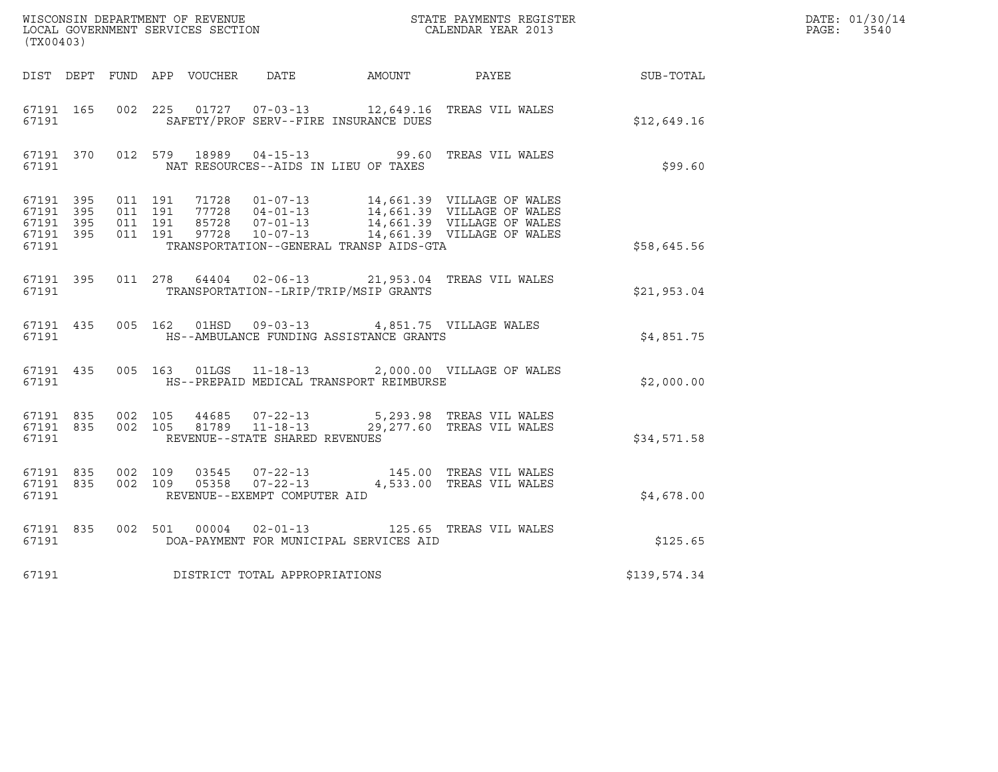| (TX00403)                       |                        |         |  |                                |                                                         | WISCONSIN DEPARTMENT OF REVENUE<br>LOCAL GOVERNMENT SERVICES SECTION<br>CALENDAR YEAR 2013                                                                                                                       |              | DATE: 01/30/14<br>PAGE: 3540 |
|---------------------------------|------------------------|---------|--|--------------------------------|---------------------------------------------------------|------------------------------------------------------------------------------------------------------------------------------------------------------------------------------------------------------------------|--------------|------------------------------|
|                                 |                        |         |  |                                |                                                         | DIST DEPT FUND APP VOUCHER DATE AMOUNT PAYEE PATE SUB-TOTAL                                                                                                                                                      |              |                              |
| 67191                           | 67191 165              |         |  |                                | SAFETY/PROF SERV--FIRE INSURANCE DUES                   | 002 225 01727 07-03-13 12,649.16 TREAS VIL WALES                                                                                                                                                                 | \$12,649.16  |                              |
| 67191                           |                        |         |  |                                | NAT RESOURCES--AIDS IN LIEU OF TAXES                    | 67191 370 012 579 18989 04-15-13 99.60 TREAS VIL WALES                                                                                                                                                           | \$99.60      |                              |
| 67191 395<br>67191 395<br>67191 | 67191 395<br>67191 395 |         |  |                                | TRANSPORTATION--GENERAL TRANSP AIDS-GTA                 | 011 191 71728 01-07-13 14,661.39 VILLAGE OF WALES<br>011 191 77728 04-01-13 14,661.39 VILLAGE OF WALES<br>011 191 85728 07-01-13 14,661.39 VILLAGE OF WALES<br>011 191 97728 10-07-13 14,661.39 VILLAGE OF WALES | \$58,645.56  |                              |
| 67191                           |                        |         |  |                                | TRANSPORTATION--LRIP/TRIP/MSIP GRANTS                   | 67191 395 011 278 64404 02-06-13 21,953.04 TREAS VIL WALES                                                                                                                                                       | \$21,953.04  |                              |
|                                 |                        |         |  |                                | 67191 435 005 162 01HSD 09-03-13 4,851.75 VILLAGE WALES |                                                                                                                                                                                                                  | \$4,851.75   |                              |
|                                 | 67191                  |         |  |                                | HS--PREPAID MEDICAL TRANSPORT REIMBURSE                 | 67191 435 005 163 01LGS 11-18-13 2,000.00 VILLAGE OF WALES                                                                                                                                                       | \$2,000.00   |                              |
| 67191                           | 67191 835<br>67191 835 | 002 105 |  | REVENUE--STATE SHARED REVENUES |                                                         | 44685 07-22-13 5,293.98 TREAS VIL WALES<br>002 105 81789 11-18-13 29,277.60 TREAS VIL WALES                                                                                                                      | \$34,571.58  |                              |
| 67191                           | 67191 835<br>67191 835 |         |  | REVENUE--EXEMPT COMPUTER AID   |                                                         | 002 109 03545 07-22-13 145.00 TREAS VIL WALES<br>002 109 05358 07-22-13 4,533.00 TREAS VIL WALES                                                                                                                 | \$4,678.00   |                              |
| 67191 835<br>67191              |                        |         |  | 002 501 00004 02-01-13         | DOA-PAYMENT FOR MUNICIPAL SERVICES AID                  | 125.65 TREAS VIL WALES                                                                                                                                                                                           | \$125.65     |                              |
| 67191                           |                        |         |  | DISTRICT TOTAL APPROPRIATIONS  |                                                         |                                                                                                                                                                                                                  | \$139,574.34 |                              |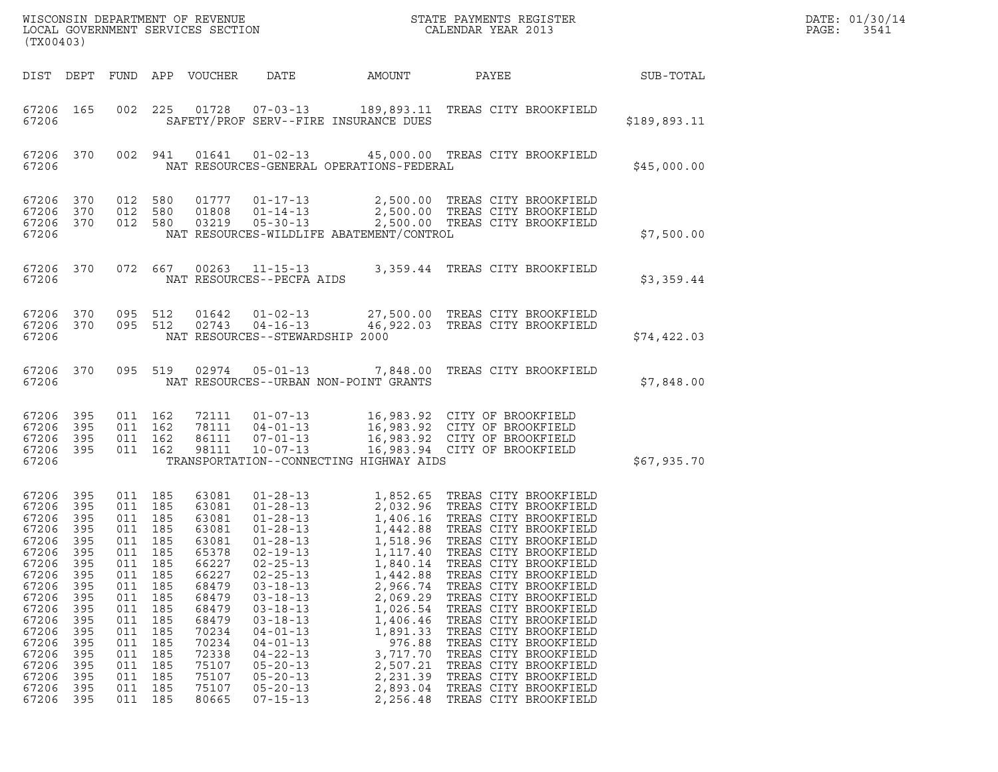|                                                                                                                                                                         | WISCONSIN DEPARTMENT OF REVENUE<br>LOCAL GOVERNMENT SERVICES SECTION<br>STATE PAYMENTS REGISTER<br>LOCAL GOVERNMENT SERVICES SECTION<br>CALENDAR YEAR 2013<br>(TX00403) |                                                                                                                                                       |                                                                                                |                                                                                                                                                                         |                                                                                                                                                                                                                                                                                                                                                    |                                                                                                                                                                                |                                                                                                                                                                                                                                                                                                                                                                                                                                                                                                                             |              | DATE: 01/30/14<br>PAGE:<br>3541 |
|-------------------------------------------------------------------------------------------------------------------------------------------------------------------------|-------------------------------------------------------------------------------------------------------------------------------------------------------------------------|-------------------------------------------------------------------------------------------------------------------------------------------------------|------------------------------------------------------------------------------------------------|-------------------------------------------------------------------------------------------------------------------------------------------------------------------------|----------------------------------------------------------------------------------------------------------------------------------------------------------------------------------------------------------------------------------------------------------------------------------------------------------------------------------------------------|--------------------------------------------------------------------------------------------------------------------------------------------------------------------------------|-----------------------------------------------------------------------------------------------------------------------------------------------------------------------------------------------------------------------------------------------------------------------------------------------------------------------------------------------------------------------------------------------------------------------------------------------------------------------------------------------------------------------------|--------------|---------------------------------|
|                                                                                                                                                                         |                                                                                                                                                                         |                                                                                                                                                       |                                                                                                | DIST DEPT FUND APP VOUCHER                                                                                                                                              | DATE                                                                                                                                                                                                                                                                                                                                               | AMOUNT                                                                                                                                                                         | PAYEE                                                                                                                                                                                                                                                                                                                                                                                                                                                                                                                       | SUB-TOTAL    |                                 |
| 67206 165<br>67206                                                                                                                                                      |                                                                                                                                                                         |                                                                                                                                                       |                                                                                                |                                                                                                                                                                         | 002 225 01728 07-03-13<br>SAFETY/PROF SERV--FIRE INSURANCE DUES                                                                                                                                                                                                                                                                                    |                                                                                                                                                                                | 189,893.11 TREAS CITY BROOKFIELD                                                                                                                                                                                                                                                                                                                                                                                                                                                                                            | \$189,893.11 |                                 |
| 67206 370<br>67206                                                                                                                                                      |                                                                                                                                                                         |                                                                                                                                                       | 002 941                                                                                        | 01641                                                                                                                                                                   |                                                                                                                                                                                                                                                                                                                                                    | NAT RESOURCES-GENERAL OPERATIONS-FEDERAL                                                                                                                                       | 01-02-13 45,000.00 TREAS CITY BROOKFIELD                                                                                                                                                                                                                                                                                                                                                                                                                                                                                    | \$45,000.00  |                                 |
| 67206<br>67206<br>67206 370<br>67206                                                                                                                                    | 370<br>370                                                                                                                                                              | 012 580<br>012<br>012 580                                                                                                                             | 580                                                                                            | 01777<br>01808<br>03219                                                                                                                                                 | $01 - 17 - 13$<br>$01 - 14 - 13$<br>$05 - 30 - 13$                                                                                                                                                                                                                                                                                                 | NAT RESOURCES-WILDLIFE ABATEMENT/CONTROL                                                                                                                                       | 2,500.00 TREAS CITY BROOKFIELD<br>2,500.00 TREAS CITY BROOKFIELD<br>2,500.00 TREAS CITY BROOKFIELD                                                                                                                                                                                                                                                                                                                                                                                                                          | \$7,500.00   |                                 |
| 67206 370<br>67206                                                                                                                                                      |                                                                                                                                                                         |                                                                                                                                                       | 072 667                                                                                        | 00263                                                                                                                                                                   | $11 - 15 - 13$<br>NAT RESOURCES--PECFA AIDS                                                                                                                                                                                                                                                                                                        |                                                                                                                                                                                | 3,359.44 TREAS CITY BROOKFIELD                                                                                                                                                                                                                                                                                                                                                                                                                                                                                              | \$3,359.44   |                                 |
| 67206 370<br>67206 370<br>67206                                                                                                                                         |                                                                                                                                                                         | 095 512<br>095 512                                                                                                                                    |                                                                                                | 01642<br>02743                                                                                                                                                          | $01 - 02 - 13$<br>$04 - 16 - 13$<br>NAT RESOURCES--STEWARDSHIP 2000                                                                                                                                                                                                                                                                                |                                                                                                                                                                                | 27,500.00 TREAS CITY BROOKFIELD<br>46,922.03 TREAS CITY BROOKFIELD                                                                                                                                                                                                                                                                                                                                                                                                                                                          | \$74,422.03  |                                 |
| 67206<br>67206                                                                                                                                                          | 370                                                                                                                                                                     | 095 519                                                                                                                                               |                                                                                                | 02974                                                                                                                                                                   | $05 - 01 - 13$<br>NAT RESOURCES--URBAN NON-POINT GRANTS                                                                                                                                                                                                                                                                                            |                                                                                                                                                                                | 7,848.00 TREAS CITY BROOKFIELD                                                                                                                                                                                                                                                                                                                                                                                                                                                                                              | \$7,848.00   |                                 |
| 67206<br>67206<br>67206<br>67206 395<br>67206                                                                                                                           | 395<br>395<br>395                                                                                                                                                       | 011 162<br>011 162<br>011 162<br>011 162                                                                                                              |                                                                                                | 72111<br>78111<br>86111<br>98111                                                                                                                                        | 01-07-13<br>$04 - 01 - 13$<br>$07 - 01 - 13$<br>$10 - 07 - 13$                                                                                                                                                                                                                                                                                     | TRANSPORTATION--CONNECTING HIGHWAY AIDS                                                                                                                                        | 16,983.92 CITY OF BROOKFIELD<br>16,983.92 CITY OF BROOKFIELD<br>16,983.92 CITY OF BROOKFIELD<br>16,983.94 CITY OF BROOKFIELD                                                                                                                                                                                                                                                                                                                                                                                                | \$67,935.70  |                                 |
| 67206<br>67206<br>67206<br>67206<br>67206<br>67206<br>67206<br>67206<br>67206<br>67206<br>67206<br>67206<br>67206<br>67206<br>67206<br>67206<br>67206<br>67206<br>67206 | 395<br>395<br>395<br>395<br>395<br>395<br>395<br>395<br>395<br>395<br>395<br>395<br>395<br>395<br>395<br>395<br>395<br>395<br>395                                       | 011 185<br>011 185<br>011 185<br>011 185<br>011 185<br>011<br>011<br>011<br>011<br>011<br>011<br>011<br>011<br>011<br>011<br>011<br>011<br>011<br>011 | 185<br>185<br>185<br>185<br>185<br>185<br>185<br>185<br>185<br>185<br>185<br>185<br>185<br>185 | 63081<br>63081<br>63081<br>63081<br>63081<br>65378<br>66227<br>66227<br>68479<br>68479<br>68479<br>68479<br>70234<br>70234<br>72338<br>75107<br>75107<br>75107<br>80665 | $01 - 28 - 13$<br>$01 - 28 - 13$<br>$01 - 28 - 13$<br>$01 - 28 - 13$<br>$01 - 28 - 13$<br>$02 - 19 - 13$<br>$02 - 25 - 13$<br>$02 - 25 - 13$<br>$03 - 18 - 13$<br>$03 - 18 - 13$<br>$03 - 18 - 13$<br>$03 - 18 - 13$<br>$04 - 01 - 13$<br>$04 - 01 - 13$<br>$04 - 22 - 13$<br>$05 - 20 - 13$<br>$05 - 20 - 13$<br>$05 - 20 - 13$<br>$07 - 15 - 13$ | 1,518.96<br>1,117.40<br>1,840.14<br>1,442.88<br>2,966.74<br>2,069.29<br>1,026.54<br>1,406.46<br>1,891.33<br>976.88<br>3,717.70<br>2,507.21<br>2,231.39<br>2,893.04<br>2,256.48 | 1,852.65 TREAS CITY BROOKFIELD<br>2,032.96 TREAS CITY BROOKFIELD<br>1,406.16 TREAS CITY BROOKFIELD<br>1,442.88 TREAS CITY BROOKFIELD<br>TREAS CITY BROOKFIELD<br>TREAS CITY BROOKFIELD<br>TREAS CITY BROOKFIELD<br>TREAS CITY BROOKFIELD<br>TREAS CITY BROOKFIELD<br>TREAS CITY BROOKFIELD<br>TREAS CITY BROOKFIELD<br>TREAS CITY BROOKFIELD<br>TREAS CITY BROOKFIELD<br>TREAS CITY BROOKFIELD<br>TREAS CITY BROOKFIELD<br>TREAS CITY BROOKFIELD<br>TREAS CITY BROOKFIELD<br>TREAS CITY BROOKFIELD<br>TREAS CITY BROOKFIELD |              |                                 |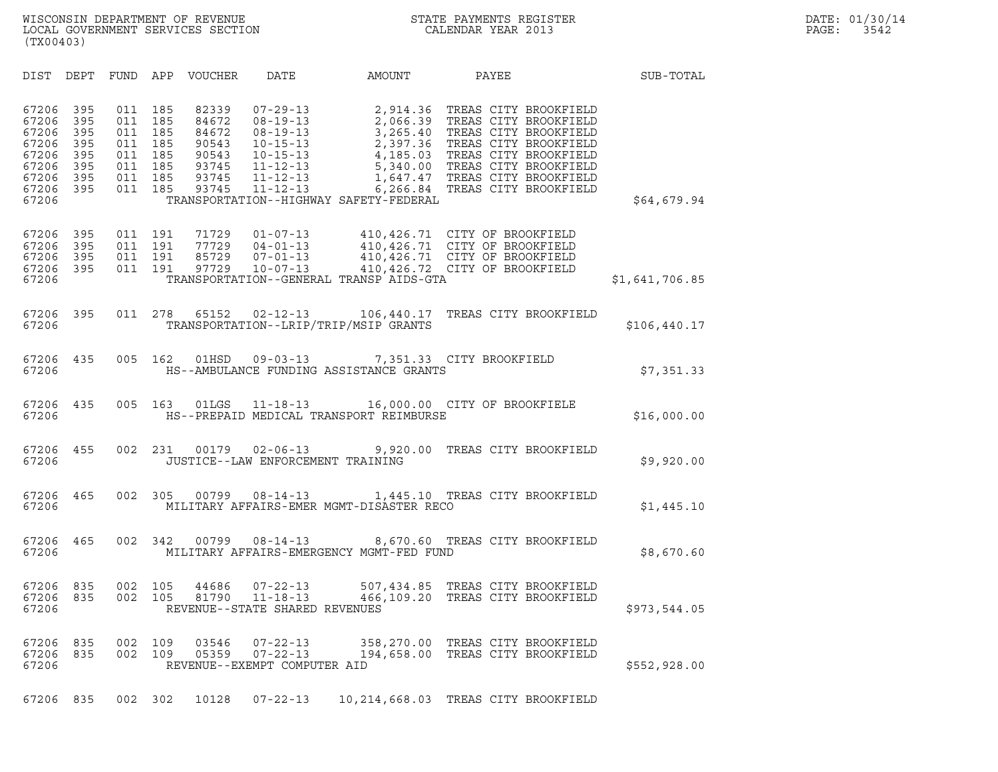| (TX00403)                                                                                                                             |                                                      |                                                      |                                                                      |                                                                                                                                        |                                                                                        |                                                                                                                                                                                                                                          |                |  |
|---------------------------------------------------------------------------------------------------------------------------------------|------------------------------------------------------|------------------------------------------------------|----------------------------------------------------------------------|----------------------------------------------------------------------------------------------------------------------------------------|----------------------------------------------------------------------------------------|------------------------------------------------------------------------------------------------------------------------------------------------------------------------------------------------------------------------------------------|----------------|--|
| DIST<br>DEPT                                                                                                                          | FUND                                                 | APP                                                  | VOUCHER                                                              | DATE                                                                                                                                   | AMOUNT                                                                                 | PAYEE                                                                                                                                                                                                                                    | SUB-TOTAL      |  |
| 67206<br>395<br>395<br>67206<br>67206<br>395<br>395<br>67206<br>67206<br>395<br>395<br>67206<br>67206<br>395<br>67206<br>395<br>67206 | 011<br>011<br>011<br>011<br>011<br>011<br>011<br>011 | 185<br>185<br>185<br>185<br>185<br>185<br>185<br>185 | 82339<br>84672<br>84672<br>90543<br>90543<br>93745<br>93745<br>93745 | $07 - 29 - 13$<br>$08 - 19 - 13$<br>$08 - 19 - 13$<br>$10 - 15 - 13$<br>$10 - 15 - 13$<br>11-12-13<br>$11 - 12 - 13$<br>$11 - 12 - 13$ | 2,914.36<br>2,066.39<br>3,265.40<br>2,397.36<br>TRANSPORTATION--HIGHWAY SAFETY-FEDERAL | TREAS CITY BROOKFIELD<br>TREAS CITY BROOKFIELD<br>TREAS CITY BROOKFIELD<br>TREAS CITY BROOKFIELD<br>4,185.03 TREAS CITY BROOKFIELD<br>5,340.00 TREAS CITY BROOKFIELD<br>1,647.47 TREAS CITY BROOKFIELD<br>6,266.84 TREAS CITY BROOKFIELD | \$64,679.94    |  |
| 67206<br>395<br>395<br>67206<br>395<br>67206<br>67206<br>395<br>67206                                                                 | 011<br>011<br>011<br>011                             | 191<br>191<br>191<br>191                             | 71729<br>77729<br>85729<br>97729                                     | $01 - 07 - 13$<br>$04 - 01 - 13$<br>$07 - 01 - 13$<br>$10 - 07 - 13$                                                                   | TRANSPORTATION--GENERAL TRANSP AIDS-GTA                                                | 410,426.71 CITY OF BROOKFIELD<br>410,426.71 CITY OF BROOKFIELD<br>410,426.71 CITY OF BROOKFIELD<br>410,426.72 CITY OF BROOKFIELD                                                                                                         | \$1,641,706.85 |  |
| 67206<br>395<br>67206                                                                                                                 | 011                                                  | 278                                                  | 65152                                                                | $02 - 12 - 13$                                                                                                                         | 106,440.17<br>TRANSPORTATION--LRIP/TRIP/MSIP GRANTS                                    | TREAS CITY BROOKFIELD                                                                                                                                                                                                                    | \$106,440.17   |  |
| 67206<br>435<br>67206                                                                                                                 | 005                                                  | 162                                                  | 01HSD                                                                | $09 - 03 - 13$                                                                                                                         | HS--AMBULANCE FUNDING ASSISTANCE GRANTS                                                | 7,351.33 CITY BROOKFIELD                                                                                                                                                                                                                 | \$7,351.33     |  |
| 67206<br>435<br>67206                                                                                                                 | 005                                                  |                                                      | 163 01LGS                                                            |                                                                                                                                        | HS--PREPAID MEDICAL TRANSPORT REIMBURSE                                                | 11-18-13 16,000.00 CITY OF BROOKFIELE                                                                                                                                                                                                    | \$16,000.00    |  |
| 67206<br>455<br>67206                                                                                                                 | 002                                                  | 231                                                  | 00179                                                                |                                                                                                                                        | $02 - 06 - 13$ 9,920.00<br>JUSTICE--LAW ENFORCEMENT TRAINING                           | TREAS CITY BROOKFIELD                                                                                                                                                                                                                    | \$9,920.00     |  |
| 67206<br>465<br>67206                                                                                                                 | 002                                                  | 305                                                  |                                                                      | $00799008 - 14 - 13$                                                                                                                   | MILITARY AFFAIRS-EMER MGMT-DISASTER RECO                                               | 1,445.10 TREAS CITY BROOKFIELD                                                                                                                                                                                                           | \$1,445.10     |  |
| 67206<br>465<br>67206                                                                                                                 | 002                                                  | 342                                                  | 00799                                                                | $08 - 14 - 13$                                                                                                                         | MILITARY AFFAIRS-EMERGENCY MGMT-FED FUND                                               | 8,670.60 TREAS CITY BROOKFIELD                                                                                                                                                                                                           | \$8,670.60     |  |
| 67206<br>835<br>67206<br>835<br>67206                                                                                                 | 002<br>002                                           | 105<br>105                                           | 44686<br>81790                                                       | $07 - 22 - 13$<br>$11 - 18 - 13$<br>REVENUE--STATE SHARED REVENUES                                                                     | 466,109.20                                                                             | 507,434.85 TREAS CITY BROOKFIELD<br>TREAS CITY BROOKFIELD                                                                                                                                                                                | \$973,544.05   |  |
| 67206 835<br>67206 835<br>67206                                                                                                       | 002<br>002                                           | 109<br>109                                           | 03546<br>05359                                                       | $07 - 22 - 13$<br>$07 - 22 - 13$<br>REVENUE--EXEMPT COMPUTER AID                                                                       |                                                                                        | 358,270.00 TREAS CITY BROOKFIELD<br>194,658.00 TREAS CITY BROOKFIELD                                                                                                                                                                     | \$552,928.00   |  |
| 835<br>67206                                                                                                                          |                                                      | 002 302                                              | 10128                                                                | $07 - 22 - 13$                                                                                                                         |                                                                                        | 10, 214, 668.03 TREAS CITY BROOKFIELD                                                                                                                                                                                                    |                |  |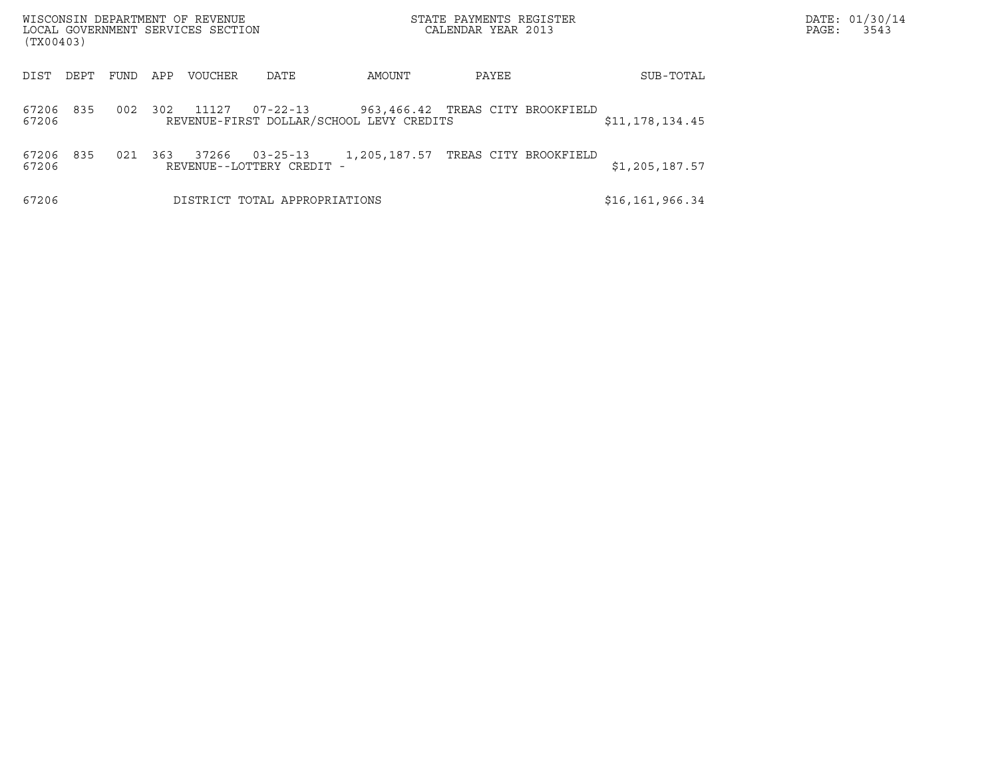| (TX00403)      |      |      |     | WISCONSIN DEPARTMENT OF REVENUE<br>LOCAL GOVERNMENT SERVICES SECTION |                                             |                                          | STATE PAYMENTS REGISTER<br>CALENDAR YEAR 2013 |                   | PAGE: | DATE: 01/30/14<br>3543 |
|----------------|------|------|-----|----------------------------------------------------------------------|---------------------------------------------|------------------------------------------|-----------------------------------------------|-------------------|-------|------------------------|
| DIST           | DEPT | FUND | APP | <b>VOUCHER</b>                                                       | DATE                                        | AMOUNT                                   | PAYEE                                         | SUB-TOTAL         |       |                        |
| 67206<br>67206 | 835  | 002  | 302 | 11127                                                                | $07 - 22 - 13$                              | REVENUE-FIRST DOLLAR/SCHOOL LEVY CREDITS | 963,466.42 TREAS CITY BROOKFIELD              | \$11,178,134.45   |       |                        |
| 67206<br>67206 | 835  | 021  | 363 | 37266                                                                | $03 - 25 - 13$<br>REVENUE--LOTTERY CREDIT - | 1,205,187.57                             | TREAS CITY BROOKFIELD                         | \$1,205,187.57    |       |                        |
| 67206          |      |      |     |                                                                      | DISTRICT TOTAL APPROPRIATIONS               |                                          |                                               | \$16, 161, 966.34 |       |                        |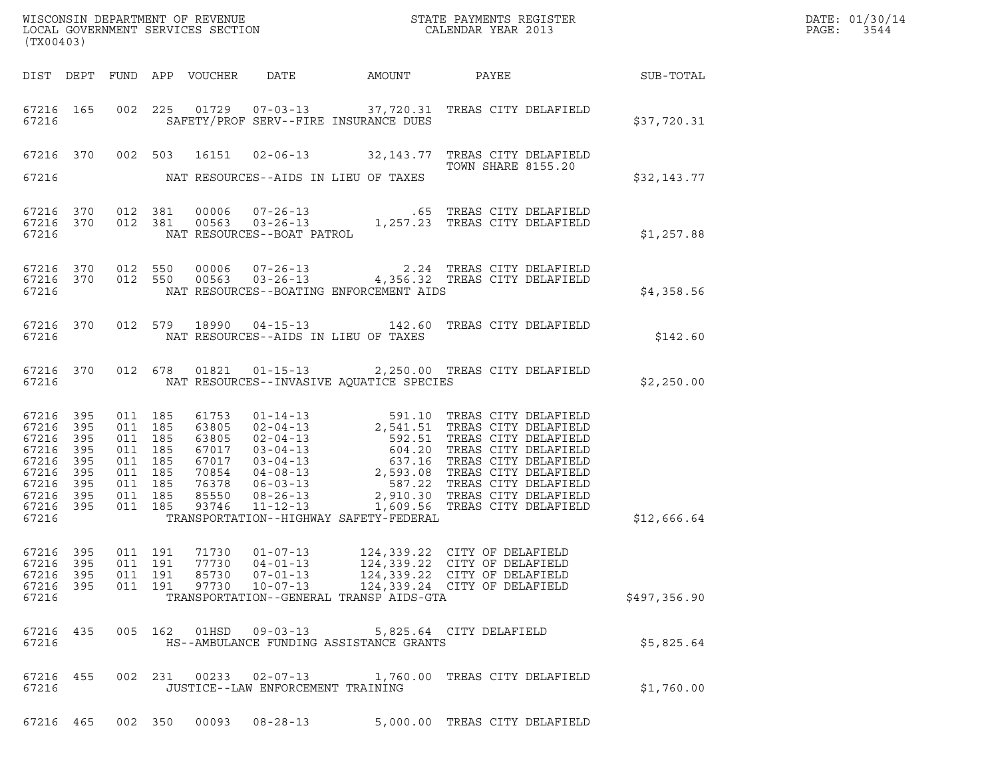| WISCONSIN DEPARTMENT OF REVENUE<br>LOCAL GOVERNMENT SERVICES SECTION<br>CALENDAR YEAR 2013<br>(TX00403)       |     |                    |                                                                           |                                  |                                                                      |                                          |                                                                                                                                                                                                                                                                                                                                          |              | DATE: 01/30/14<br>$\mathtt{PAGE:}$<br>3544 |
|---------------------------------------------------------------------------------------------------------------|-----|--------------------|---------------------------------------------------------------------------|----------------------------------|----------------------------------------------------------------------|------------------------------------------|------------------------------------------------------------------------------------------------------------------------------------------------------------------------------------------------------------------------------------------------------------------------------------------------------------------------------------------|--------------|--------------------------------------------|
|                                                                                                               |     |                    |                                                                           |                                  |                                                                      |                                          | DIST DEPT FUND APP VOUCHER DATE AMOUNT PAYEE SUB-TOTAL                                                                                                                                                                                                                                                                                   |              |                                            |
| 67216                                                                                                         |     |                    |                                                                           |                                  |                                                                      | SAFETY/PROF SERV--FIRE INSURANCE DUES    | 67216 165 002 225 01729 07-03-13 37,720.31 TREAS CITY DELAFIELD                                                                                                                                                                                                                                                                          | \$37,720.31  |                                            |
|                                                                                                               |     |                    |                                                                           |                                  |                                                                      |                                          | 67216 370 002 503 16151 02-06-13 32,143.77 TREAS CITY DELAFIELD<br><b>TOWN SHARE 8155.20</b>                                                                                                                                                                                                                                             |              |                                            |
| 67216                                                                                                         |     |                    |                                                                           |                                  |                                                                      | NAT RESOURCES--AIDS IN LIEU OF TAXES     |                                                                                                                                                                                                                                                                                                                                          | \$32,143.77  |                                            |
|                                                                                                               |     |                    |                                                                           |                                  |                                                                      |                                          | $\begin{tabular}{lllllllllllll} 67216 & 370 & 012 & 381 & 00006 & 07-26-13 & .65 \end{tabular} \begin{tabular}{lllllllll} 67216 & 370 & 012 & 381 & 00563 & 03-26-13 & .47257.23 \end{tabular} \begin{tabular}{lllllllll} 1,257.23 & TREAS CITY DELAFIELD & .67216 & .870 & .87216 & .87216 & .87216 & .87216 & .87216 & .87216 & .8721$ | \$1,257.88   |                                            |
| 67216                                                                                                         |     |                    |                                                                           |                                  |                                                                      | NAT RESOURCES--BOATING ENFORCEMENT AIDS  | $\begin{array}{cccc} 67216 & 370 & 012 & 550 & 00006 & 07-26-13 & & 2.24 \end{array}$ TREAS CITY DELAFIELD 67216 370 012 550 00563 03-26-13 4,356.32 TREAS CITY DELAFIELD                                                                                                                                                                | \$4,358.56   |                                            |
| 67216                                                                                                         |     |                    |                                                                           |                                  |                                                                      | NAT RESOURCES--AIDS IN LIEU OF TAXES     | 67216 370 012 579 18990 04-15-13 142.60 TREAS CITY DELAFIELD                                                                                                                                                                                                                                                                             | \$142.60     |                                            |
| 67216                                                                                                         |     |                    |                                                                           |                                  |                                                                      | NAT RESOURCES--INVASIVE AQUATICE SPECIES | 67216 370 012 678 01821 01-15-13 2,250.00 TREAS CITY DELAFIELD                                                                                                                                                                                                                                                                           | \$2,250.00   |                                            |
| 67216 395<br>67216 395<br>67216<br>67216 395<br>67216 395<br>67216 395<br>67216 395<br>67216 395<br>67216 395 | 395 | 011 185<br>011 185 | 011 185<br>011 185<br>011 185<br>011 185<br>011 185<br>011 185<br>011 185 |                                  |                                                                      |                                          |                                                                                                                                                                                                                                                                                                                                          |              |                                            |
| 67216                                                                                                         |     |                    |                                                                           |                                  |                                                                      | TRANSPORTATION--HIGHWAY SAFETY-FEDERAL   |                                                                                                                                                                                                                                                                                                                                          | \$12,666.64  |                                            |
| 67216 395<br>67216 395<br>67216<br>67216 395<br>67216                                                         | 395 |                    | 011 191<br>011 191<br>011 191<br>011 191                                  | 71730<br>77730<br>85730<br>97730 | $01 - 07 - 13$<br>$04 - 01 - 13$<br>$07 - 01 - 13$<br>$10 - 07 - 13$ | TRANSPORTATION--GENERAL TRANSP AIDS-GTA  | 124,339.22 CITY OF DELAFIELD<br>124,339.22 CITY OF DELAFIELD<br>124,339.22 CITY OF DELAFIELD<br>124,339.24 CITY OF DELAFIELD                                                                                                                                                                                                             | \$497,356.90 |                                            |
| 67216 435<br>67216                                                                                            |     |                    |                                                                           |                                  | 005 162 01HSD 09-03-13                                               | HS--AMBULANCE FUNDING ASSISTANCE GRANTS  | 5,825.64 CITY DELAFIELD                                                                                                                                                                                                                                                                                                                  | \$5,825.64   |                                            |
| 67216 455<br>67216                                                                                            |     |                    |                                                                           |                                  | JUSTICE--LAW ENFORCEMENT TRAINING                                    |                                          | 002 231 00233 02-07-13 1,760.00 TREAS CITY DELAFIELD                                                                                                                                                                                                                                                                                     | \$1,760.00   |                                            |
| 67216 465                                                                                                     |     |                    | 002 350                                                                   | 00093                            | $08 - 28 - 13$                                                       |                                          | 5,000.00 TREAS CITY DELAFIELD                                                                                                                                                                                                                                                                                                            |              |                                            |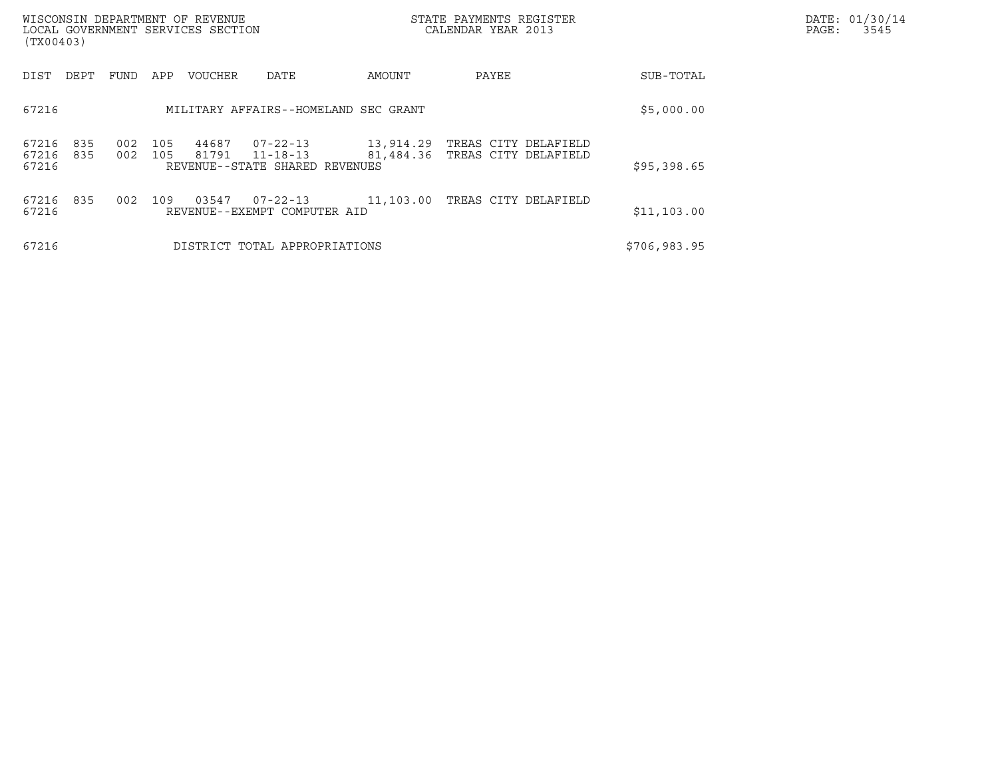| (TX00403)               |            |            |            | WISCONSIN DEPARTMENT OF REVENUE<br>LOCAL GOVERNMENT SERVICES SECTION |                                                              |           | STATE PAYMENTS REGISTER<br>CALENDAR YEAR 2013                    |              | DATE: 01/30/14<br>PAGE:<br>3545 |
|-------------------------|------------|------------|------------|----------------------------------------------------------------------|--------------------------------------------------------------|-----------|------------------------------------------------------------------|--------------|---------------------------------|
| DIST                    | DEPT       | FUND       | APP        | <b>VOUCHER</b>                                                       | DATE                                                         | AMOUNT    | PAYEE                                                            | SUB-TOTAL    |                                 |
| 67216                   |            |            |            |                                                                      | MILITARY AFFAIRS--HOMELAND SEC GRANT                         |           |                                                                  | \$5,000.00   |                                 |
| 67216<br>67216<br>67216 | 835<br>835 | 002<br>002 | 105<br>105 | 44687<br>81791                                                       | $07 - 22 - 13$<br>11-18-13<br>REVENUE--STATE SHARED REVENUES |           | 13,914.29 TREAS CITY DELAFIELD<br>81,484.36 TREAS CITY DELAFIELD | \$95,398.65  |                                 |
| 67216<br>67216          | 835        | 002        | 109        | 03547                                                                | 07-22-13<br>REVENUE--EXEMPT COMPUTER AID                     | 11,103.00 | TREAS CITY DELAFIELD                                             | \$11,103.00  |                                 |
| 67216                   |            |            |            |                                                                      | DISTRICT TOTAL APPROPRIATIONS                                |           |                                                                  | \$706,983.95 |                                 |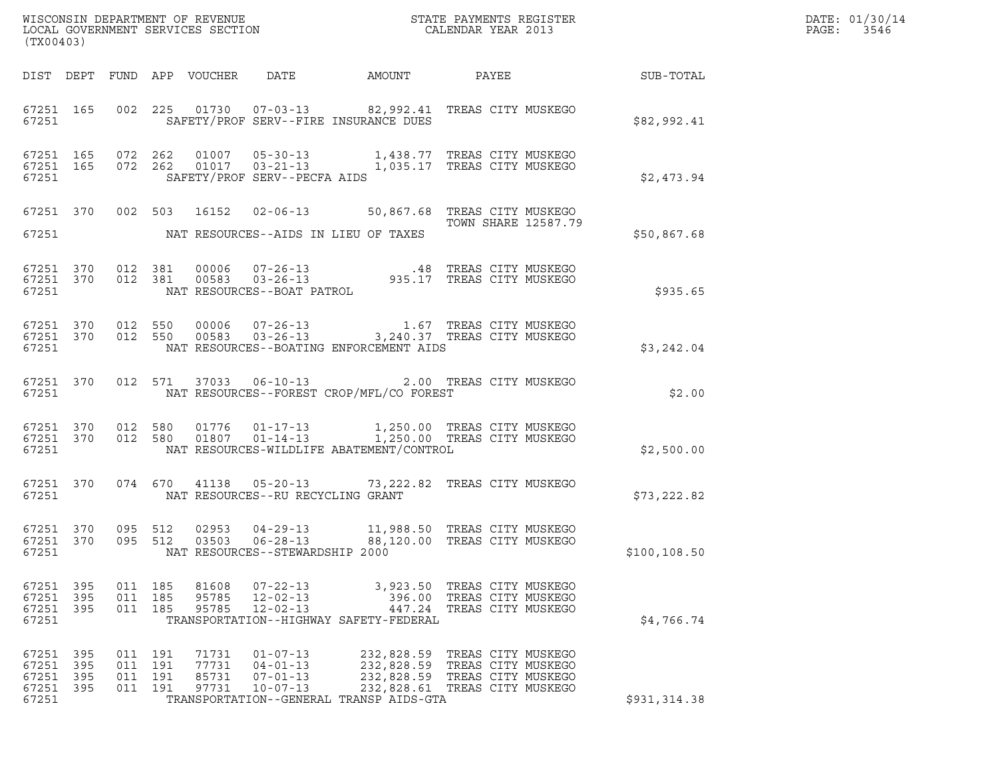| (TX00403)                                         |              |                                          |                                  |                                                                      |                                                                                                                                                                                                                                                |                                                                         |              | DATE: 01/30/14<br>$\mathtt{PAGE:}$<br>3546 |
|---------------------------------------------------|--------------|------------------------------------------|----------------------------------|----------------------------------------------------------------------|------------------------------------------------------------------------------------------------------------------------------------------------------------------------------------------------------------------------------------------------|-------------------------------------------------------------------------|--------------|--------------------------------------------|
|                                                   |              |                                          |                                  |                                                                      |                                                                                                                                                                                                                                                |                                                                         |              |                                            |
| 67251 300                                         |              |                                          |                                  |                                                                      | 67251 165 002 225 01730 07-03-13 82,992.41 TREAS CITY MUSKEGO<br>SAFETY/PROF SERV--FIRE INSURANCE DUES                                                                                                                                         |                                                                         | \$82,992.41  |                                            |
| 67251                                             |              |                                          |                                  | SAFETY/PROF SERV--PECFA AIDS                                         | $\begin{array}{cccccc} 67251 & 165 & 072 & 262 & 01007 & 05-30-13 & & 1,438.77 & \text{TREAS CITY MUSKEGO} \\ 67251 & 165 & 072 & 262 & 01017 & 03-21-13 & & 1,035.17 & \text{TREAS CITY MUSKEGO} \end{array}$                                 |                                                                         | \$2,473.94   |                                            |
|                                                   |              |                                          |                                  |                                                                      | 67251 370 002 503 16152 02-06-13 50,867.68 TREAS CITY MUSKEGO<br>67251 NAT RESOURCES--AIDS IN LIEU OF TAXES                                                                                                                                    | TOWN SHARE 12587.79                                                     | \$50,867.68  |                                            |
| 67251                                             |              |                                          |                                  | NAT RESOURCES--BOAT PATROL                                           | 67251 370 012 381 00006 07-26-13 .48 TREAS CITY MUSKEGO<br>67251 370 012 381 00583 03-26-13 935.17 TREAS CITY MUSKEGO                                                                                                                          |                                                                         | \$935.65     |                                            |
| 67251                                             |              |                                          |                                  |                                                                      | $\begin{array}{cccc} 67251 & 370 & 012 & 550 & 00006 & 07-26-13 & 1.67 \end{array} \qquad \begin{array}{cccc} 1.67 & \text{TREAS CITY MUSKEGO} \\ 3,240.37 & \text{TREAS CITY MUSKEGO} \end{array}$<br>NAT RESOURCES--BOATING ENFORCEMENT AIDS |                                                                         | \$3,242.04   |                                            |
|                                                   |              |                                          |                                  |                                                                      | 67251 370 012 571 37033 06-10-13 2.00 TREAS CITY MUSKEGO<br>67251 NAT RESOURCES--FOREST CROP/MFL/CO FOREST                                                                                                                                     |                                                                         | \$2.00       |                                            |
|                                                   |              |                                          |                                  |                                                                      | 67251 370 012 580 01776 01-17-13 1,250.00 TREAS CITY MUSKEGO<br>67251 370 012 580 01807 01-14-13 1,250.00 TREAS CITY MUSKEGO                                                                                                                   |                                                                         | \$2,500.00   |                                            |
|                                                   |              |                                          |                                  |                                                                      | 67251 370 074 670 41138 05-20-13 73,222.82 TREAS CITY MUSKEGO                                                                                                                                                                                  |                                                                         | \$73,222.82  |                                            |
| 67251 370<br>67251 370<br>67251                   |              | 095 512<br>095 512                       |                                  | 03503 06-28-13<br>NAT RESOURCES--STEWARDSHIP 2000                    | 02953  04-29-13   11,988.50   TREAS CITY MUSKEGO                                                                                                                                                                                               | 88,120.00 TREAS CITY MUSKEGO                                            | \$100,108.50 |                                            |
| 67251 395<br>67251<br>67251 395<br>67251          | 395          | 011 185<br>011 185<br>011 185            | 81608<br>95785<br>95785          | 07-22-13<br>$12 - 02 - 13$<br>$12 - 02 - 13$                         | 396.00<br>447.24<br>TRANSPORTATION--HIGHWAY SAFETY-FEDERAL                                                                                                                                                                                     | 3,923.50 TREAS CITY MUSKEGO<br>TREAS CITY MUSKEGO<br>TREAS CITY MUSKEGO | \$4,766.74   |                                            |
| 67251 395<br>67251<br>67251 395<br>67251<br>67251 | 395<br>- 395 | 011 191<br>011 191<br>011 191<br>011 191 | 71731<br>77731<br>85731<br>97731 | $01 - 07 - 13$<br>$04 - 01 - 13$<br>$07 - 01 - 13$<br>$10 - 07 - 13$ | 232,828.59 TREAS CITY MUSKEGO<br>232,828.59 TREAS CITY MUSKEGO<br>232,828.59 TREAS CITY MUSKEGO<br>232,828.61 TREAS CITY MUSKEGO<br>TRANSPORTATION--GENERAL TRANSP AIDS-GTA                                                                    |                                                                         | \$931,314.38 |                                            |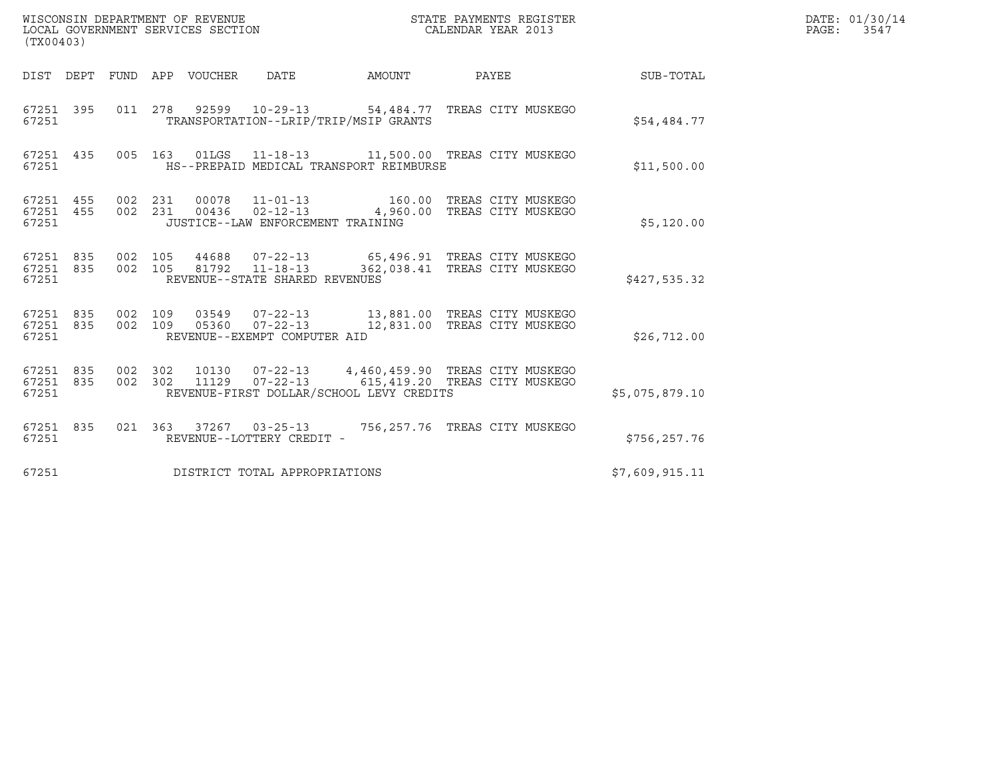| WISCONSIN DEPARTMENT OF REVENUE<br>LOCAL GOVERNMENT SERVICES SECTION<br>(TX00403) |         |                    |                                                     |                                          | STATE PAYMENTS REGISTER<br>CALENDAR YEAR 2013                                                                         |                | DATE: 01/30/14<br>PAGE: 3547 |
|-----------------------------------------------------------------------------------|---------|--------------------|-----------------------------------------------------|------------------------------------------|-----------------------------------------------------------------------------------------------------------------------|----------------|------------------------------|
| DIST DEPT FUND APP VOUCHER DATE                                                   |         |                    |                                                     | AMOUNT                                   | PAYEE                                                                                                                 | SUB-TOTAL      |                              |
| 67251                                                                             |         |                    |                                                     | TRANSPORTATION--LRIP/TRIP/MSIP GRANTS    | 67251 395 011 278 92599 10-29-13 54,484.77 TREAS CITY MUSKEGO                                                         | \$54,484.77    |                              |
| 67251 435<br>67251                                                                |         |                    |                                                     | HS--PREPAID MEDICAL TRANSPORT REIMBURSE  | 005  163  01LGS  11-18-13  11,500.00  TREAS CITY MUSKEGO                                                              | \$11,500.00    |                              |
| 67251 455<br>67251 455<br>67251                                                   | 002 231 |                    | JUSTICE--LAW ENFORCEMENT TRAINING                   |                                          | 00078  11-01-13  160.00 TREAS CITY MUSKEGO<br>002 231 00436 02-12-13 4,960.00 TREAS CITY MUSKEGO                      | \$5,120.00     |                              |
| 67251 835<br>67251                                                                |         |                    | REVENUE--STATE SHARED REVENUES                      |                                          | 67251 835 002 105 44688 07-22-13 65,496.91 TREAS CITY MUSKEGO<br>002 105 81792 11-18-13 362,038.41 TREAS CITY MUSKEGO | \$427,535.32   |                              |
| 67251 835<br>67251 835<br>67251                                                   |         |                    | REVENUE--EXEMPT COMPUTER AID                        |                                          | 002 109 03549 07-22-13 13,881.00 TREAS CITY MUSKEGO<br>002 109 05360 07-22-13 12,831.00 TREAS CITY MUSKEGO            | \$26,712.00    |                              |
| 67251 835<br>67251 835<br>67251                                                   |         | 002 302<br>002 302 |                                                     | REVENUE-FIRST DOLLAR/SCHOOL LEVY CREDITS | 10130  07-22-13  4,460,459.90 TREAS CITY MUSKEGO                                                                      | \$5,075,879.10 |                              |
| 67251 835<br>67251                                                                |         |                    | 021 363 37267 03-25-13<br>REVENUE--LOTTERY CREDIT - |                                          | 756,257.76 TREAS CITY MUSKEGO                                                                                         | \$756,257.76   |                              |
| 67251                                                                             |         |                    | DISTRICT TOTAL APPROPRIATIONS                       |                                          |                                                                                                                       | \$7,609,915.11 |                              |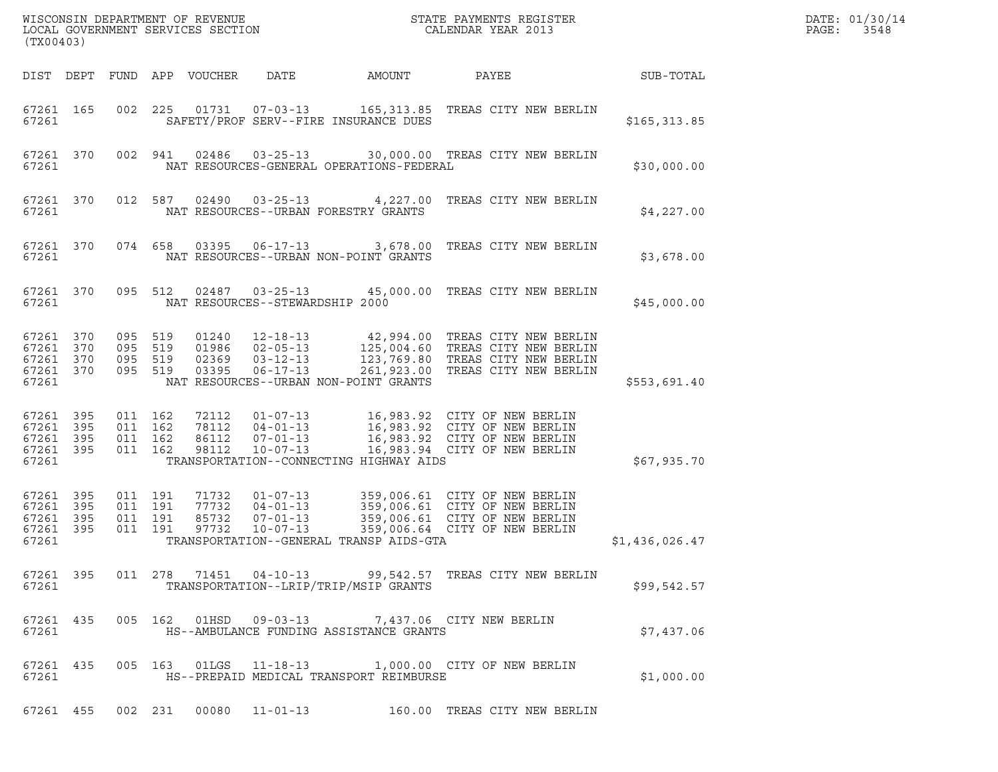| (TX00403)                                 |                            |                                          |         | WISCONSIN DEPARTMENT OF REVENUE<br>LOCAL GOVERNMENT SERVICES SECTION |                                                                      |                                                                                            | DATE: 01/30/14<br>PAGE:<br>3548                                                                                                             |                |  |
|-------------------------------------------|----------------------------|------------------------------------------|---------|----------------------------------------------------------------------|----------------------------------------------------------------------|--------------------------------------------------------------------------------------------|---------------------------------------------------------------------------------------------------------------------------------------------|----------------|--|
| DIST DEPT                                 |                            |                                          |         | FUND APP VOUCHER                                                     | DATE                                                                 | AMOUNT                                                                                     | PAYEE                                                                                                                                       | SUB-TOTAL      |  |
| 67261 165<br>67261                        |                            | 002                                      |         |                                                                      | 225 01731 07-03-13                                                   | SAFETY/PROF SERV--FIRE INSURANCE DUES                                                      | 165,313.85 TREAS CITY NEW BERLIN                                                                                                            | \$165, 313.85  |  |
| 67261 370<br>67261                        |                            |                                          | 002 941 | 02486                                                                | $03 - 25 - 13$                                                       | NAT RESOURCES-GENERAL OPERATIONS-FEDERAL                                                   | 30,000.00 TREAS CITY NEW BERLIN                                                                                                             | \$30,000.00    |  |
| 67261 370<br>67261                        |                            |                                          | 012 587 |                                                                      |                                                                      | NAT RESOURCES--URBAN FORESTRY GRANTS                                                       | 02490  03-25-13  4,227.00  TREAS CITY NEW BERLIN                                                                                            | \$4,227.00     |  |
| 67261 370<br>67261                        |                            |                                          | 074 658 | 03395                                                                | $06 - 17 - 13$                                                       | NAT RESOURCES--URBAN NON-POINT GRANTS                                                      | 3,678.00 TREAS CITY NEW BERLIN                                                                                                              | \$3,678.00     |  |
| 67261 370<br>67261                        |                            |                                          | 095 512 |                                                                      | $02487$ $03-25-13$                                                   | NAT RESOURCES--STEWARDSHIP 2000                                                            | 45,000.00 TREAS CITY NEW BERLIN                                                                                                             | \$45,000.00    |  |
| 67261<br>67261<br>67261<br>67261<br>67261 | 370<br>370<br>370<br>370   | 095 519<br>095 519<br>095 519<br>095 519 |         | 01240<br>01986<br>02369<br>03395                                     | $12 - 18 - 13$<br>$02 - 05 - 13$<br>$03 - 12 - 13$<br>$06 - 17 - 13$ | NAT RESOURCES--URBAN NON-POINT GRANTS                                                      | 42,994.00 TREAS CITY NEW BERLIN<br>125,004.60 TREAS CITY NEW BERLIN<br>123,769.80 TREAS CITY NEW BERLIN<br>261,923.00 TREAS CITY NEW BERLIN | \$553,691.40   |  |
| 67261<br>67261<br>67261<br>67261<br>67261 | 395<br>395<br>395<br>395   | 011 162<br>011 162<br>011 162<br>011 162 |         | 72112<br>78112<br>86112<br>98112                                     | 01-07-13<br>$04 - 01 - 13$<br>$07 - 01 - 13$<br>$10 - 07 - 13$       | TRANSPORTATION--CONNECTING HIGHWAY AIDS                                                    | 16,983.92 CITY OF NEW BERLIN<br>16,983.92 CITY OF NEW BERLIN<br>16,983.92 CITY OF NEW BERLIN<br>16,983.94 CITY OF NEW BERLIN                | \$67,935.70    |  |
| 67261<br>67261<br>67261<br>67261<br>67261 | - 395<br>395<br>395<br>395 | 011 191<br>011 191<br>011 191<br>011 191 |         | 71732<br>77732<br>85732<br>97732                                     | 01-07-13<br>$04 - 01 - 13$<br>07-01-13<br>$10 - 07 - 13$             | TRANSPORTATION--GENERAL TRANSP AIDS-GTA                                                    | 359,006.61 CITY OF NEW BERLIN<br>359,006.61 CITY OF NEW BERLIN<br>359,006.61 CITY OF NEW BERLIN<br>359,006.64 CITY OF NEW BERLIN            | \$1,436,026.47 |  |
| 67261 395<br>67261                        |                            |                                          |         |                                                                      |                                                                      | TRANSPORTATION--LRIP/TRIP/MSIP GRANTS                                                      | 011  278  71451  04-10-13  99,542.57  TREAS CITY NEW BERLIN                                                                                 | \$99,542.57    |  |
| 67261 435<br>67261                        |                            |                                          |         |                                                                      |                                                                      | 005 162 01HSD 09-03-13 7,437.06 CITY NEW BERLIN<br>HS--AMBULANCE FUNDING ASSISTANCE GRANTS |                                                                                                                                             | \$7.437.06     |  |
| 67261 435<br>67261                        |                            |                                          |         |                                                                      |                                                                      | HS--PREPAID MEDICAL TRANSPORT REIMBURSE                                                    | 005 163 01LGS 11-18-13 1,000.00 CITY OF NEW BERLIN                                                                                          | \$1,000.00     |  |
| 67261 455                                 |                            |                                          |         |                                                                      |                                                                      |                                                                                            | 002 231 00080 11-01-13 160.00 TREAS CITY NEW BERLIN                                                                                         |                |  |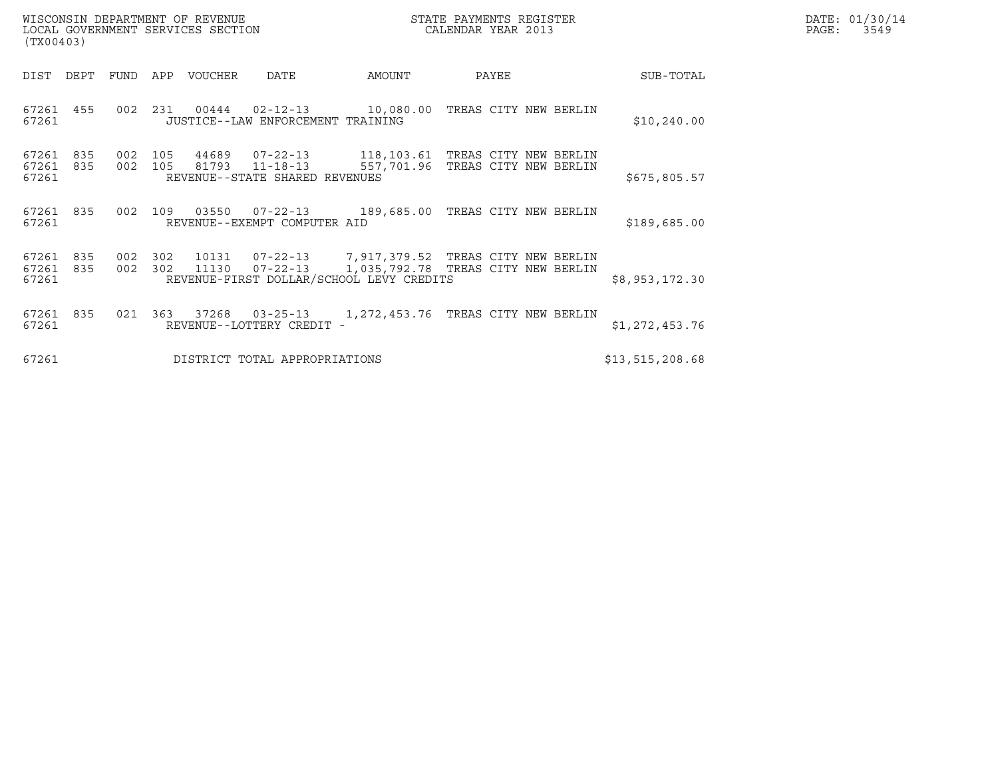| (TX00403)                       |      |            |            | WISCONSIN DEPARTMENT OF REVENUE<br>LOCAL GOVERNMENT SERVICES SECTION |                                                              |                                                                                                                               | STATE PAYMENTS REGISTER<br>CALENDAR YEAR 2013 |  | DATE: 01/30/14<br>$\mathtt{PAGE:}$<br>3549 |  |
|---------------------------------|------|------------|------------|----------------------------------------------------------------------|--------------------------------------------------------------|-------------------------------------------------------------------------------------------------------------------------------|-----------------------------------------------|--|--------------------------------------------|--|
| DIST                            | DEPT | FUND       | APP        | VOUCHER                                                              | DATE                                                         | AMOUNT                                                                                                                        | PAYEE                                         |  | SUB-TOTAL                                  |  |
| 67261 455<br>67261              |      | 002        | 231        | 00444                                                                | JUSTICE--LAW ENFORCEMENT TRAINING                            | $02 - 12 - 13$ 10,080.00                                                                                                      | TREAS CITY NEW BERLIN                         |  | \$10, 240.00                               |  |
| 67261 835<br>67261 835<br>67261 |      | 002<br>002 | 105<br>105 | 44689                                                                | 07-22-13<br>81793 11-18-13<br>REVENUE--STATE SHARED REVENUES | 118,103.61 TREAS CITY NEW BERLIN<br>557,701.96                                                                                | TREAS CITY NEW BERLIN                         |  | \$675,805.57                               |  |
| 67261 835<br>67261              |      |            | 002 109    | 03550                                                                | 07-22-13<br>REVENUE--EXEMPT COMPUTER AID                     | 189,685.00                                                                                                                    | TREAS CITY NEW BERLIN                         |  | \$189,685.00                               |  |
| 67261<br>67261 835<br>67261     | 835  | 002<br>002 | 302<br>302 | 10131<br>11130                                                       | $07 - 22 - 13$                                               | 07-22-13 7,917,379.52 TREAS CITY NEW BERLIN<br>1,035,792.78 TREAS CITY NEW BERLIN<br>REVENUE-FIRST DOLLAR/SCHOOL LEVY CREDITS |                                               |  | \$8,953,172.30                             |  |
| 67261<br>67261                  | 835  | 021        | 363        | 37268                                                                | $03 - 25 - 13$<br>REVENUE--LOTTERY CREDIT -                  | 1,272,453.76                                                                                                                  | TREAS CITY NEW BERLIN                         |  | \$1,272,453.76                             |  |
| 67261                           |      |            |            |                                                                      | DISTRICT TOTAL APPROPRIATIONS                                |                                                                                                                               |                                               |  | \$13,515,208.68                            |  |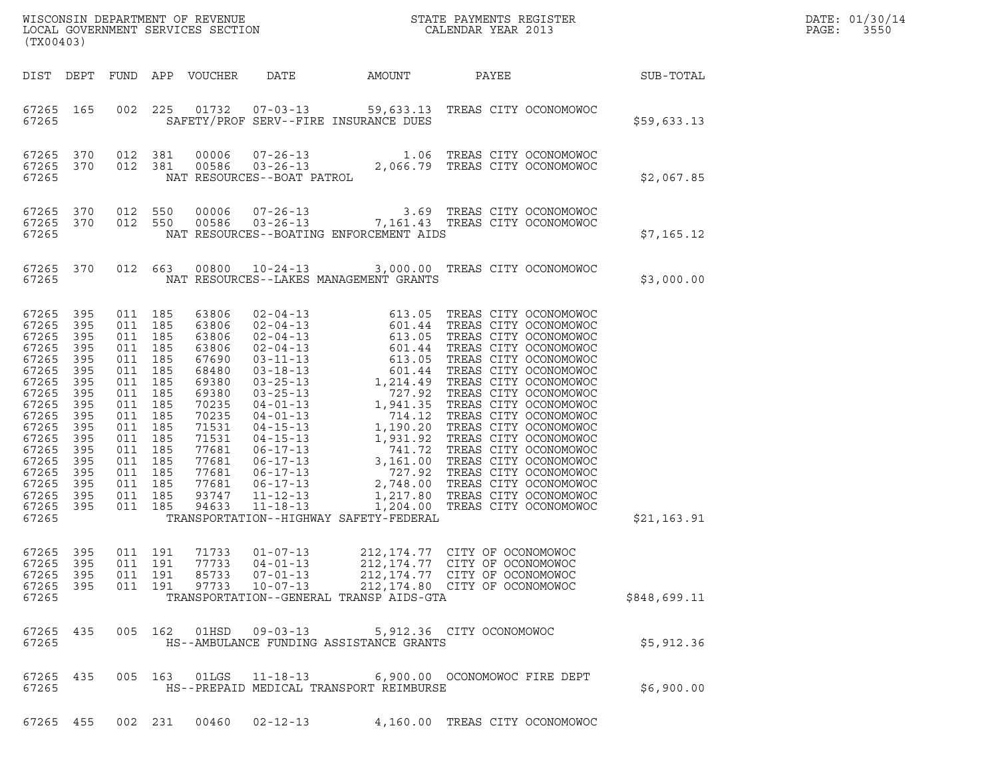| (TX00403)                                                                                                                                                               |                                                                                                                            |                                                                                                                                                                            |                                        |                                                                                                                                                                |                                                                      |                                                                                                                                        |                                                                                                                                     |  |                 | DATE: 01/30/14<br>PAGE:<br>3550 |
|-------------------------------------------------------------------------------------------------------------------------------------------------------------------------|----------------------------------------------------------------------------------------------------------------------------|----------------------------------------------------------------------------------------------------------------------------------------------------------------------------|----------------------------------------|----------------------------------------------------------------------------------------------------------------------------------------------------------------|----------------------------------------------------------------------|----------------------------------------------------------------------------------------------------------------------------------------|-------------------------------------------------------------------------------------------------------------------------------------|--|-----------------|---------------------------------|
|                                                                                                                                                                         |                                                                                                                            |                                                                                                                                                                            |                                        | DIST DEPT FUND APP VOUCHER                                                                                                                                     | DATE                                                                 | AMOUNT                                                                                                                                 |                                                                                                                                     |  | PAYEE SUB-TOTAL |                                 |
| 67265 165<br>67265                                                                                                                                                      |                                                                                                                            |                                                                                                                                                                            | 002 225                                |                                                                                                                                                                |                                                                      | 01732  07-03-13  59,633.13  TREAS CITY OCONOMOWOC<br>SAFETY/PROF SERV--FIRE INSURANCE DUES                                             |                                                                                                                                     |  | \$59,633.13     |                                 |
| 67265<br>67265<br>67265                                                                                                                                                 | 370<br>370                                                                                                                 | 012 381                                                                                                                                                                    | 012 381                                |                                                                                                                                                                |                                                                      | 81  00006  07-26-13   1.06 TREAS CITY OCONOMOWOC<br>81  00586  03-26-13   2,066.79 TREAS CITY OCONOMOWOC<br>NAT RESOURCES--BOAT PATROL |                                                                                                                                     |  | \$2,067.85      |                                 |
| 67265<br>67265                                                                                                                                                          | 370<br>67265 370                                                                                                           | 012 550<br>012 550                                                                                                                                                         |                                        | 00006<br>00586                                                                                                                                                 |                                                                      | 07-26-13<br>03-26-13<br>7,161.43 TREAS CITY OCONOMOWOC<br>NAT RESOURCES--BOATING ENFORCEMENT AIDS                                      |                                                                                                                                     |  | \$7,165.12      |                                 |
| 67265                                                                                                                                                                   | 67265 370                                                                                                                  |                                                                                                                                                                            |                                        | 012 663 00800                                                                                                                                                  |                                                                      | 10-24-13 3,000.00 TREAS CITY OCONOMOWOC<br>NAT RESOURCES--LAKES MANAGEMENT GRANTS                                                      |                                                                                                                                     |  | \$3,000.00      |                                 |
| 67265<br>67265<br>67265<br>67265<br>67265<br>67265<br>67265<br>67265<br>67265<br>67265<br>67265<br>67265<br>67265<br>67265<br>67265<br>67265<br>67265<br>67265<br>67265 | 395<br>395<br>395<br>395<br>395<br>395<br>395<br>395<br>395<br>395<br>395<br>395<br>395<br>395<br>395<br>395<br>395<br>395 | 011 185<br>011 185<br>011 185<br>011<br>011 185<br>011<br>011 185<br>011<br>011 185<br>011<br>011 185<br>011<br>011 185<br>011<br>011 185<br>011 185<br>011 185<br>011 185 | 185<br>185<br>185<br>185<br>185<br>185 | 63806<br>63806<br>63806<br>63806<br>67690<br>68480<br>69380<br>69380<br>70235<br>70235<br>71531<br>71531<br>77681<br>77681<br>77681<br>77681<br>93747<br>94633 |                                                                      | TRANSPORTATION--HIGHWAY SAFETY-FEDERAL                                                                                                 |                                                                                                                                     |  | \$21,163.91     |                                 |
| 67265<br>67265<br>67265<br>67265 395<br>67265                                                                                                                           | 395<br>395<br>395                                                                                                          | 011 191<br>011 191                                                                                                                                                         | 011 191<br>011 191                     | 71733<br>77733<br>85733<br>97733                                                                                                                               | $01 - 07 - 13$<br>$04 - 01 - 13$<br>$07 - 01 - 13$<br>$10 - 07 - 13$ | TRANSPORTATION--GENERAL TRANSP AIDS-GTA                                                                                                | 212, 174.77 CITY OF OCONOMOWOC<br>212, 174.77 CITY OF OCONOMOWOC<br>212, 174.77 CITY OF OCONOMOWOC<br>212,174.80 CITY OF OCONOMOWOC |  | \$848,699.11    |                                 |
| 67265 435<br>67265                                                                                                                                                      |                                                                                                                            |                                                                                                                                                                            |                                        |                                                                                                                                                                |                                                                      | 005  162  01HSD  09-03-13  5,912.36  CITY  OCONOMOWOC<br>HS--AMBULANCE FUNDING ASSISTANCE GRANTS                                       |                                                                                                                                     |  | \$5,912.36      |                                 |
| 67265 435<br>67265                                                                                                                                                      |                                                                                                                            |                                                                                                                                                                            | 005 163                                | 01LGS                                                                                                                                                          |                                                                      | 11-18-13 6,900.00 OCONOMOWOC FIRE DEPT<br>HS--PREPAID MEDICAL TRANSPORT REIMBURSE                                                      |                                                                                                                                     |  | \$6,900.00      |                                 |
| 67265 455                                                                                                                                                               |                                                                                                                            |                                                                                                                                                                            | 002 231                                | 00460                                                                                                                                                          | $02 - 12 - 13$                                                       |                                                                                                                                        | 4,160.00 TREAS CITY OCONOMOWOC                                                                                                      |  |                 |                                 |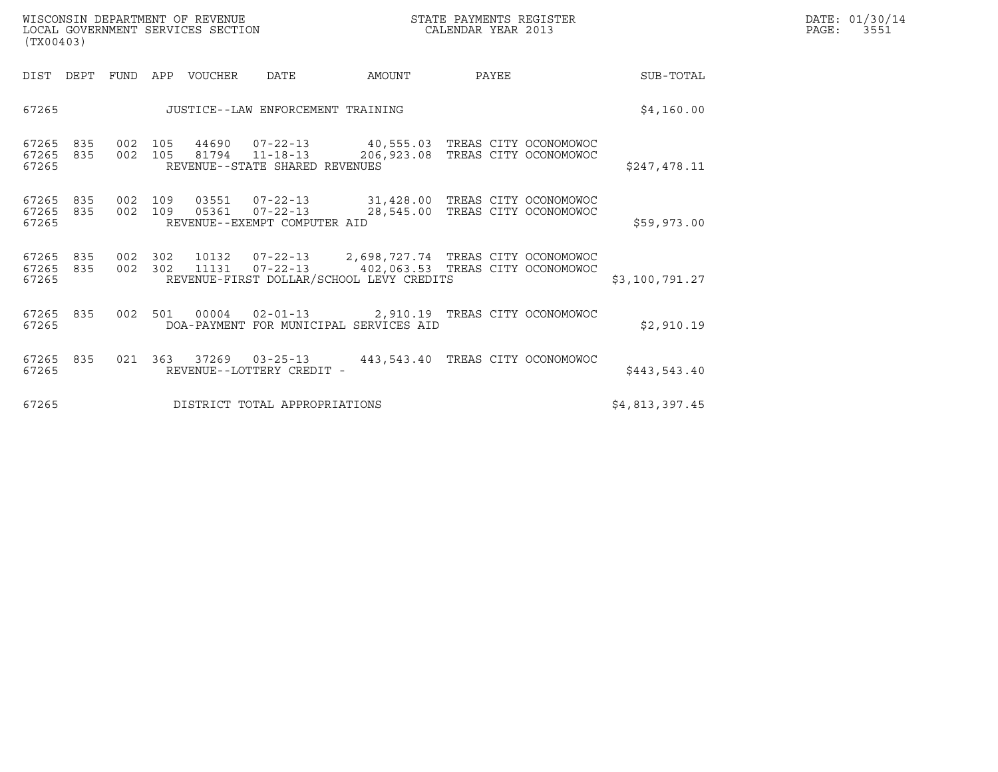| WISCONSIN DEPARTMENT OF REVENUE   | STATE PAYMENTS REGISTER | DATE: 01/30/14 |
|-----------------------------------|-------------------------|----------------|
| LOCAL GOVERNMENT SERVICES SECTION | CALENDAR YEAR 2013      | PAGE:<br>3551  |

| WISCONSIN DEPARTMENT OF REVENUE<br>LOCAL GOVERNMENT SERVICES SECTION<br>(TX00403) |  |                    |                  |                                                                                                                                                             | STATE PAYMENTS REGISTER<br>CALENDAR YEAR 2013 |       |                       |                | DATE: 01/30/14<br>PAGE:<br>3551 |
|-----------------------------------------------------------------------------------|--|--------------------|------------------|-------------------------------------------------------------------------------------------------------------------------------------------------------------|-----------------------------------------------|-------|-----------------------|----------------|---------------------------------|
| DIST DEPT                                                                         |  |                    | FUND APP VOUCHER | DATE                                                                                                                                                        | AMOUNT                                        | PAYEE |                       | SUB-TOTAL      |                                 |
| 67265                                                                             |  |                    |                  | JUSTICE--LAW ENFORCEMENT TRAINING                                                                                                                           | \$4,160.00                                    |       |                       |                |                                 |
| 67265<br>835<br>67265<br>835<br>67265                                             |  |                    | 002 105 44690    | 07-22-13 40,555.03 TREAS CITY OCONOMOWOC<br>002 105 81794 11-18-13 206,923.08<br>REVENUE--STATE SHARED REVENUES                                             |                                               |       | TREAS CITY OCONOMOWOC | \$247,478.11   |                                 |
| 67265<br>835<br>67265<br>835<br>67265                                             |  | 002 109<br>002 109 |                  | 03551  07-22-13  31,428.00 TREAS CITY OCONOMOWOC<br>05361  07-22-13  28,545.00<br>REVENUE--EXEMPT COMPUTER AID                                              |                                               |       | TREAS CITY OCONOMOWOC | \$59,973.00    |                                 |
| 67265<br>835<br>67265<br>835<br>67265                                             |  | 002 302            |                  | 002 302 10132 07-22-13 2,698,727.74 TREAS CITY OCONOMOWOC<br>11131  07-22-13  402,063.53  TREAS CITY OCONOMOWOC<br>REVENUE-FIRST DOLLAR/SCHOOL LEVY CREDITS |                                               |       |                       | \$3,100,791.27 |                                 |
| 67265<br>835<br>67265                                                             |  | 002 501            | 00004            | 02-01-13 2,910.19 TREAS CITY OCONOMOWOC<br>DOA-PAYMENT FOR MUNICIPAL SERVICES AID                                                                           |                                               |       |                       | \$2,910.19     |                                 |
| 835<br>67265<br>67265                                                             |  |                    |                  | 021  363  37269  03-25-13  443,543.40  TREAS CITY OCONOMOWOC<br>REVENUE--LOTTERY CREDIT -                                                                   |                                               |       |                       | \$443,543.40   |                                 |
| 67265<br>DISTRICT TOTAL APPROPRIATIONS                                            |  |                    |                  |                                                                                                                                                             |                                               |       | \$4,813,397.45        |                |                                 |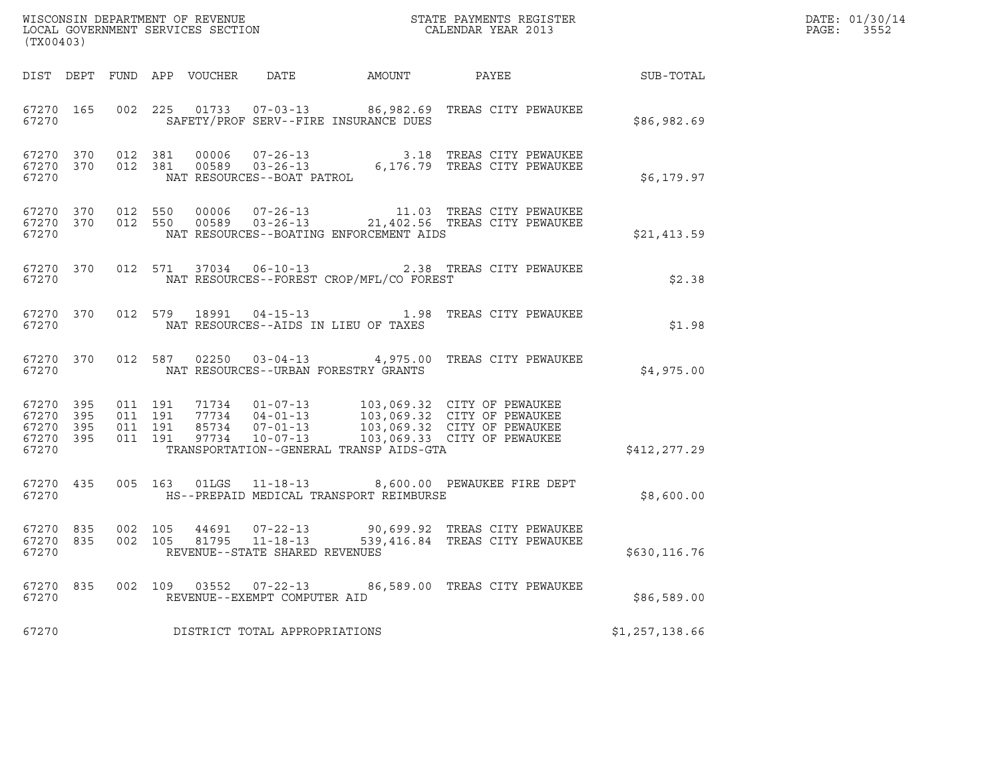| (TX00403)                                                 |  |                    |  |  |                                |                                                                         |                                                                                                                                                                                                                                                                                                                  | DATE: 01/30/14<br>PAGE: 3552 |  |
|-----------------------------------------------------------|--|--------------------|--|--|--------------------------------|-------------------------------------------------------------------------|------------------------------------------------------------------------------------------------------------------------------------------------------------------------------------------------------------------------------------------------------------------------------------------------------------------|------------------------------|--|
|                                                           |  |                    |  |  |                                |                                                                         |                                                                                                                                                                                                                                                                                                                  |                              |  |
| 67270                                                     |  |                    |  |  |                                | SAFETY/PROF SERV--FIRE INSURANCE DUES                                   | 67270 165 002 225 01733 07-03-13 86,982.69 TREAS CITY PEWAUKEE                                                                                                                                                                                                                                                   | \$86,982.69                  |  |
|                                                           |  |                    |  |  |                                |                                                                         |                                                                                                                                                                                                                                                                                                                  | \$6,179.97                   |  |
| 67270                                                     |  |                    |  |  |                                | NAT RESOURCES--BOATING ENFORCEMENT AIDS                                 | $\begin{array}{cccc} 67270 & 370 & 012 & 550 & 00006 & 07-26-13 & 11.03 & \text{TREAS CITY PEWAUKEE} \\ 67270 & 370 & 012 & 550 & 00589 & 03-26-13 & 21,402.56 & \text{TREAS CITY PEWAUKEE} \end{array}$                                                                                                         | \$21,413.59                  |  |
| 67270                                                     |  |                    |  |  |                                | NAT RESOURCES--FOREST CROP/MFL/CO FOREST                                | 67270 370 012 571 37034 06-10-13 2.38 TREAS CITY PEWAUKEE                                                                                                                                                                                                                                                        | \$2.38                       |  |
|                                                           |  |                    |  |  |                                | 67270 NAT RESOURCES--AIDS IN LIEU OF TAXES                              | 67270 370 012 579 18991 04-15-13 1.98 TREAS CITY PEWAUKEE                                                                                                                                                                                                                                                        | \$1.98                       |  |
|                                                           |  |                    |  |  |                                | 67270 NAT RESOURCES--URBAN FORESTRY GRANTS                              | 67270 370 012 587 02250 03-04-13 4,975.00 TREAS CITY PEWAUKEE                                                                                                                                                                                                                                                    | \$4,975.00                   |  |
| 67270 395<br>67270 395<br>67270 395<br>67270 395<br>67270 |  |                    |  |  |                                | TRANSPORTATION--GENERAL TRANSP AIDS-GTA                                 | $\begin{array}{cccccc} 011 & 191 & 71734 & 01-07-13 & 103\, , 069\, .32 & \text{CITY OF PEWAUKEE} \\ 011 & 191 & 77734 & 04-01-13 & 103\, , 069\, .32 & \text{CITY OF PEWAUKEE} \\ 011 & 191 & 85734 & 07-01-13 & 103\, , 069\, .32 & \text{CITY OF PEWAUKEE} \\ 011 & 191 & 97734 & 10-07-13 & 103\, , 069\, .$ | \$412,277.29                 |  |
|                                                           |  |                    |  |  |                                | 67270                           HS--PREPAID MEDICAL TRANSPORT REIMBURSE | 67270 435 005 163 01LGS 11-18-13 8,600.00 PEWAUKEE FIRE DEPT                                                                                                                                                                                                                                                     | \$8,600.00                   |  |
| 67270 835<br>67270 835<br>67270                           |  | 002 105<br>002 105 |  |  | REVENUE--STATE SHARED REVENUES |                                                                         | 44691   07-22-13   90,699.92   TREAS CITY PEWAUKEE<br>81795   11-18-13   539,416.84   TREAS CITY PEWAUKEE                                                                                                                                                                                                        | \$630,116.76                 |  |
| 67270 835<br>67270                                        |  |                    |  |  | REVENUE--EXEMPT COMPUTER AID   |                                                                         | 002 109 03552 07-22-13 86,589.00 TREAS CITY PEWAUKEE                                                                                                                                                                                                                                                             | \$86,589.00                  |  |
| 67270                                                     |  |                    |  |  | DISTRICT TOTAL APPROPRIATIONS  |                                                                         |                                                                                                                                                                                                                                                                                                                  | \$1,257,138.66               |  |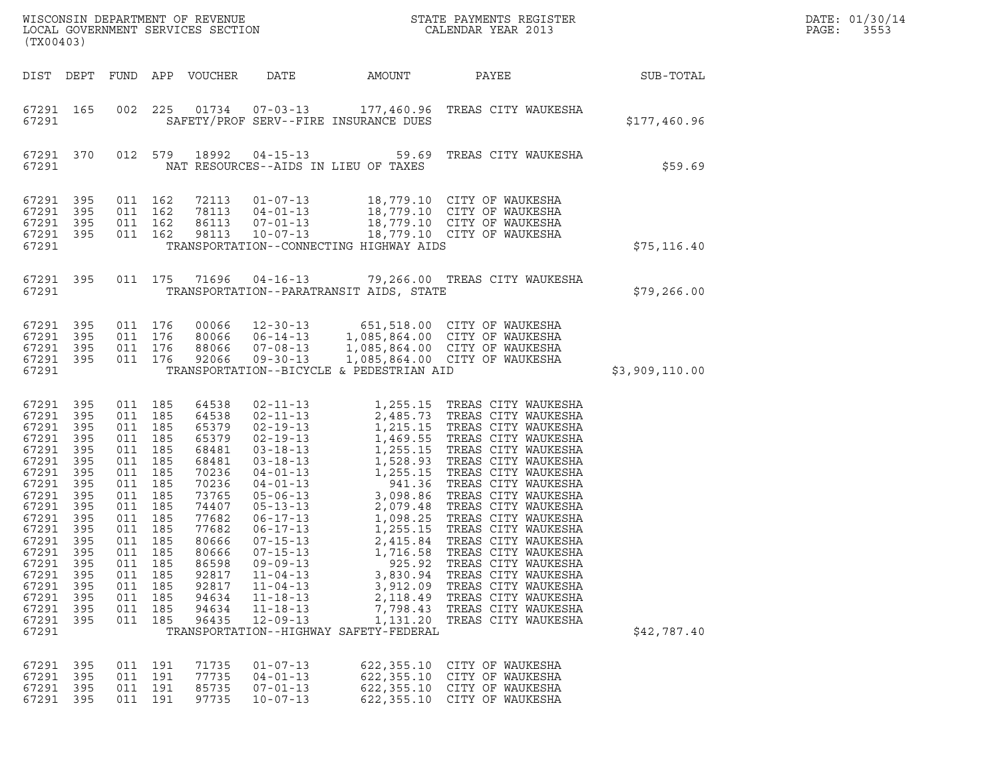| $\tt WISCONSIM DEPARTMENT OF REVENUE$ $\tt WISCONSIN DEPARTMENT SERVICES SECTION$ $\tt SCALENDAR YEAR$ $2013$<br>(TX00403)                                                                                                    |                                                                           |                                                                            |                                                                                                                                                                    |                                                                                                                                                                                  |                                                                                                                                                                |                                                                                                                          |                                                                                                                                                                                                                                                                                                                                                                                                                                                                           |                | DATE: 01/30/14<br>PAGE:<br>3553 |
|-------------------------------------------------------------------------------------------------------------------------------------------------------------------------------------------------------------------------------|---------------------------------------------------------------------------|----------------------------------------------------------------------------|--------------------------------------------------------------------------------------------------------------------------------------------------------------------|----------------------------------------------------------------------------------------------------------------------------------------------------------------------------------|----------------------------------------------------------------------------------------------------------------------------------------------------------------|--------------------------------------------------------------------------------------------------------------------------|---------------------------------------------------------------------------------------------------------------------------------------------------------------------------------------------------------------------------------------------------------------------------------------------------------------------------------------------------------------------------------------------------------------------------------------------------------------------------|----------------|---------------------------------|
| DIST DEPT                                                                                                                                                                                                                     |                                                                           |                                                                            |                                                                                                                                                                    | FUND APP VOUCHER                                                                                                                                                                 | DATE                                                                                                                                                           | AMOUNT                                                                                                                   | PAYEE                                                                                                                                                                                                                                                                                                                                                                                                                                                                     | SUB-TOTAL      |                                 |
| 67291 165<br>67291                                                                                                                                                                                                            |                                                                           |                                                                            |                                                                                                                                                                    |                                                                                                                                                                                  |                                                                                                                                                                | SAFETY/PROF SERV--FIRE INSURANCE DUES                                                                                    | 002 225 01734 07-03-13 177,460.96 TREAS CITY WAUKESHA                                                                                                                                                                                                                                                                                                                                                                                                                     | \$177,460.96   |                                 |
| 67291 370<br>67291                                                                                                                                                                                                            |                                                                           |                                                                            | 012 579                                                                                                                                                            | 18992                                                                                                                                                                            |                                                                                                                                                                | $04 - 15 - 13$ 59.69<br>NAT RESOURCES--AIDS IN LIEU OF TAXES                                                             | TREAS CITY WAUKESHA                                                                                                                                                                                                                                                                                                                                                                                                                                                       | \$59.69        |                                 |
| 67291 395<br>67291<br>67291 395<br>67291 395<br>67291                                                                                                                                                                         | 395                                                                       |                                                                            | 011 162<br>011 162<br>011 162<br>011 162                                                                                                                           | 72113<br>78113<br>86113<br>98113                                                                                                                                                 | $04 - 01 - 13$<br>$07 - 01 - 13$<br>$10 - 07 - 13$                                                                                                             | TRANSPORTATION--CONNECTING HIGHWAY AIDS                                                                                  | 01-07-13 18,779.10 CITY OF WAUKESHA<br>18,779.10  CITY OF WAUKESHA<br>18,779.10  CITY OF WAUKESHA<br>18,779.10 CITY OF WAUKESHA                                                                                                                                                                                                                                                                                                                                           | \$75, 116.40   |                                 |
| 67291 395<br>67291                                                                                                                                                                                                            |                                                                           |                                                                            | 011 175                                                                                                                                                            | 71696                                                                                                                                                                            | $04 - 16 - 13$                                                                                                                                                 | TRANSPORTATION--PARATRANSIT AIDS, STATE                                                                                  | 79,266.00 TREAS CITY WAUKESHA                                                                                                                                                                                                                                                                                                                                                                                                                                             | \$79,266.00    |                                 |
| 67291<br>67291 395<br>67291 395<br>67291 395<br>67291                                                                                                                                                                         | 395                                                                       |                                                                            | 011 176<br>011 176<br>011 176<br>011 176                                                                                                                           | 00066<br>80066<br>88066<br>92066                                                                                                                                                 | $12 - 30 - 13$<br>$06 - 14 - 13$<br>$07 - 08 - 13$<br>$09 - 30 - 13$                                                                                           | TRANSPORTATION--BICYCLE & PEDESTRIAN AID                                                                                 | 651,518.00 CITY OF WAUKESHA<br>1,085,864.00 CITY OF WAUKESHA<br>1,085,864.00 CITY OF WAUKESHA<br>1,085,864.00 CITY OF WAUKESHA                                                                                                                                                                                                                                                                                                                                            | \$3,909,110.00 |                                 |
| 67291 395<br>67291<br>67291 395<br>67291<br>67291<br>67291<br>67291 395<br>67291<br>67291 395<br>67291<br>67291 395<br>67291<br>67291 395<br>67291<br>67291<br>67291<br>67291 395<br>67291<br>67291 395<br>67291 395<br>67291 | 395<br>395<br>395<br>395<br>395<br>395<br>395<br>395<br>395<br>395<br>395 | 011 185<br>011 185<br>011<br>011<br>011<br>011<br>011<br>011<br>011<br>011 | 011 185<br>011 185<br>011 185<br>011 185<br>011 185<br>185<br>011 185<br>011 185<br>011 185<br>185<br>011 185<br>185<br>185<br>185<br>185<br>185<br>185<br>011 185 | 64538<br>64538<br>65379<br>65379<br>68481<br>68481<br>70236<br>70236<br>73765<br>74407<br>77682<br>77682<br>80666<br>80666<br>86598<br>92817<br>92817<br>94634<br>94634<br>96435 | $02 - 11 - 13$<br>$07 - 15 - 13$<br>$07 - 15 - 13$<br>$09 - 09 - 13$<br>$11 - 04 - 13$<br>$11 - 04 - 13$<br>$11 - 18 - 13$<br>$11 - 18 - 13$<br>$12 - 09 - 13$ | 1,716.58<br>925.92<br>3,830.94<br>3,912.09<br>2,118.49<br>7,798.43<br>1,131.20<br>TRANSPORTATION--HIGHWAY SAFETY-FEDERAL | 1,255.15 TREAS CITY WAUKESHA<br>02-11-13 1,255.15 TREAS CITY WAUKESHA<br>02-11-13 2,485.73 TREAS CITY WAUKESHA<br>02-19-13 1,215.15 TREAS CITY WAUKESHA<br>02-19-13 1,469.55 TREAS CITY WAUKESHA<br>03-18-13 1,528.93 TREAS CITY WAUKESHA<br>04-01-13 1,255.15 TREAS CIT<br>2,415.84 TREAS CITY WAUKESHA<br>TREAS CITY WAUKESHA<br>TREAS CITY WAUKESHA<br>TREAS CITY WAUKESHA<br>TREAS CITY WAUKESHA<br>TREAS CITY WAUKESHA<br>TREAS CITY WAUKESHA<br>TREAS CITY WAUKESHA | \$42,787.40    |                                 |
| 67291<br>67291 395<br>67291 395<br>67291 395                                                                                                                                                                                  | 395                                                                       |                                                                            | 011 191<br>011 191<br>011 191<br>011 191                                                                                                                           | 71735<br>77735<br>85735<br>97735                                                                                                                                                 | $01 - 07 - 13$<br>$04 - 01 - 13$<br>$07 - 01 - 13$<br>$10 - 07 - 13$                                                                                           | 622, 355.10<br>622,355.10<br>622,355.10<br>622,355.10                                                                    | CITY OF WAUKESHA<br>CITY OF WAUKESHA<br>CITY OF WAUKESHA<br>CITY OF WAUKESHA                                                                                                                                                                                                                                                                                                                                                                                              |                |                                 |